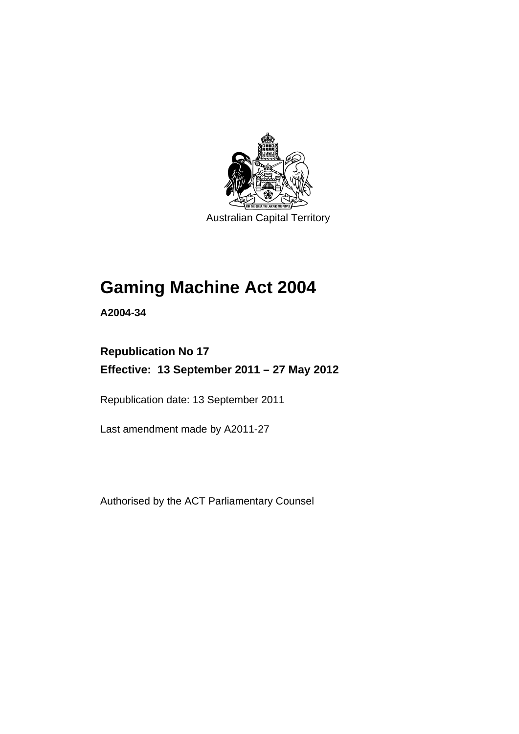

Australian Capital Territory

# **Gaming Machine Act 2004**

**A2004-34** 

# **Republication No 17 Effective: 13 September 2011 – 27 May 2012**

Republication date: 13 September 2011

Last amendment made by A2011-27

Authorised by the ACT Parliamentary Counsel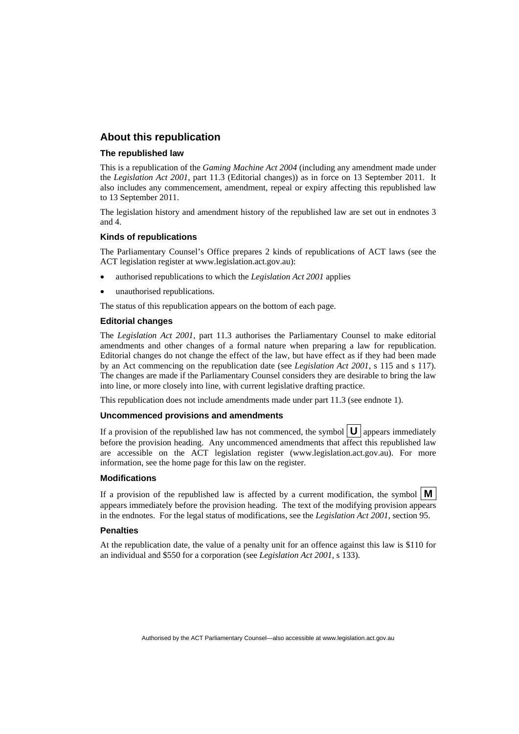### **About this republication**

### **The republished law**

This is a republication of the *Gaming Machine Act 2004* (including any amendment made under the *Legislation Act 2001*, part 11.3 (Editorial changes)) as in force on 13 September 2011*.* It also includes any commencement, amendment, repeal or expiry affecting this republished law to 13 September 2011.

The legislation history and amendment history of the republished law are set out in endnotes 3 and 4.

#### **Kinds of republications**

The Parliamentary Counsel's Office prepares 2 kinds of republications of ACT laws (see the ACT legislation register at www.legislation.act.gov.au):

- authorised republications to which the *Legislation Act 2001* applies
- unauthorised republications.

The status of this republication appears on the bottom of each page.

#### **Editorial changes**

The *Legislation Act 2001*, part 11.3 authorises the Parliamentary Counsel to make editorial amendments and other changes of a formal nature when preparing a law for republication. Editorial changes do not change the effect of the law, but have effect as if they had been made by an Act commencing on the republication date (see *Legislation Act 2001*, s 115 and s 117). The changes are made if the Parliamentary Counsel considers they are desirable to bring the law into line, or more closely into line, with current legislative drafting practice.

This republication does not include amendments made under part 11.3 (see endnote 1).

#### **Uncommenced provisions and amendments**

If a provision of the republished law has not commenced, the symbol  $\mathbf{U}$  appears immediately before the provision heading. Any uncommenced amendments that affect this republished law are accessible on the ACT legislation register (www.legislation.act.gov.au). For more information, see the home page for this law on the register.

#### **Modifications**

If a provision of the republished law is affected by a current modification, the symbol  $\mathbf{M}$ appears immediately before the provision heading. The text of the modifying provision appears in the endnotes. For the legal status of modifications, see the *Legislation Act 2001*, section 95.

#### **Penalties**

At the republication date, the value of a penalty unit for an offence against this law is \$110 for an individual and \$550 for a corporation (see *Legislation Act 2001*, s 133).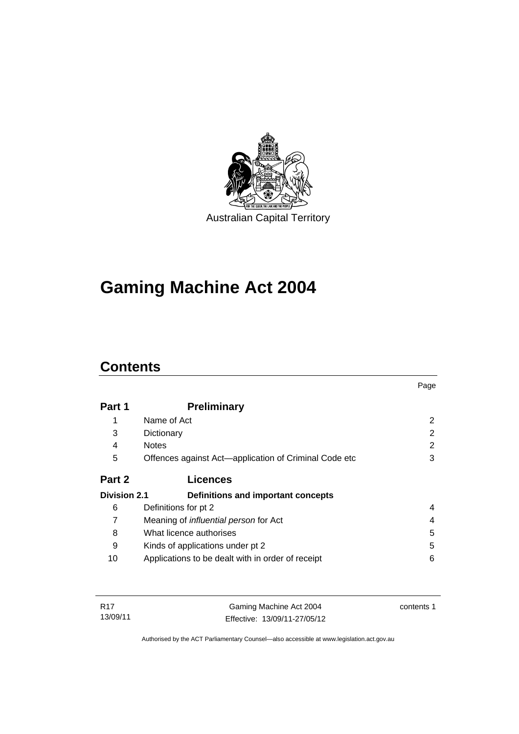

# **Gaming Machine Act 2004**

# **Contents**

|                     |                                                       | Page          |
|---------------------|-------------------------------------------------------|---------------|
| Part 1              | <b>Preliminary</b>                                    |               |
|                     | Name of Act                                           | 2             |
| 3                   | Dictionary                                            | $\mathcal{P}$ |
| 4                   | <b>Notes</b>                                          | 2             |
| 5                   | Offences against Act—application of Criminal Code etc | 3             |
| Part 2              | <b>Licences</b>                                       |               |
| <b>Division 2.1</b> | Definitions and important concepts                    |               |
| 6                   | Definitions for pt 2                                  | 4             |
| 7                   | Meaning of <i>influential person</i> for Act          | 4             |
| 8                   | What licence authorises                               | 5             |
| 9                   | Kinds of applications under pt 2                      | 5             |
| 10                  | Applications to be dealt with in order of receipt     | 6             |

| R17      | Gaming Machine Act 2004      | contents 1 |
|----------|------------------------------|------------|
| 13/09/11 | Effective: 13/09/11-27/05/12 |            |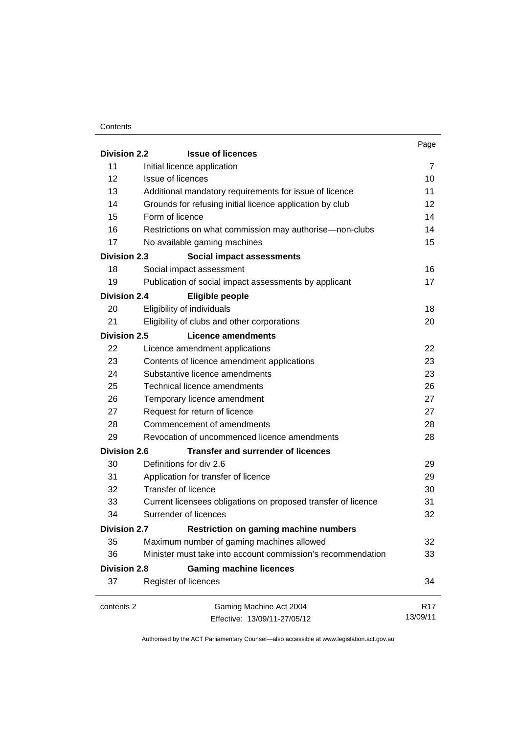### **Contents**

|                     |                                                               | Page            |
|---------------------|---------------------------------------------------------------|-----------------|
| <b>Division 2.2</b> | <b>Issue of licences</b>                                      |                 |
| 11                  | Initial licence application                                   |                 |
| 12                  | Issue of licences                                             |                 |
| 13                  | Additional mandatory requirements for issue of licence        |                 |
| 14                  | Grounds for refusing initial licence application by club      |                 |
| 15                  | Form of licence                                               | 14              |
| 16                  | Restrictions on what commission may authorise—non-clubs       | 14              |
| 17                  | No available gaming machines                                  | 15              |
| <b>Division 2.3</b> | Social impact assessments                                     |                 |
| 18                  | Social impact assessment                                      | 16              |
| 19                  | Publication of social impact assessments by applicant         | 17              |
| <b>Division 2.4</b> | <b>Eligible people</b>                                        |                 |
| 20                  | Eligibility of individuals                                    | 18              |
| 21                  | Eligibility of clubs and other corporations                   | 20              |
| <b>Division 2.5</b> | Licence amendments                                            |                 |
| 22                  | Licence amendment applications                                | 22              |
| 23                  | Contents of licence amendment applications                    | 23              |
| 24                  | Substantive licence amendments                                | 23              |
| 25                  | Technical licence amendments                                  | 26              |
| 26                  | Temporary licence amendment                                   | 27              |
| 27                  | Request for return of licence                                 | 27              |
| 28                  | Commencement of amendments                                    | 28              |
| 29                  | Revocation of uncommenced licence amendments                  | 28              |
| <b>Division 2.6</b> | <b>Transfer and surrender of licences</b>                     |                 |
| 30                  | Definitions for div 2.6                                       | 29              |
| 31                  | Application for transfer of licence                           | 29              |
| 32                  | <b>Transfer of licence</b>                                    | 30              |
| 33                  | Current licensees obligations on proposed transfer of licence | 31              |
| 34                  | Surrender of licences                                         | 32              |
| <b>Division 2.7</b> | <b>Restriction on gaming machine numbers</b>                  |                 |
| 35                  | Maximum number of gaming machines allowed                     | 32              |
| 36                  | Minister must take into account commission's recommendation   | 33              |
| <b>Division 2.8</b> | <b>Gaming machine licences</b>                                |                 |
| 37                  | Register of licences                                          | 34              |
| contents 2          | Gaming Machine Act 2004                                       | R <sub>17</sub> |
|                     | Effective: 13/09/11-27/05/12                                  | 13/09/11        |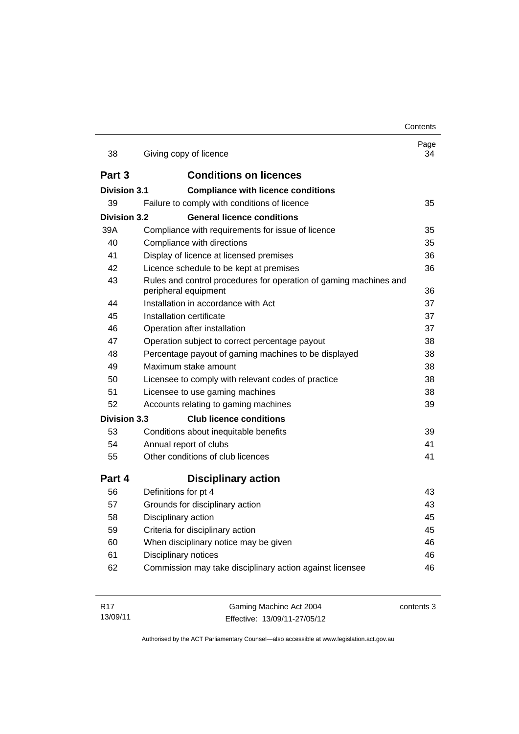|                     |                                                                   | Contents   |
|---------------------|-------------------------------------------------------------------|------------|
| 38                  | Giving copy of licence                                            | Page<br>34 |
| Part 3              | <b>Conditions on licences</b>                                     |            |
| <b>Division 3.1</b> | <b>Compliance with licence conditions</b>                         |            |
| 39                  | Failure to comply with conditions of licence                      | 35         |
| Division 3.2        | <b>General licence conditions</b>                                 |            |
| 39A                 | Compliance with requirements for issue of licence                 | 35         |
| 40                  | Compliance with directions                                        | 35         |
| 41                  | Display of licence at licensed premises                           | 36         |
| 42                  | Licence schedule to be kept at premises                           | 36         |
| 43                  | Rules and control procedures for operation of gaming machines and |            |
|                     | peripheral equipment                                              | 36         |
| 44                  | Installation in accordance with Act                               | 37         |
| 45                  | Installation certificate                                          | 37         |
| 46                  | Operation after installation                                      | 37         |
| 47                  | Operation subject to correct percentage payout                    | 38         |
| 48                  | Percentage payout of gaming machines to be displayed              | 38         |
| 49                  | Maximum stake amount                                              | 38         |
| 50                  | Licensee to comply with relevant codes of practice                | 38         |
| 51                  | Licensee to use gaming machines                                   | 38         |
| 52                  | Accounts relating to gaming machines                              | 39         |
| <b>Division 3.3</b> | <b>Club licence conditions</b>                                    |            |
| 53                  | Conditions about inequitable benefits                             | 39         |
| 54                  | Annual report of clubs                                            | 41         |
| 55                  | Other conditions of club licences                                 | 41         |
| Part 4              | <b>Disciplinary action</b>                                        |            |
| 56                  | Definitions for pt 4                                              | 43         |
| 57                  | Grounds for disciplinary action                                   | 43         |
| 58                  | Disciplinary action                                               | 45         |
| 59                  | Criteria for disciplinary action                                  | 45         |
| 60                  | When disciplinary notice may be given                             | 46         |
| 61                  | Disciplinary notices                                              | 46         |
| 62                  | Commission may take disciplinary action against licensee          | 46         |

| R17      | Gaming Machine Act 2004      | contents 3 |
|----------|------------------------------|------------|
| 13/09/11 | Effective: 13/09/11-27/05/12 |            |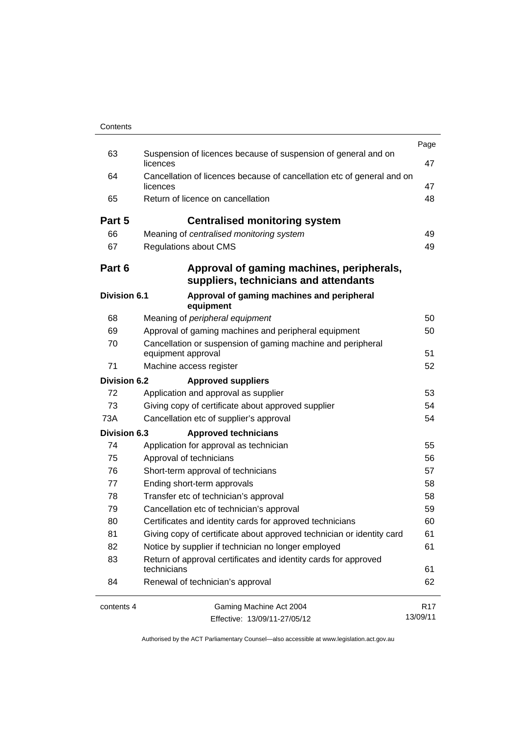|                     |                                                                                    | Page            |
|---------------------|------------------------------------------------------------------------------------|-----------------|
| 63                  | Suspension of licences because of suspension of general and on<br>licences         | 47              |
| 64                  | Cancellation of licences because of cancellation etc of general and on<br>licences |                 |
| 65                  | Return of licence on cancellation                                                  | 48              |
| Part 5              | <b>Centralised monitoring system</b>                                               |                 |
| 66                  | Meaning of centralised monitoring system                                           | 49              |
| 67                  | Regulations about CMS                                                              | 49              |
| Part 6              | Approval of gaming machines, peripherals,<br>suppliers, technicians and attendants |                 |
| <b>Division 6.1</b> | Approval of gaming machines and peripheral<br>equipment                            |                 |
| 68                  | Meaning of peripheral equipment                                                    | 50              |
| 69                  | Approval of gaming machines and peripheral equipment                               | 50              |
| 70                  | Cancellation or suspension of gaming machine and peripheral<br>equipment approval  |                 |
| 71                  | Machine access register                                                            | 52              |
| <b>Division 6.2</b> | <b>Approved suppliers</b>                                                          |                 |
| 72                  | Application and approval as supplier                                               | 53              |
| 73                  | Giving copy of certificate about approved supplier                                 | 54              |
| 73A                 | Cancellation etc of supplier's approval                                            |                 |
| <b>Division 6.3</b> | <b>Approved technicians</b>                                                        |                 |
| 74                  | Application for approval as technician                                             | 55              |
| 75                  | Approval of technicians                                                            | 56              |
| 76                  | Short-term approval of technicians                                                 | 57              |
| 77                  | Ending short-term approvals                                                        |                 |
| 78                  | Transfer etc of technician's approval                                              | 58              |
| 79                  | Cancellation etc of technician's approval                                          | 59              |
| 80                  | Certificates and identity cards for approved technicians                           |                 |
| 81                  | Giving copy of certificate about approved technician or identity card              |                 |
| 82                  | Notice by supplier if technician no longer employed                                | 61              |
| 83                  | Return of approval certificates and identity cards for approved<br>technicians     |                 |
| 84                  | Renewal of technician's approval                                                   | 62              |
| contents 4          | Gaming Machine Act 2004                                                            | R <sub>17</sub> |
|                     | 13/09/11<br>Effective: 13/09/11-27/05/12                                           |                 |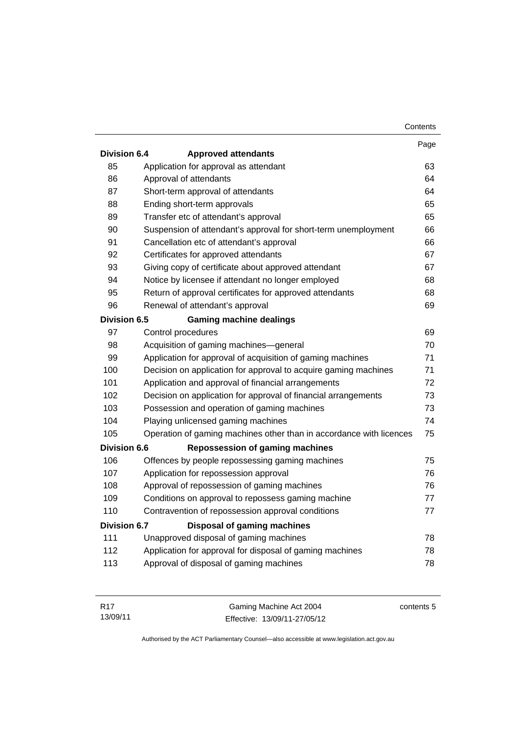|                     |                                                                     | Contents |
|---------------------|---------------------------------------------------------------------|----------|
|                     |                                                                     | Page     |
| <b>Division 6.4</b> | <b>Approved attendants</b>                                          |          |
| 85                  | Application for approval as attendant                               | 63       |
| 86                  | Approval of attendants                                              | 64       |
| 87                  | Short-term approval of attendants                                   | 64       |
| 88                  | Ending short-term approvals                                         | 65       |
| 89                  | Transfer etc of attendant's approval                                | 65       |
| 90                  | Suspension of attendant's approval for short-term unemployment      | 66       |
| 91                  | Cancellation etc of attendant's approval                            | 66       |
| 92                  | Certificates for approved attendants                                | 67       |
| 93                  | Giving copy of certificate about approved attendant                 | 67       |
| 94                  | Notice by licensee if attendant no longer employed                  | 68       |
| 95                  | Return of approval certificates for approved attendants             | 68       |
| 96                  | Renewal of attendant's approval                                     | 69       |
| Division 6.5        | <b>Gaming machine dealings</b>                                      |          |
| 97                  | Control procedures                                                  | 69       |
| 98                  | Acquisition of gaming machines-general                              | 70       |
| 99                  | Application for approval of acquisition of gaming machines          | 71       |
| 100                 | Decision on application for approval to acquire gaming machines     | 71       |
| 101                 | Application and approval of financial arrangements                  | 72       |
| 102                 | Decision on application for approval of financial arrangements      | 73       |
| 103                 | Possession and operation of gaming machines                         | 73       |
| 104                 | Playing unlicensed gaming machines                                  | 74       |
| 105                 | Operation of gaming machines other than in accordance with licences | 75       |
| <b>Division 6.6</b> | <b>Repossession of gaming machines</b>                              |          |
| 106                 | Offences by people repossessing gaming machines                     | 75       |
| 107                 | Application for repossession approval                               | 76       |
| 108                 | Approval of repossession of gaming machines                         | 76       |
| 109                 | Conditions on approval to repossess gaming machine                  | 77       |
| 110                 | Contravention of repossession approval conditions                   | 77       |
| Division 6.7        | <b>Disposal of gaming machines</b>                                  |          |
| 111                 | Unapproved disposal of gaming machines                              | 78       |
| 112                 | Application for approval for disposal of gaming machines            | 78       |
| 113                 | Approval of disposal of gaming machines                             | 78       |

| R17      | Gaming Machine Act 2004      | contents 5 |
|----------|------------------------------|------------|
| 13/09/11 | Effective: 13/09/11-27/05/12 |            |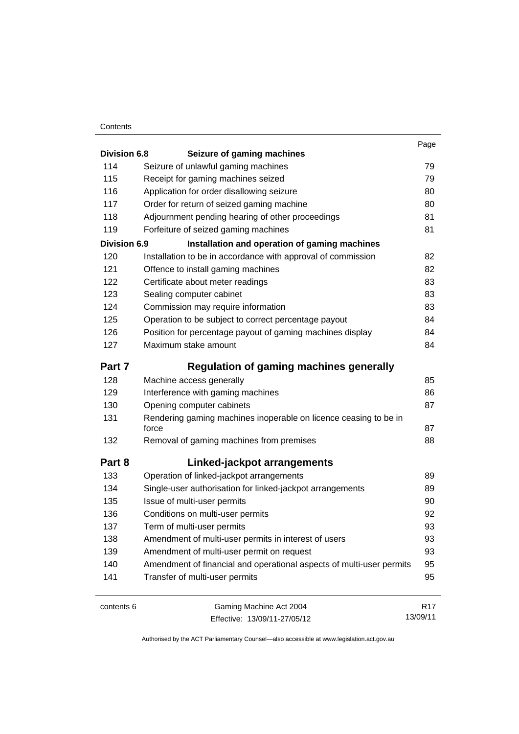### **Contents**

| <b>Division 6.8</b> | Seizure of gaming machines                                                | Page            |
|---------------------|---------------------------------------------------------------------------|-----------------|
| 114                 | Seizure of unlawful gaming machines                                       | 79              |
| 115                 | Receipt for gaming machines seized                                        | 79              |
| 116                 | Application for order disallowing seizure                                 | 80              |
| 117                 | Order for return of seized gaming machine                                 | 80              |
| 118                 | Adjournment pending hearing of other proceedings                          | 81              |
| 119                 | Forfeiture of seized gaming machines                                      | 81              |
| <b>Division 6.9</b> | Installation and operation of gaming machines                             |                 |
| 120                 | Installation to be in accordance with approval of commission              | 82              |
| 121                 | Offence to install gaming machines                                        | 82              |
| 122                 | Certificate about meter readings                                          | 83              |
| 123                 | Sealing computer cabinet                                                  | 83              |
| 124                 | Commission may require information                                        | 83              |
| 125                 | Operation to be subject to correct percentage payout                      | 84              |
| 126                 | Position for percentage payout of gaming machines display                 | 84              |
| 127                 | Maximum stake amount                                                      | 84              |
| Part 7              | Regulation of gaming machines generally                                   |                 |
| 128                 | Machine access generally                                                  | 85              |
| 129                 | Interference with gaming machines                                         | 86              |
| 130                 | Opening computer cabinets                                                 | 87              |
| 131                 | Rendering gaming machines inoperable on licence ceasing to be in<br>force | 87              |
| 132                 | Removal of gaming machines from premises                                  | 88              |
| Part 8              | Linked-jackpot arrangements                                               |                 |
| 133                 | Operation of linked-jackpot arrangements                                  | 89              |
| 134                 | Single-user authorisation for linked-jackpot arrangements                 | 89              |
| 135                 | Issue of multi-user permits                                               | 90              |
| 136                 | Conditions on multi-user permits                                          | 92              |
| 137                 | Term of multi-user permits                                                | 93              |
| 138                 | Amendment of multi-user permits in interest of users                      | 93              |
| 139                 | Amendment of multi-user permit on request                                 | 93              |
| 140                 | Amendment of financial and operational aspects of multi-user permits      | 95              |
| 141                 | Transfer of multi-user permits                                            | 95              |
| contents 6          | Gaming Machine Act 2004                                                   | R <sub>17</sub> |

| contents 6 |  |  |
|------------|--|--|
|            |  |  |

Effective: 13/09/11-27/05/12

R17 13/09/11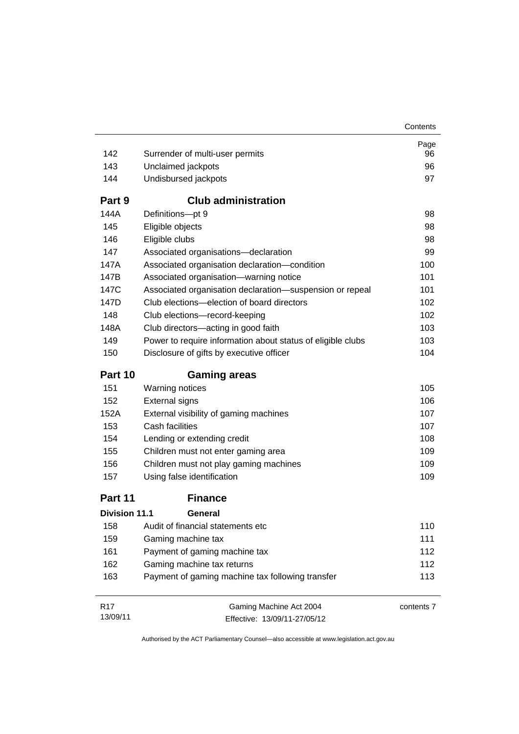| Contents |
|----------|
|----------|

| 142                  | Surrender of multi-user permits                             | Page<br>96 |
|----------------------|-------------------------------------------------------------|------------|
| 143                  | Unclaimed jackpots                                          | 96         |
| 144                  | Undisbursed jackpots                                        | 97         |
| Part 9               | <b>Club administration</b>                                  |            |
| 144A                 | Definitions-pt 9                                            | 98         |
| 145                  | Eligible objects                                            | 98         |
| 146                  | Eligible clubs                                              | 98         |
| 147                  | Associated organisations-declaration                        | 99         |
| 147A                 | Associated organisation declaration-condition               | 100        |
| 147B                 | Associated organisation-warning notice                      | 101        |
| 147C                 | Associated organisation declaration-suspension or repeal    | 101        |
| 147D                 | Club elections-election of board directors                  | 102        |
| 148                  | Club elections-record-keeping                               | 102        |
| 148A                 | Club directors-acting in good faith                         | 103        |
| 149                  | Power to require information about status of eligible clubs | 103        |
| 150                  | Disclosure of gifts by executive officer                    | 104        |
| Part 10              | <b>Gaming areas</b>                                         |            |
| 151                  | Warning notices                                             | 105        |
| 152                  | <b>External signs</b>                                       | 106        |
| 152A                 | External visibility of gaming machines                      | 107        |
| 153                  | Cash facilities                                             | 107        |
| 154                  | Lending or extending credit                                 | 108        |
| 155                  | Children must not enter gaming area                         | 109        |
| 156                  | Children must not play gaming machines                      | 109        |
| 157                  | Using false identification                                  | 109        |
| Part 11              | <b>Finance</b>                                              |            |
| <b>Division 11.1</b> | General                                                     |            |
| 158                  | Audit of financial statements etc                           | 110        |
| 159                  | Gaming machine tax                                          | 111        |
| 161                  | Payment of gaming machine tax                               | 112        |
| 162                  | Gaming machine tax returns                                  | 112        |
| 163                  | Payment of gaming machine tax following transfer            | 113        |
| R <sub>17</sub>      | Gaming Machine Act 2004                                     | contents 7 |
| 13/09/11             | Effective: 13/09/11-27/05/12                                |            |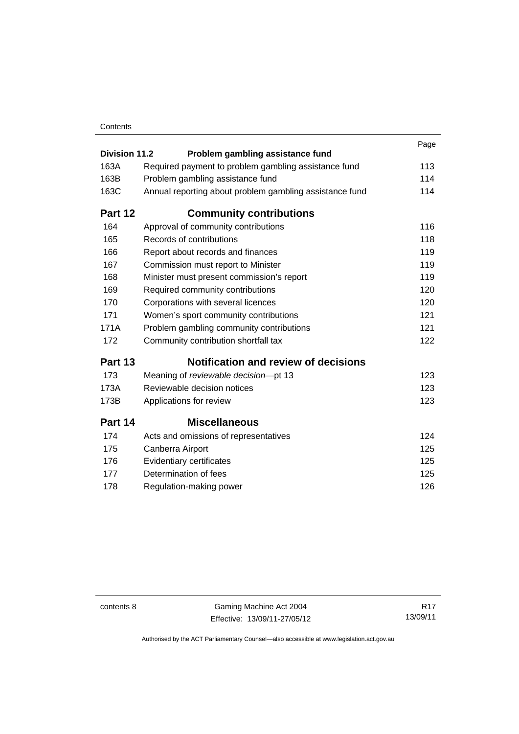### **Contents**

|                      |                                                         | Page |
|----------------------|---------------------------------------------------------|------|
| <b>Division 11.2</b> | Problem gambling assistance fund                        |      |
| 163A                 | Required payment to problem gambling assistance fund    | 113  |
| 163B                 | Problem gambling assistance fund                        | 114  |
| 163C                 | Annual reporting about problem gambling assistance fund | 114  |
| Part 12              | <b>Community contributions</b>                          |      |
| 164                  | Approval of community contributions                     | 116  |
| 165                  | Records of contributions                                | 118  |
| 166                  | Report about records and finances                       | 119  |
| 167                  | Commission must report to Minister                      | 119  |
| 168                  | Minister must present commission's report               | 119  |
| 169                  | Required community contributions                        | 120  |
| 170                  | Corporations with several licences                      | 120  |
| 171                  | Women's sport community contributions                   | 121  |
| 171A                 | Problem gambling community contributions                | 121  |
| 172                  | Community contribution shortfall tax                    | 122  |
| Part 13              | <b>Notification and review of decisions</b>             |      |
| 173                  | Meaning of reviewable decision-pt 13                    | 123  |
| 173A                 | Reviewable decision notices                             | 123  |
| 173B                 | Applications for review                                 | 123  |
| Part 14              | <b>Miscellaneous</b>                                    |      |
| 174                  | Acts and omissions of representatives                   | 124  |
| 175                  | Canberra Airport                                        | 125  |
| 176                  | Evidentiary certificates                                | 125  |
| 177                  | Determination of fees                                   | 125  |
| 178                  | Regulation-making power                                 | 126  |
|                      |                                                         |      |

contents 8 Gaming Machine Act 2004 Effective: 13/09/11-27/05/12

R17 13/09/11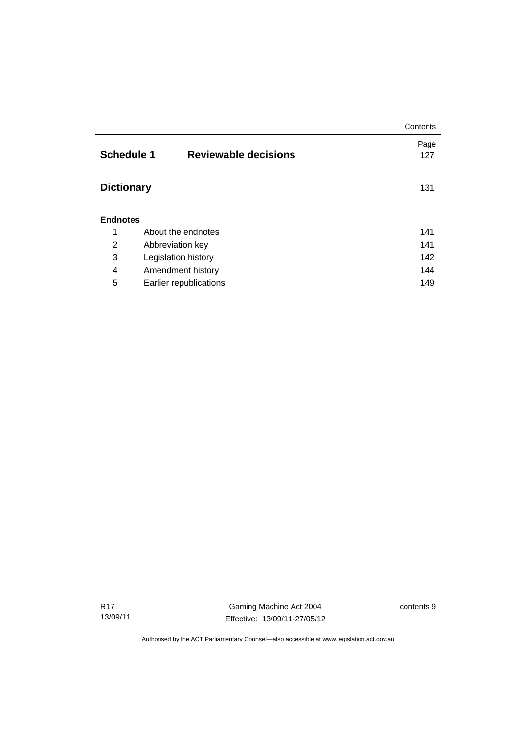|                   |                             | Contents |
|-------------------|-----------------------------|----------|
|                   |                             | Page     |
| <b>Schedule 1</b> | <b>Reviewable decisions</b> | 127      |
|                   |                             |          |
| <b>Dictionary</b> |                             | 131      |
|                   |                             |          |
| <b>Endnotes</b>   |                             |          |
|                   |                             |          |
| 1                 | About the endnotes          | 141      |
| 2                 | Abbreviation key            | 141      |
| 3                 | Legislation history         | 142      |
| 4                 | Amendment history           | 144      |
| 5                 | Earlier republications      | 149      |

Gaming Machine Act 2004 Effective: 13/09/11-27/05/12 contents 9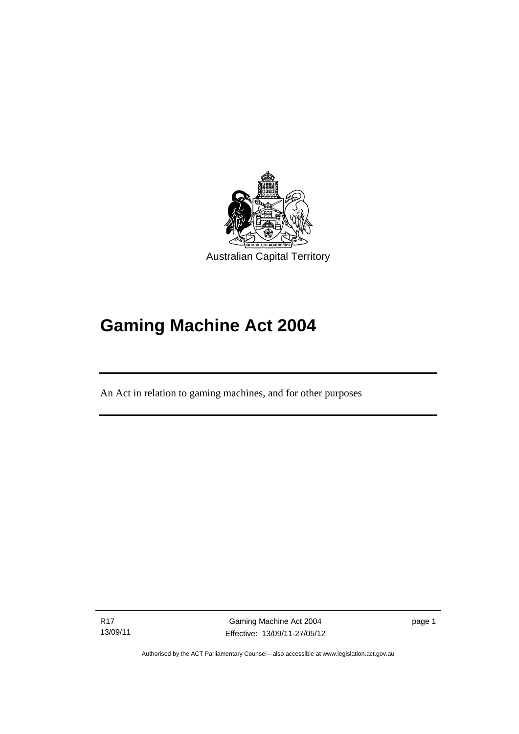

# **Gaming Machine Act 2004**

An Act in relation to gaming machines, and for other purposes

R17 13/09/11

Ī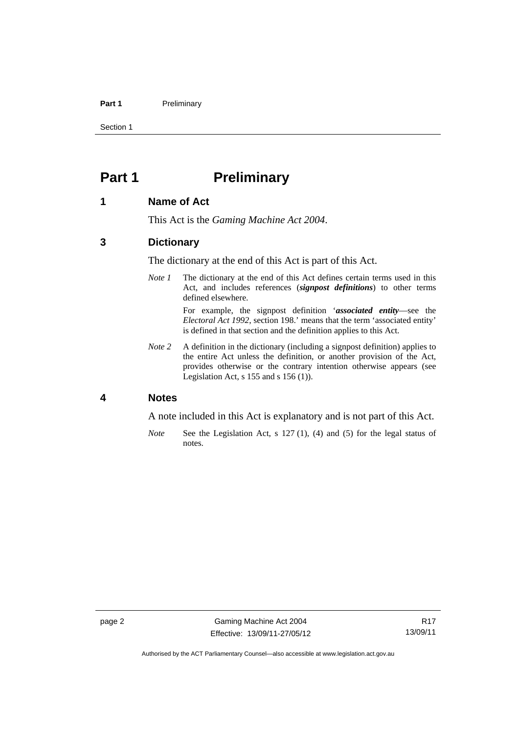#### Part 1 **Preliminary**

Section 1

# <span id="page-13-0"></span>**Part 1** Preliminary

### <span id="page-13-1"></span>**1 Name of Act**

This Act is the *Gaming Machine Act 2004*.

### <span id="page-13-2"></span>**3 Dictionary**

The dictionary at the end of this Act is part of this Act.

*Note 1* The dictionary at the end of this Act defines certain terms used in this Act, and includes references (*signpost definitions*) to other terms defined elsewhere.

> For example, the signpost definition '*associated entity*—see the *Electoral Act 1992*, section 198.' means that the term 'associated entity' is defined in that section and the definition applies to this Act.

*Note 2* A definition in the dictionary (including a signpost definition) applies to the entire Act unless the definition, or another provision of the Act, provides otherwise or the contrary intention otherwise appears (see Legislation Act, s 155 and s 156 (1)).

# <span id="page-13-3"></span>**4 Notes**

A note included in this Act is explanatory and is not part of this Act.

*Note* See the Legislation Act, s 127 (1), (4) and (5) for the legal status of notes.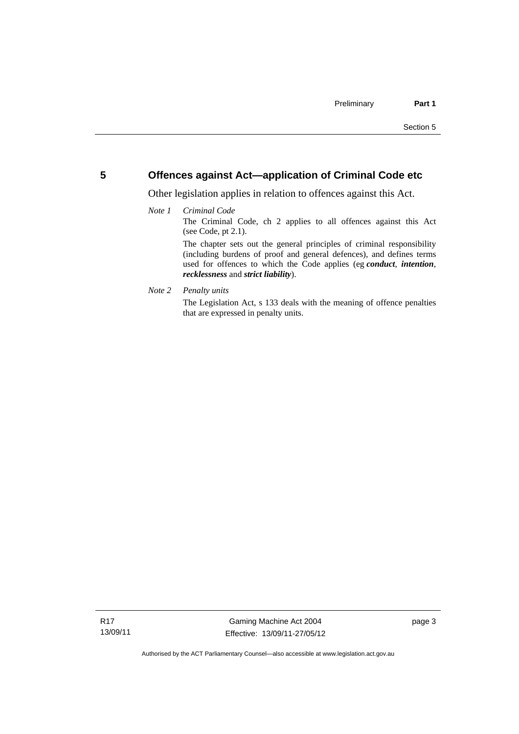## <span id="page-14-0"></span>**5 Offences against Act—application of Criminal Code etc**

Other legislation applies in relation to offences against this Act.

### *Note 1 Criminal Code*

The Criminal Code, ch 2 applies to all offences against this Act (see Code, pt 2.1).

The chapter sets out the general principles of criminal responsibility (including burdens of proof and general defences), and defines terms used for offences to which the Code applies (eg *conduct*, *intention*, *recklessness* and *strict liability*).

### *Note 2 Penalty units*

The Legislation Act, s 133 deals with the meaning of offence penalties that are expressed in penalty units.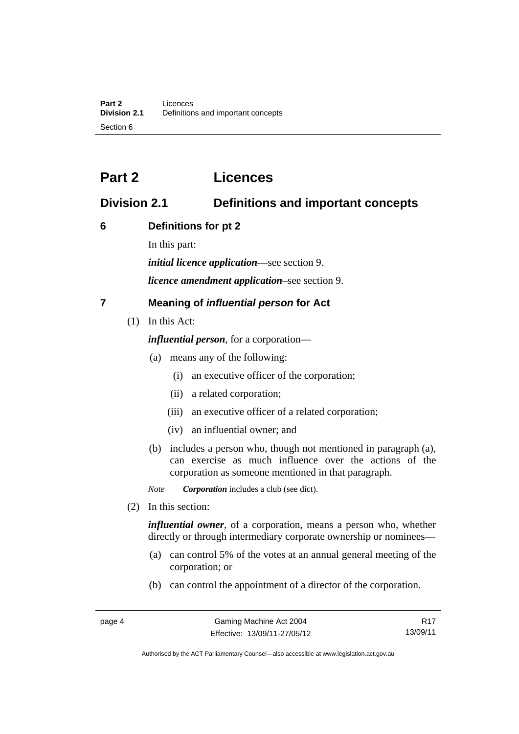# <span id="page-15-0"></span>**Part 2 Licences**

# <span id="page-15-1"></span>**Division 2.1 Definitions and important concepts**

# <span id="page-15-2"></span>**6 Definitions for pt 2**

In this part:

*initial licence application*—see section 9.

*licence amendment application*–see section 9.

# <span id="page-15-3"></span>**7 Meaning of** *influential person* **for Act**

(1) In this Act:

*influential person*, for a corporation—

- (a) means any of the following:
	- (i) an executive officer of the corporation;
	- (ii) a related corporation;
	- (iii) an executive officer of a related corporation;
	- (iv) an influential owner; and
- (b) includes a person who, though not mentioned in paragraph (a), can exercise as much influence over the actions of the corporation as someone mentioned in that paragraph.

*Note Corporation* includes a club (see dict).

(2) In this section:

*influential owner*, of a corporation, means a person who, whether directly or through intermediary corporate ownership or nominees—

- (a) can control 5% of the votes at an annual general meeting of the corporation; or
- (b) can control the appointment of a director of the corporation.

R17 13/09/11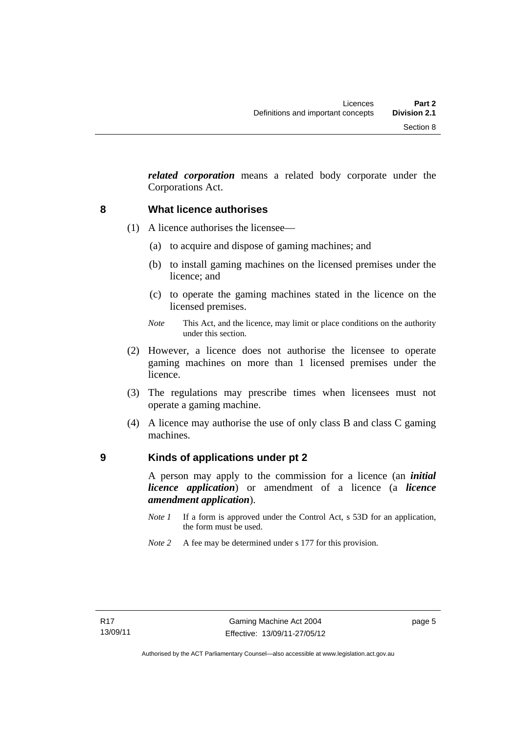*related corporation* means a related body corporate under the Corporations Act.

# <span id="page-16-0"></span>**8 What licence authorises**

- (1) A licence authorises the licensee—
	- (a) to acquire and dispose of gaming machines; and
	- (b) to install gaming machines on the licensed premises under the licence; and
	- (c) to operate the gaming machines stated in the licence on the licensed premises.
	- *Note* This Act, and the licence, may limit or place conditions on the authority under this section.
- (2) However, a licence does not authorise the licensee to operate gaming machines on more than 1 licensed premises under the licence.
- (3) The regulations may prescribe times when licensees must not operate a gaming machine.
- (4) A licence may authorise the use of only class B and class C gaming machines.

## <span id="page-16-1"></span>**9 Kinds of applications under pt 2**

A person may apply to the commission for a licence (an *initial licence application*) or amendment of a licence (a *licence amendment application*).

- *Note 1* If a form is approved under the Control Act, s 53D for an application, the form must be used.
- *Note 2* A fee may be determined under s 177 for this provision.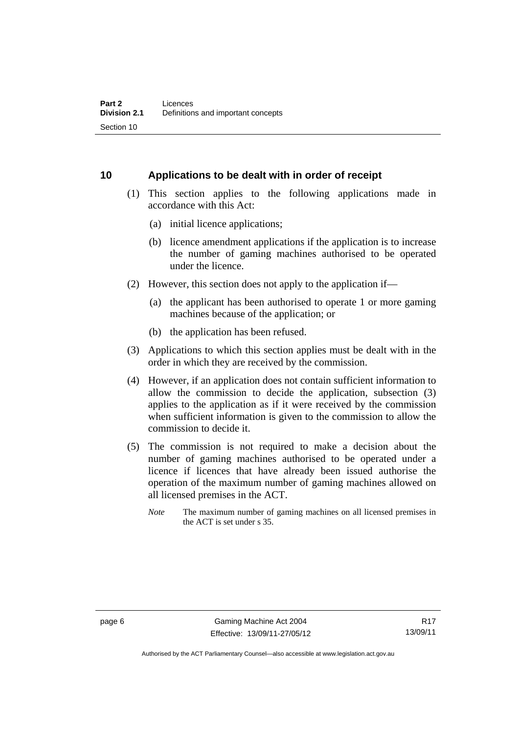# <span id="page-17-0"></span>**10 Applications to be dealt with in order of receipt**

- (1) This section applies to the following applications made in accordance with this Act:
	- (a) initial licence applications;
	- (b) licence amendment applications if the application is to increase the number of gaming machines authorised to be operated under the licence.
- (2) However, this section does not apply to the application if—
	- (a) the applicant has been authorised to operate 1 or more gaming machines because of the application; or
	- (b) the application has been refused.
- (3) Applications to which this section applies must be dealt with in the order in which they are received by the commission.
- (4) However, if an application does not contain sufficient information to allow the commission to decide the application, subsection (3) applies to the application as if it were received by the commission when sufficient information is given to the commission to allow the commission to decide it.
- (5) The commission is not required to make a decision about the number of gaming machines authorised to be operated under a licence if licences that have already been issued authorise the operation of the maximum number of gaming machines allowed on all licensed premises in the ACT.
	- *Note* The maximum number of gaming machines on all licensed premises in the ACT is set under s 35.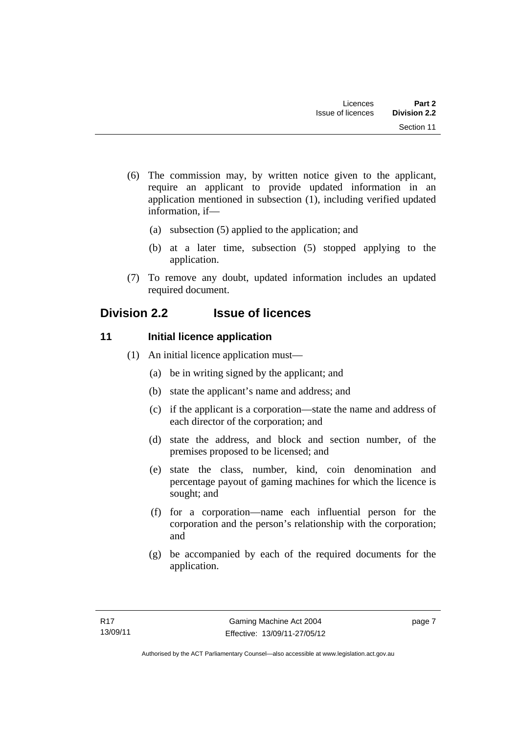- (6) The commission may, by written notice given to the applicant, require an applicant to provide updated information in an application mentioned in subsection (1), including verified updated information, if—
	- (a) subsection (5) applied to the application; and
	- (b) at a later time, subsection (5) stopped applying to the application.
- (7) To remove any doubt, updated information includes an updated required document.

# <span id="page-18-0"></span>**Division 2.2 Issue of licences**

# <span id="page-18-1"></span>**11** Initial licence application

- (1) An initial licence application must—
	- (a) be in writing signed by the applicant; and
	- (b) state the applicant's name and address; and
	- (c) if the applicant is a corporation—state the name and address of each director of the corporation; and
	- (d) state the address, and block and section number, of the premises proposed to be licensed; and
	- (e) state the class, number, kind, coin denomination and percentage payout of gaming machines for which the licence is sought; and
	- (f) for a corporation—name each influential person for the corporation and the person's relationship with the corporation; and
	- (g) be accompanied by each of the required documents for the application.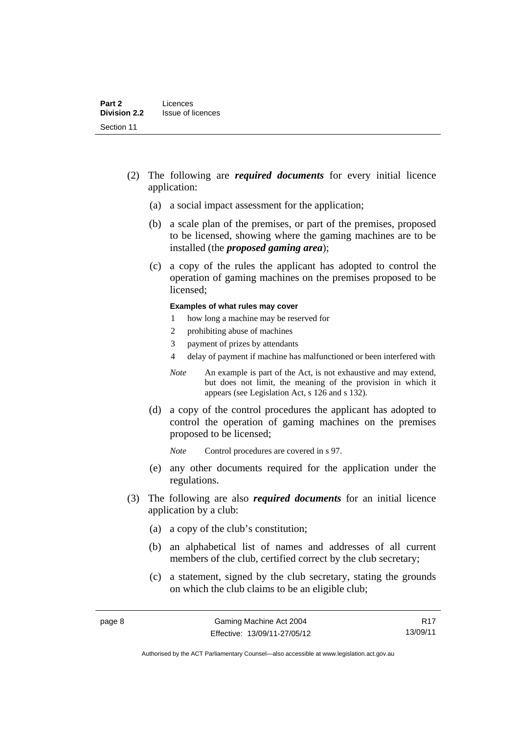- (2) The following are *required documents* for every initial licence application:
	- (a) a social impact assessment for the application;
	- (b) a scale plan of the premises, or part of the premises, proposed to be licensed, showing where the gaming machines are to be installed (the *proposed gaming area*);
	- (c) a copy of the rules the applicant has adopted to control the operation of gaming machines on the premises proposed to be licensed;

#### **Examples of what rules may cover**

- 1 how long a machine may be reserved for
- 2 prohibiting abuse of machines
- 3 payment of prizes by attendants
- 4 delay of payment if machine has malfunctioned or been interfered with
- *Note* An example is part of the Act, is not exhaustive and may extend, but does not limit, the meaning of the provision in which it appears (see Legislation Act, s 126 and s 132).
- (d) a copy of the control procedures the applicant has adopted to control the operation of gaming machines on the premises proposed to be licensed;
	- *Note* Control procedures are covered in s 97.
- (e) any other documents required for the application under the regulations.
- (3) The following are also *required documents* for an initial licence application by a club:
	- (a) a copy of the club's constitution;
	- (b) an alphabetical list of names and addresses of all current members of the club, certified correct by the club secretary;
	- (c) a statement, signed by the club secretary, stating the grounds on which the club claims to be an eligible club;

R17 13/09/11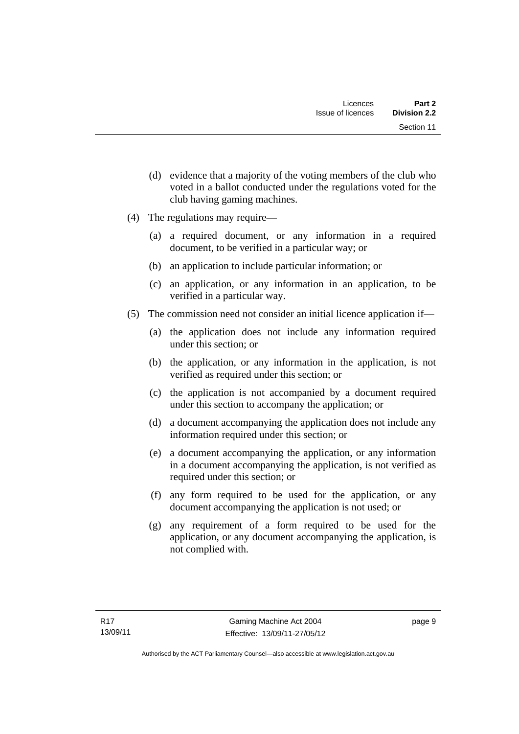- (d) evidence that a majority of the voting members of the club who voted in a ballot conducted under the regulations voted for the club having gaming machines.
- (4) The regulations may require—
	- (a) a required document, or any information in a required document, to be verified in a particular way; or
	- (b) an application to include particular information; or
	- (c) an application, or any information in an application, to be verified in a particular way.
- (5) The commission need not consider an initial licence application if—
	- (a) the application does not include any information required under this section; or
	- (b) the application, or any information in the application, is not verified as required under this section; or
	- (c) the application is not accompanied by a document required under this section to accompany the application; or
	- (d) a document accompanying the application does not include any information required under this section; or
	- (e) a document accompanying the application, or any information in a document accompanying the application, is not verified as required under this section; or
	- (f) any form required to be used for the application, or any document accompanying the application is not used; or
	- (g) any requirement of a form required to be used for the application, or any document accompanying the application, is not complied with.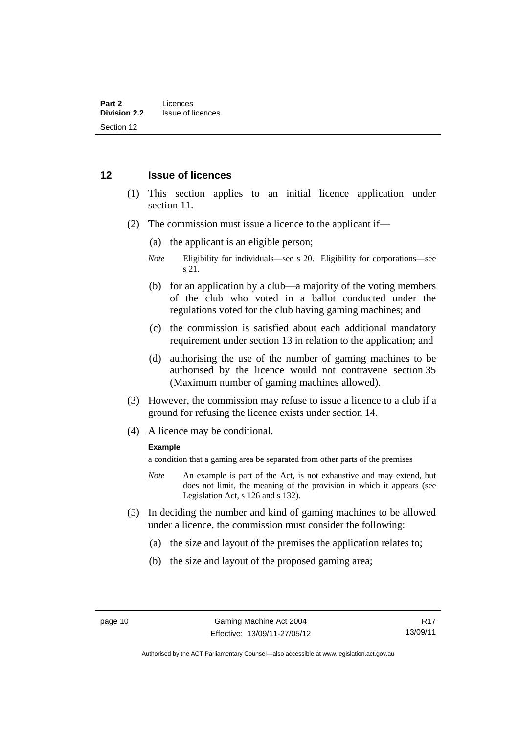## <span id="page-21-0"></span>**12 Issue of licences**

- (1) This section applies to an initial licence application under section 11.
- (2) The commission must issue a licence to the applicant if—
	- (a) the applicant is an eligible person;
	- *Note* Eligibility for individuals—see s 20. Eligibility for corporations—see s 21.
	- (b) for an application by a club—a majority of the voting members of the club who voted in a ballot conducted under the regulations voted for the club having gaming machines; and
	- (c) the commission is satisfied about each additional mandatory requirement under section 13 in relation to the application; and
	- (d) authorising the use of the number of gaming machines to be authorised by the licence would not contravene section 35 (Maximum number of gaming machines allowed).
- (3) However, the commission may refuse to issue a licence to a club if a ground for refusing the licence exists under section 14.
- (4) A licence may be conditional.

### **Example**

a condition that a gaming area be separated from other parts of the premises

- *Note* An example is part of the Act, is not exhaustive and may extend, but does not limit, the meaning of the provision in which it appears (see Legislation Act, s 126 and s 132).
- (5) In deciding the number and kind of gaming machines to be allowed under a licence, the commission must consider the following:
	- (a) the size and layout of the premises the application relates to;
	- (b) the size and layout of the proposed gaming area;

R17 13/09/11

Authorised by the ACT Parliamentary Counsel—also accessible at www.legislation.act.gov.au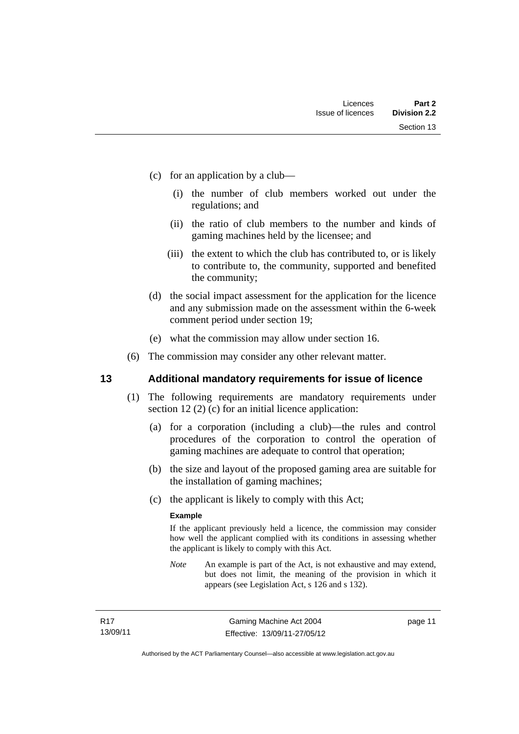- (c) for an application by a club—
	- (i) the number of club members worked out under the regulations; and
	- (ii) the ratio of club members to the number and kinds of gaming machines held by the licensee; and
	- (iii) the extent to which the club has contributed to, or is likely to contribute to, the community, supported and benefited the community;
- (d) the social impact assessment for the application for the licence and any submission made on the assessment within the 6-week comment period under section 19;
- (e) what the commission may allow under section 16.
- (6) The commission may consider any other relevant matter.

## <span id="page-22-0"></span>**13 Additional mandatory requirements for issue of licence**

- (1) The following requirements are mandatory requirements under section 12 (2) (c) for an initial licence application:
	- (a) for a corporation (including a club)—the rules and control procedures of the corporation to control the operation of gaming machines are adequate to control that operation;
	- (b) the size and layout of the proposed gaming area are suitable for the installation of gaming machines;
	- (c) the applicant is likely to comply with this Act;

### **Example**

If the applicant previously held a licence, the commission may consider how well the applicant complied with its conditions in assessing whether the applicant is likely to comply with this Act.

*Note* An example is part of the Act, is not exhaustive and may extend, but does not limit, the meaning of the provision in which it appears (see Legislation Act, s 126 and s 132).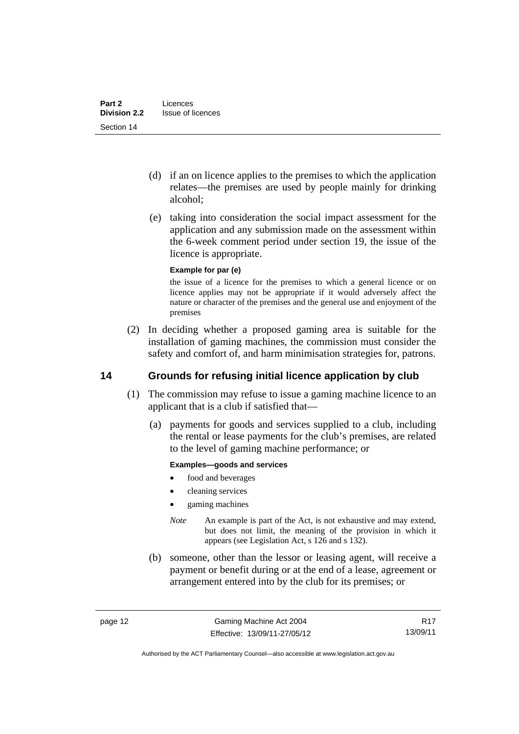- (d) if an on licence applies to the premises to which the application relates—the premises are used by people mainly for drinking alcohol;
- (e) taking into consideration the social impact assessment for the application and any submission made on the assessment within the 6-week comment period under section 19, the issue of the licence is appropriate.

### **Example for par (e)**

the issue of a licence for the premises to which a general licence or on licence applies may not be appropriate if it would adversely affect the nature or character of the premises and the general use and enjoyment of the premises

 (2) In deciding whether a proposed gaming area is suitable for the installation of gaming machines, the commission must consider the safety and comfort of, and harm minimisation strategies for, patrons.

# <span id="page-23-0"></span>**14 Grounds for refusing initial licence application by club**

- (1) The commission may refuse to issue a gaming machine licence to an applicant that is a club if satisfied that—
	- (a) payments for goods and services supplied to a club, including the rental or lease payments for the club's premises, are related to the level of gaming machine performance; or

### **Examples—goods and services**

- food and beverages
- cleaning services
- gaming machines
- *Note* An example is part of the Act, is not exhaustive and may extend, but does not limit, the meaning of the provision in which it appears (see Legislation Act, s 126 and s 132).
- (b) someone, other than the lessor or leasing agent, will receive a payment or benefit during or at the end of a lease, agreement or arrangement entered into by the club for its premises; or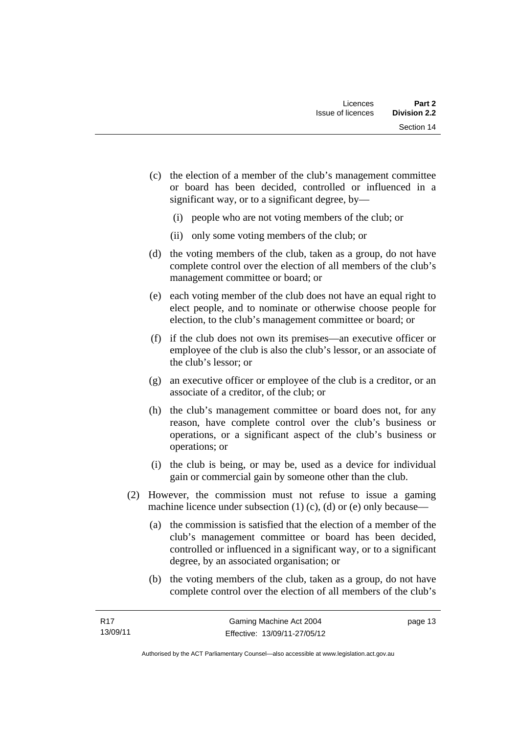- (c) the election of a member of the club's management committee or board has been decided, controlled or influenced in a significant way, or to a significant degree, by—
	- (i) people who are not voting members of the club; or
	- (ii) only some voting members of the club; or
- (d) the voting members of the club, taken as a group, do not have complete control over the election of all members of the club's management committee or board; or
- (e) each voting member of the club does not have an equal right to elect people, and to nominate or otherwise choose people for election, to the club's management committee or board; or
- (f) if the club does not own its premises—an executive officer or employee of the club is also the club's lessor, or an associate of the club's lessor; or
- (g) an executive officer or employee of the club is a creditor, or an associate of a creditor, of the club; or
- (h) the club's management committee or board does not, for any reason, have complete control over the club's business or operations, or a significant aspect of the club's business or operations; or
- (i) the club is being, or may be, used as a device for individual gain or commercial gain by someone other than the club.
- (2) However, the commission must not refuse to issue a gaming machine licence under subsection  $(1)$   $(c)$ ,  $(d)$  or  $(e)$  only because—
	- (a) the commission is satisfied that the election of a member of the club's management committee or board has been decided, controlled or influenced in a significant way, or to a significant degree, by an associated organisation; or
	- (b) the voting members of the club, taken as a group, do not have complete control over the election of all members of the club's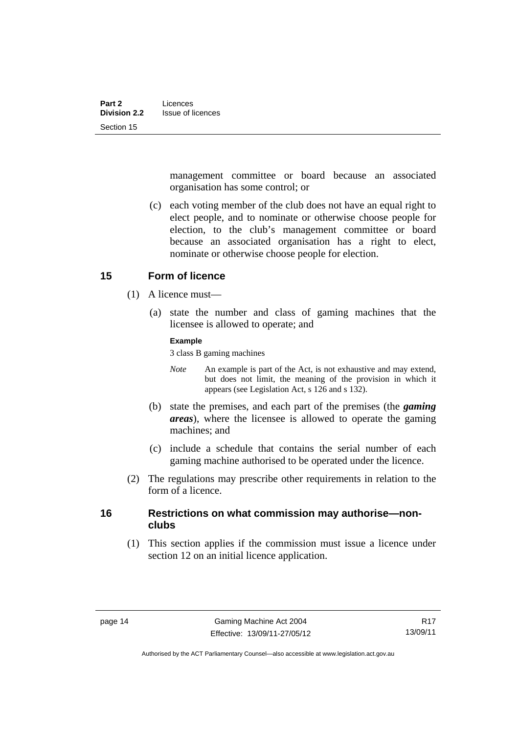management committee or board because an associated organisation has some control; or

 (c) each voting member of the club does not have an equal right to elect people, and to nominate or otherwise choose people for election, to the club's management committee or board because an associated organisation has a right to elect, nominate or otherwise choose people for election.

## <span id="page-25-0"></span>**15 Form of licence**

- (1) A licence must—
	- (a) state the number and class of gaming machines that the licensee is allowed to operate; and

### **Example**

3 class B gaming machines

- *Note* An example is part of the Act, is not exhaustive and may extend, but does not limit, the meaning of the provision in which it appears (see Legislation Act, s 126 and s 132).
- (b) state the premises, and each part of the premises (the *gaming areas*), where the licensee is allowed to operate the gaming machines; and
- (c) include a schedule that contains the serial number of each gaming machine authorised to be operated under the licence.
- (2) The regulations may prescribe other requirements in relation to the form of a licence.

# <span id="page-25-1"></span>**16 Restrictions on what commission may authorise—nonclubs**

 (1) This section applies if the commission must issue a licence under section 12 on an initial licence application.

Authorised by the ACT Parliamentary Counsel—also accessible at www.legislation.act.gov.au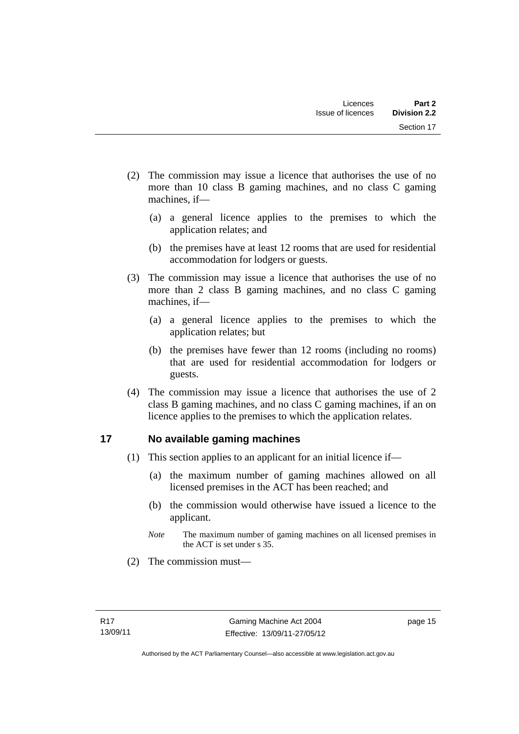- (2) The commission may issue a licence that authorises the use of no more than 10 class B gaming machines, and no class C gaming machines, if—
	- (a) a general licence applies to the premises to which the application relates; and
	- (b) the premises have at least 12 rooms that are used for residential accommodation for lodgers or guests.
- (3) The commission may issue a licence that authorises the use of no more than 2 class B gaming machines, and no class C gaming machines, if—
	- (a) a general licence applies to the premises to which the application relates; but
	- (b) the premises have fewer than 12 rooms (including no rooms) that are used for residential accommodation for lodgers or guests.
- (4) The commission may issue a licence that authorises the use of 2 class B gaming machines, and no class C gaming machines, if an on licence applies to the premises to which the application relates.

# <span id="page-26-0"></span>**17 No available gaming machines**

- (1) This section applies to an applicant for an initial licence if—
	- (a) the maximum number of gaming machines allowed on all licensed premises in the ACT has been reached; and
	- (b) the commission would otherwise have issued a licence to the applicant.
	- *Note* The maximum number of gaming machines on all licensed premises in the ACT is set under s 35.
- (2) The commission must—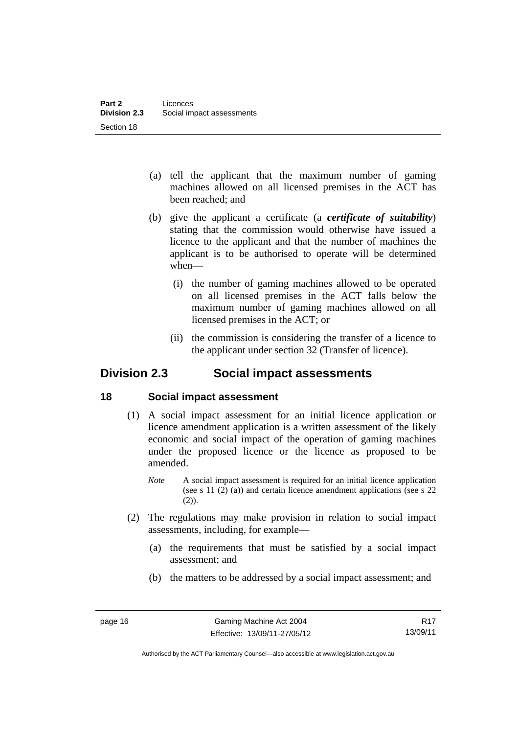- (a) tell the applicant that the maximum number of gaming machines allowed on all licensed premises in the ACT has been reached; and
- (b) give the applicant a certificate (a *certificate of suitability*) stating that the commission would otherwise have issued a licence to the applicant and that the number of machines the applicant is to be authorised to operate will be determined when—
	- (i) the number of gaming machines allowed to be operated on all licensed premises in the ACT falls below the maximum number of gaming machines allowed on all licensed premises in the ACT; or
	- (ii) the commission is considering the transfer of a licence to the applicant under section 32 (Transfer of licence).

# <span id="page-27-0"></span>**Division 2.3 Social impact assessments**

# <span id="page-27-1"></span>**18 Social impact assessment**

- (1) A social impact assessment for an initial licence application or licence amendment application is a written assessment of the likely economic and social impact of the operation of gaming machines under the proposed licence or the licence as proposed to be amended.
	- *Note* A social impact assessment is required for an initial licence application (see s 11 (2) (a)) and certain licence amendment applications (see s 22 (2)).
- (2) The regulations may make provision in relation to social impact assessments, including, for example—
	- (a) the requirements that must be satisfied by a social impact assessment; and
	- (b) the matters to be addressed by a social impact assessment; and

Authorised by the ACT Parliamentary Counsel—also accessible at www.legislation.act.gov.au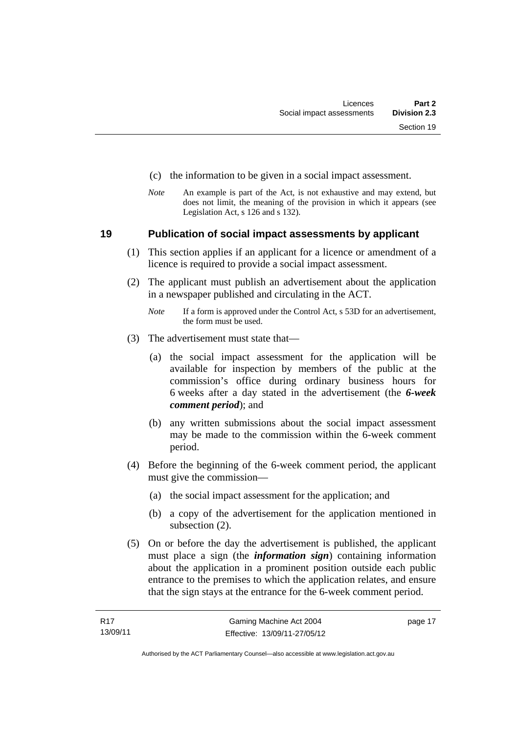- (c) the information to be given in a social impact assessment.
- *Note* An example is part of the Act, is not exhaustive and may extend, but does not limit, the meaning of the provision in which it appears (see Legislation Act, s 126 and s 132).

### <span id="page-28-0"></span>**19 Publication of social impact assessments by applicant**

- (1) This section applies if an applicant for a licence or amendment of a licence is required to provide a social impact assessment.
- (2) The applicant must publish an advertisement about the application in a newspaper published and circulating in the ACT.
	- *Note* If a form is approved under the Control Act, s 53D for an advertisement, the form must be used.
- (3) The advertisement must state that—
	- (a) the social impact assessment for the application will be available for inspection by members of the public at the commission's office during ordinary business hours for 6 weeks after a day stated in the advertisement (the *6-week comment period*); and
	- (b) any written submissions about the social impact assessment may be made to the commission within the 6-week comment period.
- (4) Before the beginning of the 6-week comment period, the applicant must give the commission—
	- (a) the social impact assessment for the application; and
	- (b) a copy of the advertisement for the application mentioned in subsection (2).
- (5) On or before the day the advertisement is published, the applicant must place a sign (the *information sign*) containing information about the application in a prominent position outside each public entrance to the premises to which the application relates, and ensure that the sign stays at the entrance for the 6-week comment period.

page 17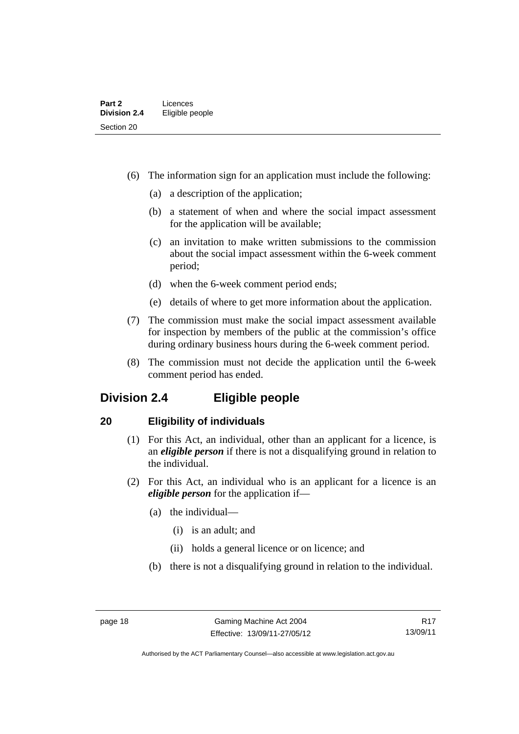- (6) The information sign for an application must include the following:
	- (a) a description of the application;
	- (b) a statement of when and where the social impact assessment for the application will be available;
	- (c) an invitation to make written submissions to the commission about the social impact assessment within the 6-week comment period;
	- (d) when the 6-week comment period ends;
	- (e) details of where to get more information about the application.
- (7) The commission must make the social impact assessment available for inspection by members of the public at the commission's office during ordinary business hours during the 6-week comment period.
- (8) The commission must not decide the application until the 6-week comment period has ended.

# <span id="page-29-0"></span>**Division 2.4 Eligible people**

# <span id="page-29-1"></span>**20 Eligibility of individuals**

- (1) For this Act, an individual, other than an applicant for a licence, is an *eligible person* if there is not a disqualifying ground in relation to the individual.
- (2) For this Act, an individual who is an applicant for a licence is an *eligible person* for the application if—
	- (a) the individual—
		- (i) is an adult; and
		- (ii) holds a general licence or on licence; and
	- (b) there is not a disqualifying ground in relation to the individual.

Authorised by the ACT Parliamentary Counsel—also accessible at www.legislation.act.gov.au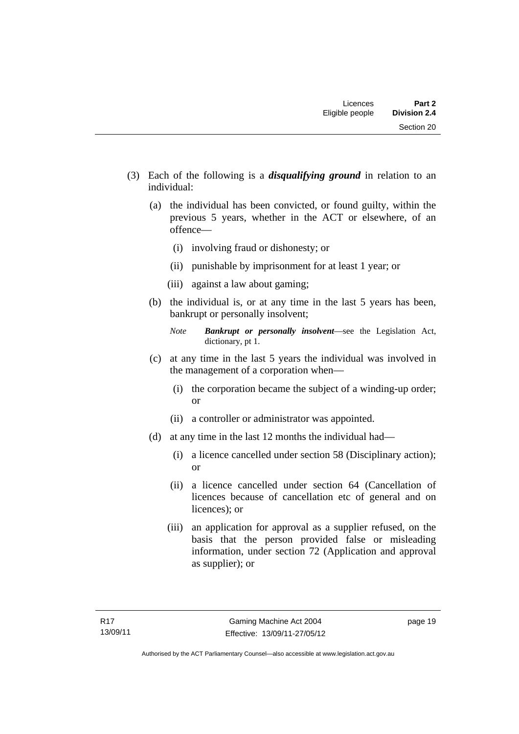- (3) Each of the following is a *disqualifying ground* in relation to an individual:
	- (a) the individual has been convicted, or found guilty, within the previous 5 years, whether in the ACT or elsewhere, of an offence—
		- (i) involving fraud or dishonesty; or
		- (ii) punishable by imprisonment for at least 1 year; or
		- (iii) against a law about gaming;
	- (b) the individual is, or at any time in the last 5 years has been, bankrupt or personally insolvent;

- (c) at any time in the last 5 years the individual was involved in the management of a corporation when—
	- (i) the corporation became the subject of a winding-up order; or
	- (ii) a controller or administrator was appointed.
- (d) at any time in the last 12 months the individual had—
	- (i) a licence cancelled under section 58 (Disciplinary action); or
	- (ii) a licence cancelled under section 64 (Cancellation of licences because of cancellation etc of general and on licences); or
	- (iii) an application for approval as a supplier refused, on the basis that the person provided false or misleading information, under section 72 (Application and approval as supplier); or

*Note Bankrupt or personally insolvent*—see the Legislation Act, dictionary, pt 1.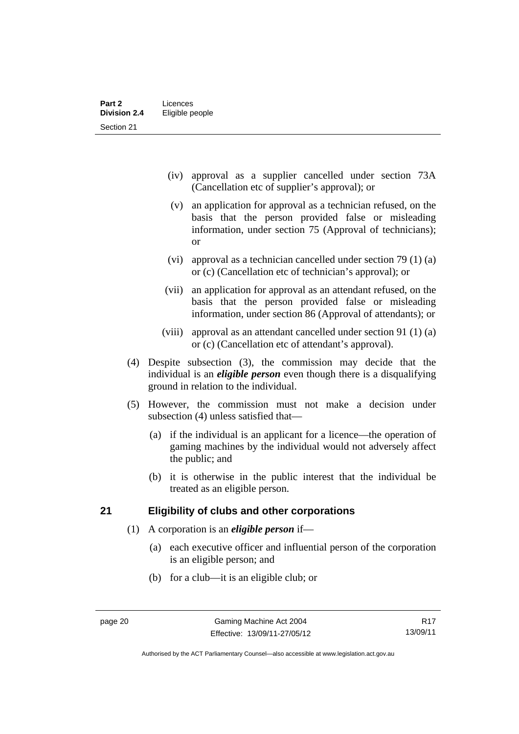- (iv) approval as a supplier cancelled under section 73A (Cancellation etc of supplier's approval); or
- (v) an application for approval as a technician refused, on the basis that the person provided false or misleading information, under section 75 (Approval of technicians); or
- (vi) approval as a technician cancelled under section 79 (1) (a) or (c) (Cancellation etc of technician's approval); or
- (vii) an application for approval as an attendant refused, on the basis that the person provided false or misleading information, under section 86 (Approval of attendants); or
- (viii) approval as an attendant cancelled under section 91 (1) (a) or (c) (Cancellation etc of attendant's approval).
- (4) Despite subsection (3), the commission may decide that the individual is an *eligible person* even though there is a disqualifying ground in relation to the individual.
- (5) However, the commission must not make a decision under subsection (4) unless satisfied that—
	- (a) if the individual is an applicant for a licence—the operation of gaming machines by the individual would not adversely affect the public; and
	- (b) it is otherwise in the public interest that the individual be treated as an eligible person.

# <span id="page-31-0"></span>**21 Eligibility of clubs and other corporations**

- (1) A corporation is an *eligible person* if—
	- (a) each executive officer and influential person of the corporation is an eligible person; and
	- (b) for a club—it is an eligible club; or

Authorised by the ACT Parliamentary Counsel—also accessible at www.legislation.act.gov.au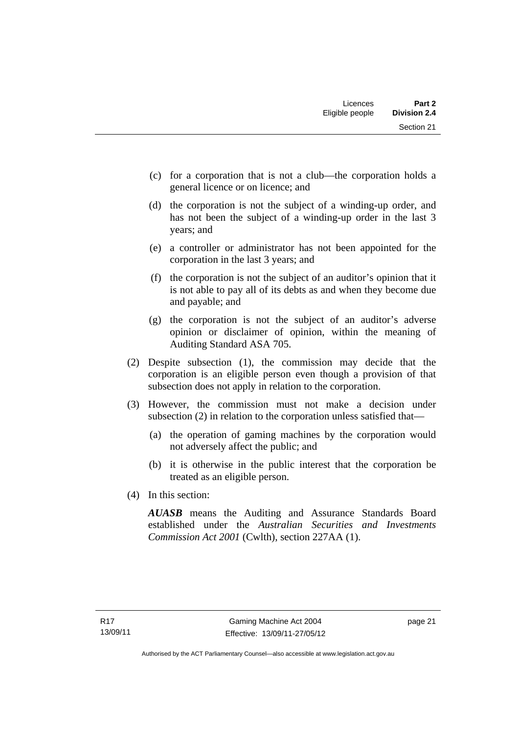- (c) for a corporation that is not a club—the corporation holds a general licence or on licence; and
- (d) the corporation is not the subject of a winding-up order, and has not been the subject of a winding-up order in the last 3 years; and
- (e) a controller or administrator has not been appointed for the corporation in the last 3 years; and
- (f) the corporation is not the subject of an auditor's opinion that it is not able to pay all of its debts as and when they become due and payable; and
- (g) the corporation is not the subject of an auditor's adverse opinion or disclaimer of opinion, within the meaning of Auditing Standard ASA 705.
- (2) Despite subsection (1), the commission may decide that the corporation is an eligible person even though a provision of that subsection does not apply in relation to the corporation.
- (3) However, the commission must not make a decision under subsection (2) in relation to the corporation unless satisfied that—
	- (a) the operation of gaming machines by the corporation would not adversely affect the public; and
	- (b) it is otherwise in the public interest that the corporation be treated as an eligible person.
- (4) In this section:

*AUASB* means the Auditing and Assurance Standards Board established under the *Australian Securities and Investments Commission Act 2001* (Cwlth), section 227AA (1).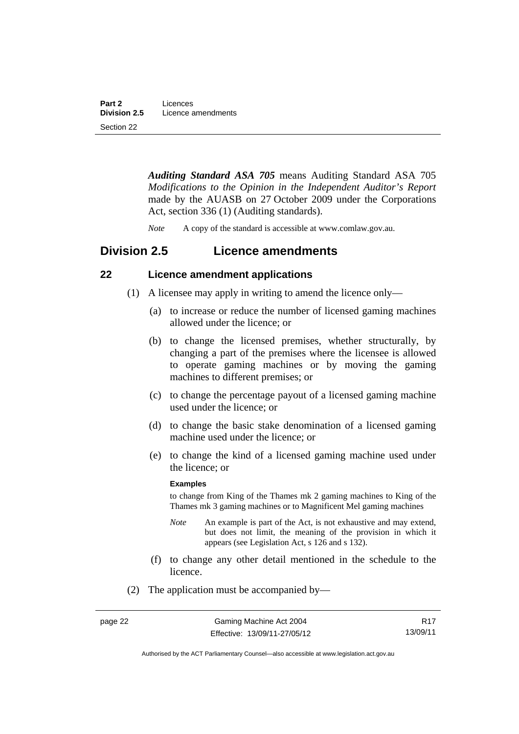*Auditing Standard ASA 705* means Auditing Standard ASA 705 *Modifications to the Opinion in the Independent Auditor's Report* made by the AUASB on 27 October 2009 under the Corporations Act, section 336 (1) (Auditing standards).

*Note* A copy of the standard is accessible at www.comlaw.gov.au.

# <span id="page-33-0"></span>**Division 2.5 Licence amendments**

# <span id="page-33-1"></span>**22 Licence amendment applications**

- (1) A licensee may apply in writing to amend the licence only—
	- (a) to increase or reduce the number of licensed gaming machines allowed under the licence; or
	- (b) to change the licensed premises, whether structurally, by changing a part of the premises where the licensee is allowed to operate gaming machines or by moving the gaming machines to different premises; or
	- (c) to change the percentage payout of a licensed gaming machine used under the licence; or
	- (d) to change the basic stake denomination of a licensed gaming machine used under the licence; or
	- (e) to change the kind of a licensed gaming machine used under the licence; or

#### **Examples**

to change from King of the Thames mk 2 gaming machines to King of the Thames mk 3 gaming machines or to Magnificent Mel gaming machines

- *Note* An example is part of the Act, is not exhaustive and may extend, but does not limit, the meaning of the provision in which it appears (see Legislation Act, s 126 and s 132).
- (f) to change any other detail mentioned in the schedule to the licence.
- (2) The application must be accompanied by—

R17 13/09/11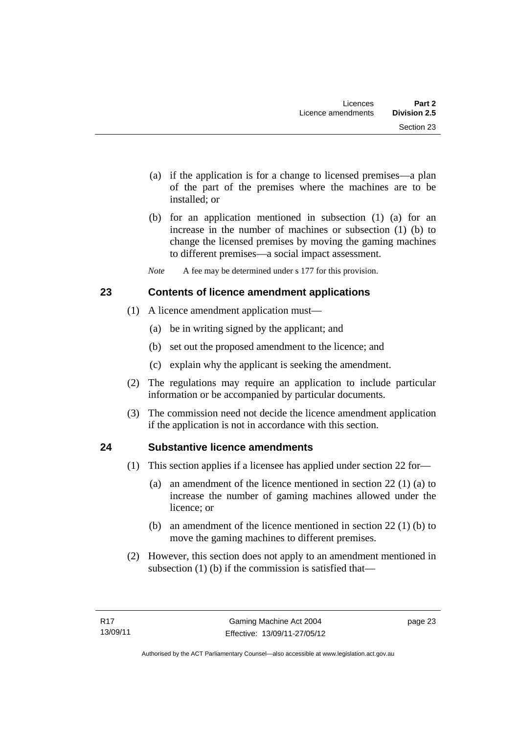- (a) if the application is for a change to licensed premises—a plan of the part of the premises where the machines are to be installed; or
- (b) for an application mentioned in subsection (1) (a) for an increase in the number of machines or subsection (1) (b) to change the licensed premises by moving the gaming machines to different premises—a social impact assessment.
- *Note* A fee may be determined under s 177 for this provision.

# <span id="page-34-0"></span>**23 Contents of licence amendment applications**

- (1) A licence amendment application must—
	- (a) be in writing signed by the applicant; and
	- (b) set out the proposed amendment to the licence; and
	- (c) explain why the applicant is seeking the amendment.
- (2) The regulations may require an application to include particular information or be accompanied by particular documents.
- (3) The commission need not decide the licence amendment application if the application is not in accordance with this section.

# <span id="page-34-1"></span>**24 Substantive licence amendments**

- (1) This section applies if a licensee has applied under section 22 for—
	- (a) an amendment of the licence mentioned in section 22 (1) (a) to increase the number of gaming machines allowed under the licence; or
	- (b) an amendment of the licence mentioned in section 22 (1) (b) to move the gaming machines to different premises.
- (2) However, this section does not apply to an amendment mentioned in subsection (1) (b) if the commission is satisfied that—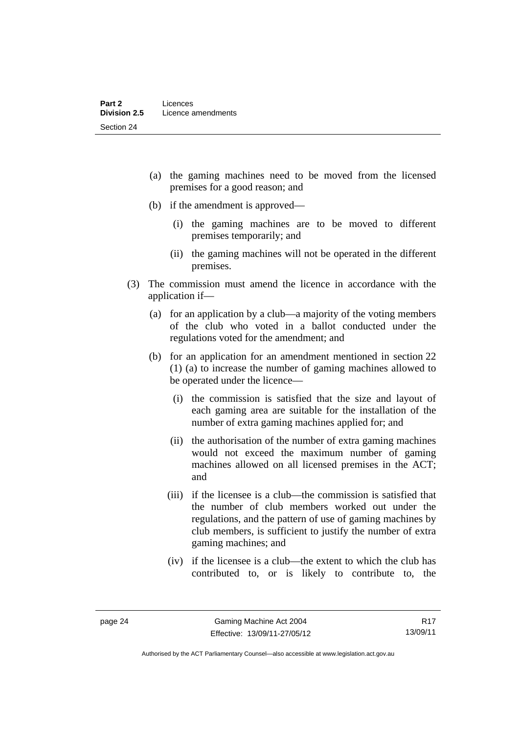- (a) the gaming machines need to be moved from the licensed premises for a good reason; and
- (b) if the amendment is approved—
	- (i) the gaming machines are to be moved to different premises temporarily; and
	- (ii) the gaming machines will not be operated in the different premises.
- (3) The commission must amend the licence in accordance with the application if—
	- (a) for an application by a club—a majority of the voting members of the club who voted in a ballot conducted under the regulations voted for the amendment; and
	- (b) for an application for an amendment mentioned in section 22 (1) (a) to increase the number of gaming machines allowed to be operated under the licence—
		- (i) the commission is satisfied that the size and layout of each gaming area are suitable for the installation of the number of extra gaming machines applied for; and
		- (ii) the authorisation of the number of extra gaming machines would not exceed the maximum number of gaming machines allowed on all licensed premises in the ACT; and
		- (iii) if the licensee is a club—the commission is satisfied that the number of club members worked out under the regulations, and the pattern of use of gaming machines by club members, is sufficient to justify the number of extra gaming machines; and
		- (iv) if the licensee is a club—the extent to which the club has contributed to, or is likely to contribute to, the

Authorised by the ACT Parliamentary Counsel—also accessible at www.legislation.act.gov.au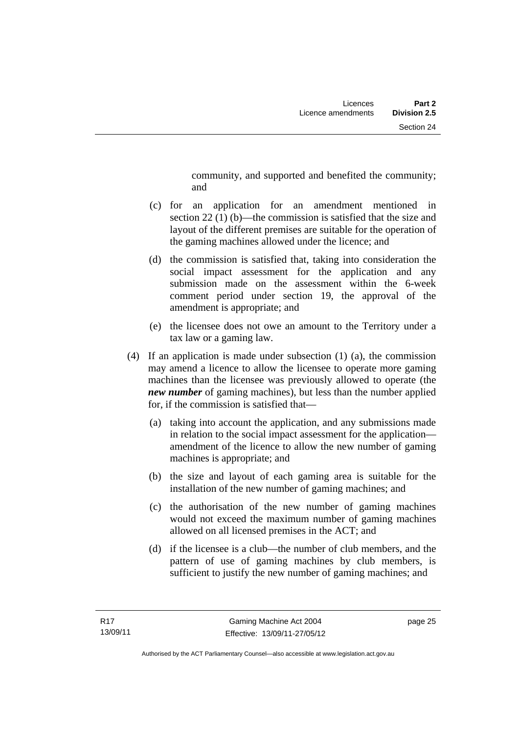community, and supported and benefited the community; and

- (c) for an application for an amendment mentioned in section 22 (1) (b)—the commission is satisfied that the size and layout of the different premises are suitable for the operation of the gaming machines allowed under the licence; and
- (d) the commission is satisfied that, taking into consideration the social impact assessment for the application and any submission made on the assessment within the 6-week comment period under section 19, the approval of the amendment is appropriate; and
- (e) the licensee does not owe an amount to the Territory under a tax law or a gaming law.
- (4) If an application is made under subsection (1) (a), the commission may amend a licence to allow the licensee to operate more gaming machines than the licensee was previously allowed to operate (the *new number* of gaming machines), but less than the number applied for, if the commission is satisfied that—
	- (a) taking into account the application, and any submissions made in relation to the social impact assessment for the application amendment of the licence to allow the new number of gaming machines is appropriate; and
	- (b) the size and layout of each gaming area is suitable for the installation of the new number of gaming machines; and
	- (c) the authorisation of the new number of gaming machines would not exceed the maximum number of gaming machines allowed on all licensed premises in the ACT; and
	- (d) if the licensee is a club—the number of club members, and the pattern of use of gaming machines by club members, is sufficient to justify the new number of gaming machines; and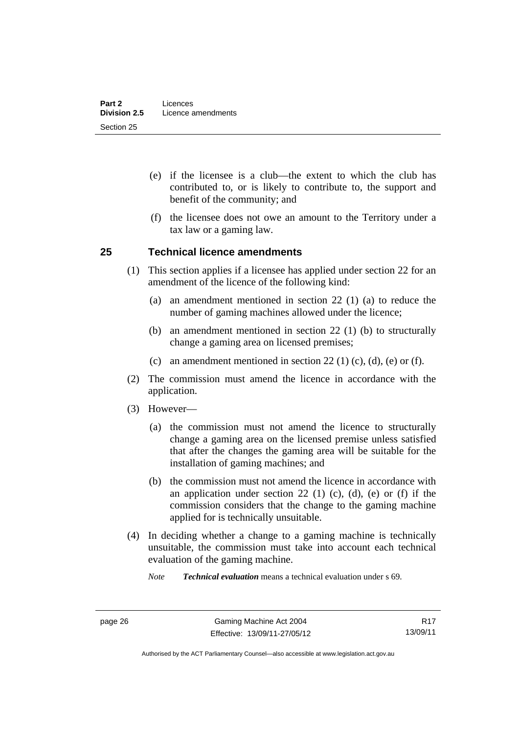- (e) if the licensee is a club—the extent to which the club has contributed to, or is likely to contribute to, the support and benefit of the community; and
- (f) the licensee does not owe an amount to the Territory under a tax law or a gaming law.

#### **25 Technical licence amendments**

- (1) This section applies if a licensee has applied under section 22 for an amendment of the licence of the following kind:
	- (a) an amendment mentioned in section 22 (1) (a) to reduce the number of gaming machines allowed under the licence;
	- (b) an amendment mentioned in section 22 (1) (b) to structurally change a gaming area on licensed premises;
	- (c) an amendment mentioned in section 22 (1) (c), (d), (e) or (f).
- (2) The commission must amend the licence in accordance with the application.
- (3) However—
	- (a) the commission must not amend the licence to structurally change a gaming area on the licensed premise unless satisfied that after the changes the gaming area will be suitable for the installation of gaming machines; and
	- (b) the commission must not amend the licence in accordance with an application under section 22 (1) (c), (d), (e) or (f) if the commission considers that the change to the gaming machine applied for is technically unsuitable.
- (4) In deciding whether a change to a gaming machine is technically unsuitable, the commission must take into account each technical evaluation of the gaming machine.

*Note Technical evaluation* means a technical evaluation under s 69.

R17 13/09/11

Authorised by the ACT Parliamentary Counsel—also accessible at www.legislation.act.gov.au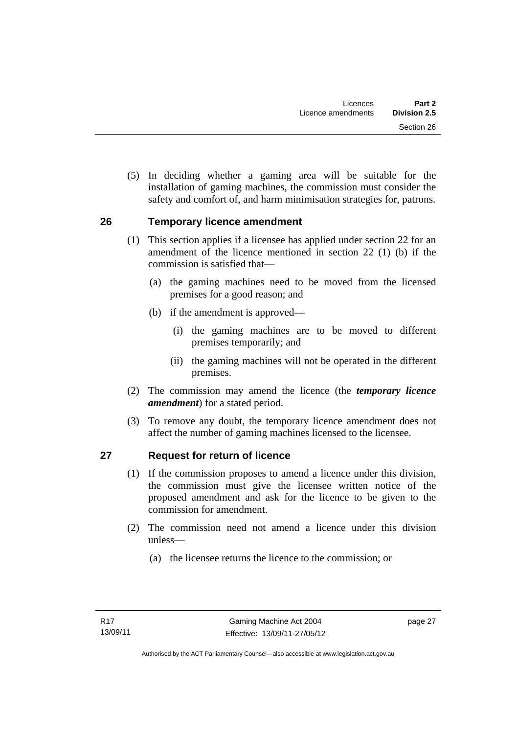(5) In deciding whether a gaming area will be suitable for the installation of gaming machines, the commission must consider the safety and comfort of, and harm minimisation strategies for, patrons.

#### **26 Temporary licence amendment**

- (1) This section applies if a licensee has applied under section 22 for an amendment of the licence mentioned in section 22 (1) (b) if the commission is satisfied that—
	- (a) the gaming machines need to be moved from the licensed premises for a good reason; and
	- (b) if the amendment is approved—
		- (i) the gaming machines are to be moved to different premises temporarily; and
		- (ii) the gaming machines will not be operated in the different premises.
- (2) The commission may amend the licence (the *temporary licence amendment*) for a stated period.
- (3) To remove any doubt, the temporary licence amendment does not affect the number of gaming machines licensed to the licensee.

## **27 Request for return of licence**

- (1) If the commission proposes to amend a licence under this division, the commission must give the licensee written notice of the proposed amendment and ask for the licence to be given to the commission for amendment.
- (2) The commission need not amend a licence under this division unless—
	- (a) the licensee returns the licence to the commission; or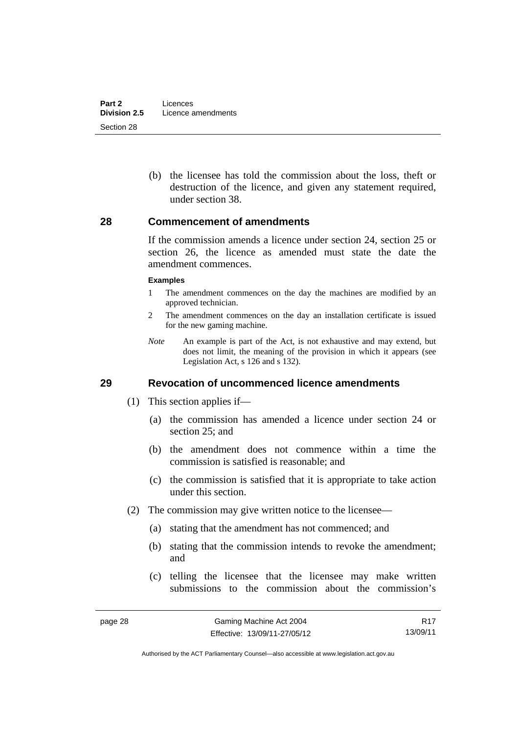(b) the licensee has told the commission about the loss, theft or destruction of the licence, and given any statement required, under section 38.

#### **28 Commencement of amendments**

If the commission amends a licence under section 24, section 25 or section 26, the licence as amended must state the date the amendment commences.

#### **Examples**

- 1 The amendment commences on the day the machines are modified by an approved technician.
- 2 The amendment commences on the day an installation certificate is issued for the new gaming machine.
- *Note* An example is part of the Act, is not exhaustive and may extend, but does not limit, the meaning of the provision in which it appears (see Legislation Act, s 126 and s 132).

#### **29 Revocation of uncommenced licence amendments**

- (1) This section applies if—
	- (a) the commission has amended a licence under section 24 or section 25; and
	- (b) the amendment does not commence within a time the commission is satisfied is reasonable; and
	- (c) the commission is satisfied that it is appropriate to take action under this section.
- (2) The commission may give written notice to the licensee—
	- (a) stating that the amendment has not commenced; and
	- (b) stating that the commission intends to revoke the amendment; and
	- (c) telling the licensee that the licensee may make written submissions to the commission about the commission's

R17 13/09/11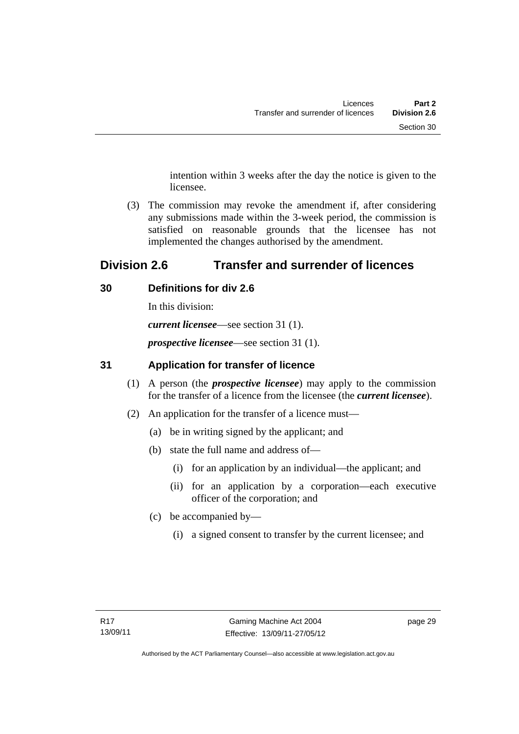intention within 3 weeks after the day the notice is given to the licensee.

 (3) The commission may revoke the amendment if, after considering any submissions made within the 3-week period, the commission is satisfied on reasonable grounds that the licensee has not implemented the changes authorised by the amendment.

# **Division 2.6 Transfer and surrender of licences**

# **30 Definitions for div 2.6**

In this division:

*current licensee*—see section 31 (1).

*prospective licensee*—see section 31 (1).

# **31 Application for transfer of licence**

- (1) A person (the *prospective licensee*) may apply to the commission for the transfer of a licence from the licensee (the *current licensee*).
- (2) An application for the transfer of a licence must—
	- (a) be in writing signed by the applicant; and
	- (b) state the full name and address of—
		- (i) for an application by an individual—the applicant; and
		- (ii) for an application by a corporation—each executive officer of the corporation; and
	- (c) be accompanied by—
		- (i) a signed consent to transfer by the current licensee; and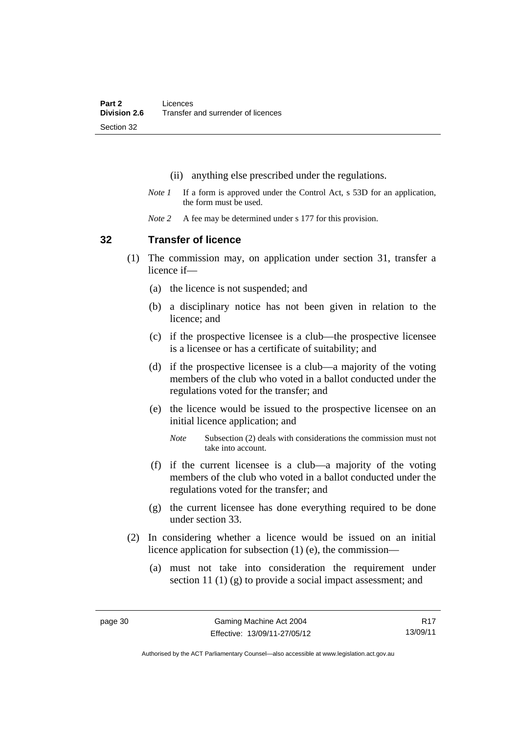- (ii) anything else prescribed under the regulations.
- *Note 1* If a form is approved under the Control Act, s 53D for an application, the form must be used.
- *Note 2* A fee may be determined under s 177 for this provision.

#### **32 Transfer of licence**

- (1) The commission may, on application under section 31, transfer a licence if—
	- (a) the licence is not suspended; and
	- (b) a disciplinary notice has not been given in relation to the licence; and
	- (c) if the prospective licensee is a club—the prospective licensee is a licensee or has a certificate of suitability; and
	- (d) if the prospective licensee is a club—a majority of the voting members of the club who voted in a ballot conducted under the regulations voted for the transfer; and
	- (e) the licence would be issued to the prospective licensee on an initial licence application; and
		- *Note* Subsection (2) deals with considerations the commission must not take into account.
	- (f) if the current licensee is a club—a majority of the voting members of the club who voted in a ballot conducted under the regulations voted for the transfer; and
	- (g) the current licensee has done everything required to be done under section 33.
- (2) In considering whether a licence would be issued on an initial licence application for subsection (1) (e), the commission—
	- (a) must not take into consideration the requirement under section 11 (1) (g) to provide a social impact assessment; and

R17 13/09/11

Authorised by the ACT Parliamentary Counsel—also accessible at www.legislation.act.gov.au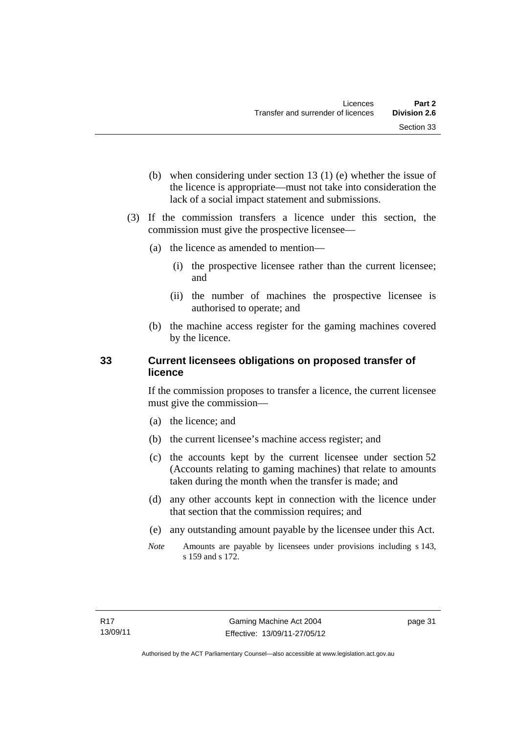- (b) when considering under section 13 (1) (e) whether the issue of the licence is appropriate—must not take into consideration the lack of a social impact statement and submissions.
- (3) If the commission transfers a licence under this section, the commission must give the prospective licensee—
	- (a) the licence as amended to mention—
		- (i) the prospective licensee rather than the current licensee; and
		- (ii) the number of machines the prospective licensee is authorised to operate; and
	- (b) the machine access register for the gaming machines covered by the licence.

#### **33 Current licensees obligations on proposed transfer of licence**

If the commission proposes to transfer a licence, the current licensee must give the commission—

- (a) the licence; and
- (b) the current licensee's machine access register; and
- (c) the accounts kept by the current licensee under section 52 (Accounts relating to gaming machines) that relate to amounts taken during the month when the transfer is made; and
- (d) any other accounts kept in connection with the licence under that section that the commission requires; and
- (e) any outstanding amount payable by the licensee under this Act.
- *Note* Amounts are payable by licensees under provisions including s 143, s 159 and s 172.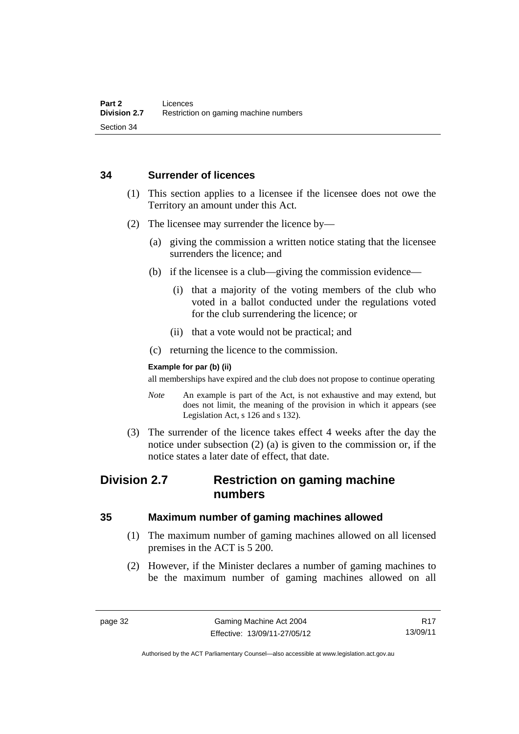#### **34 Surrender of licences**

- (1) This section applies to a licensee if the licensee does not owe the Territory an amount under this Act.
- (2) The licensee may surrender the licence by—
	- (a) giving the commission a written notice stating that the licensee surrenders the licence; and
	- (b) if the licensee is a club—giving the commission evidence—
		- (i) that a majority of the voting members of the club who voted in a ballot conducted under the regulations voted for the club surrendering the licence; or
		- (ii) that a vote would not be practical; and
	- (c) returning the licence to the commission.

#### **Example for par (b) (ii)**

all memberships have expired and the club does not propose to continue operating

- *Note* An example is part of the Act, is not exhaustive and may extend, but does not limit, the meaning of the provision in which it appears (see Legislation Act, s 126 and s 132).
- (3) The surrender of the licence takes effect 4 weeks after the day the notice under subsection (2) (a) is given to the commission or, if the notice states a later date of effect, that date.

# **Division 2.7 Restriction on gaming machine numbers**

## **35 Maximum number of gaming machines allowed**

- (1) The maximum number of gaming machines allowed on all licensed premises in the ACT is 5 200.
- (2) However, if the Minister declares a number of gaming machines to be the maximum number of gaming machines allowed on all

R17 13/09/11

Authorised by the ACT Parliamentary Counsel—also accessible at www.legislation.act.gov.au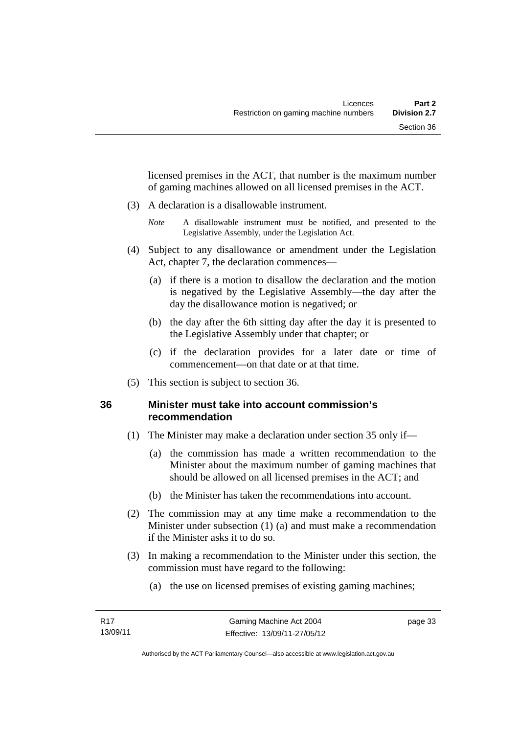licensed premises in the ACT, that number is the maximum number of gaming machines allowed on all licensed premises in the ACT.

- (3) A declaration is a disallowable instrument.
	- *Note* A disallowable instrument must be notified, and presented to the Legislative Assembly, under the Legislation Act.
- (4) Subject to any disallowance or amendment under the Legislation Act, chapter 7, the declaration commences—
	- (a) if there is a motion to disallow the declaration and the motion is negatived by the Legislative Assembly—the day after the day the disallowance motion is negatived; or
	- (b) the day after the 6th sitting day after the day it is presented to the Legislative Assembly under that chapter; or
	- (c) if the declaration provides for a later date or time of commencement—on that date or at that time.
- (5) This section is subject to section 36.

## **36 Minister must take into account commission's recommendation**

- (1) The Minister may make a declaration under section 35 only if—
	- (a) the commission has made a written recommendation to the Minister about the maximum number of gaming machines that should be allowed on all licensed premises in the ACT; and
	- (b) the Minister has taken the recommendations into account.
- (2) The commission may at any time make a recommendation to the Minister under subsection (1) (a) and must make a recommendation if the Minister asks it to do so.
- (3) In making a recommendation to the Minister under this section, the commission must have regard to the following:
	- (a) the use on licensed premises of existing gaming machines;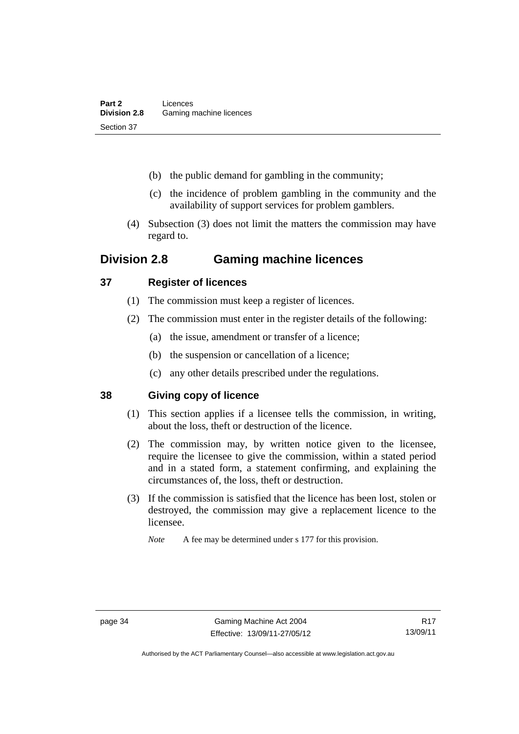- (b) the public demand for gambling in the community;
- (c) the incidence of problem gambling in the community and the availability of support services for problem gamblers.
- (4) Subsection (3) does not limit the matters the commission may have regard to.

# **Division 2.8 Gaming machine licences**

## **37 Register of licences**

- (1) The commission must keep a register of licences.
- (2) The commission must enter in the register details of the following:
	- (a) the issue, amendment or transfer of a licence;
	- (b) the suspension or cancellation of a licence;
	- (c) any other details prescribed under the regulations.

## **38 Giving copy of licence**

- (1) This section applies if a licensee tells the commission, in writing, about the loss, theft or destruction of the licence.
- (2) The commission may, by written notice given to the licensee, require the licensee to give the commission, within a stated period and in a stated form, a statement confirming, and explaining the circumstances of, the loss, theft or destruction.
- (3) If the commission is satisfied that the licence has been lost, stolen or destroyed, the commission may give a replacement licence to the licensee.

*Note* A fee may be determined under s 177 for this provision.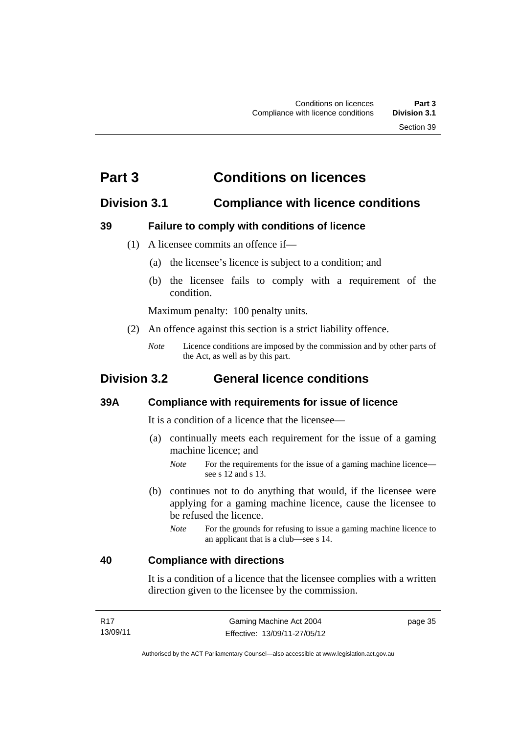# **Part 3 Conditions on licences**

## **Division 3.1 Compliance with licence conditions**

#### **39 Failure to comply with conditions of licence**

- (1) A licensee commits an offence if—
	- (a) the licensee's licence is subject to a condition; and
	- (b) the licensee fails to comply with a requirement of the condition.

Maximum penalty: 100 penalty units.

- (2) An offence against this section is a strict liability offence.
	- *Note* Licence conditions are imposed by the commission and by other parts of the Act, as well as by this part.

# **Division 3.2 General licence conditions**

#### **39A Compliance with requirements for issue of licence**

It is a condition of a licence that the licensee—

- (a) continually meets each requirement for the issue of a gaming machine licence; and
	- *Note* For the requirements for the issue of a gaming machine licence see s 12 and s 13.
- (b) continues not to do anything that would, if the licensee were applying for a gaming machine licence, cause the licensee to be refused the licence.
	- *Note* For the grounds for refusing to issue a gaming machine licence to an applicant that is a club—see s 14.

#### **40 Compliance with directions**

It is a condition of a licence that the licensee complies with a written direction given to the licensee by the commission.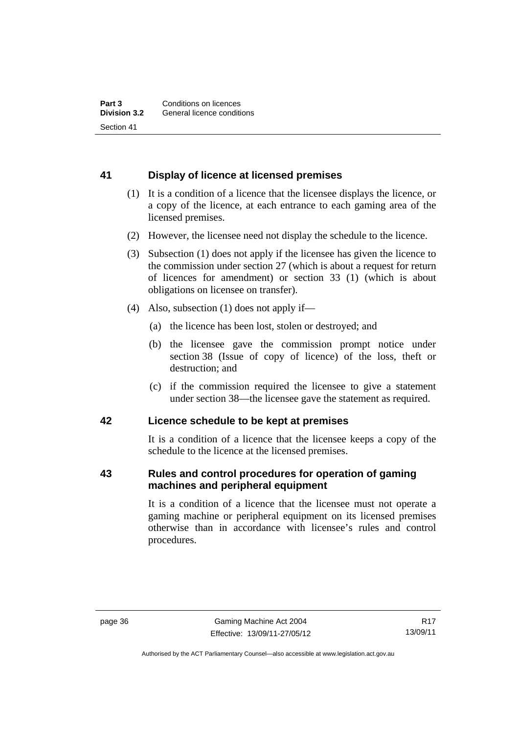## **41 Display of licence at licensed premises**

- (1) It is a condition of a licence that the licensee displays the licence, or a copy of the licence, at each entrance to each gaming area of the licensed premises.
- (2) However, the licensee need not display the schedule to the licence.
- (3) Subsection (1) does not apply if the licensee has given the licence to the commission under section 27 (which is about a request for return of licences for amendment) or section 33 (1) (which is about obligations on licensee on transfer).
- (4) Also, subsection (1) does not apply if—
	- (a) the licence has been lost, stolen or destroyed; and
	- (b) the licensee gave the commission prompt notice under section 38 (Issue of copy of licence) of the loss, theft or destruction; and
	- (c) if the commission required the licensee to give a statement under section 38—the licensee gave the statement as required.

#### **42 Licence schedule to be kept at premises**

It is a condition of a licence that the licensee keeps a copy of the schedule to the licence at the licensed premises.

#### **43 Rules and control procedures for operation of gaming machines and peripheral equipment**

It is a condition of a licence that the licensee must not operate a gaming machine or peripheral equipment on its licensed premises otherwise than in accordance with licensee's rules and control procedures.

Authorised by the ACT Parliamentary Counsel—also accessible at www.legislation.act.gov.au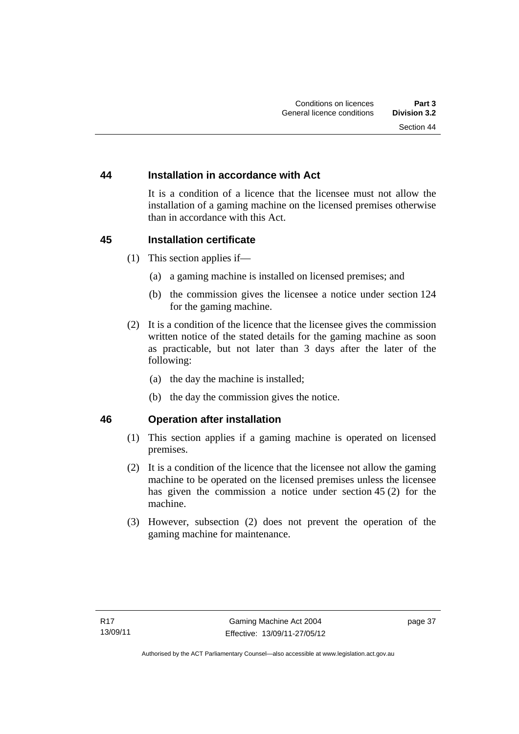#### **44 Installation in accordance with Act**

It is a condition of a licence that the licensee must not allow the installation of a gaming machine on the licensed premises otherwise than in accordance with this Act.

#### **45 Installation certificate**

- (1) This section applies if—
	- (a) a gaming machine is installed on licensed premises; and
	- (b) the commission gives the licensee a notice under section 124 for the gaming machine.
- (2) It is a condition of the licence that the licensee gives the commission written notice of the stated details for the gaming machine as soon as practicable, but not later than 3 days after the later of the following:
	- (a) the day the machine is installed;
	- (b) the day the commission gives the notice.

#### **46 Operation after installation**

- (1) This section applies if a gaming machine is operated on licensed premises.
- (2) It is a condition of the licence that the licensee not allow the gaming machine to be operated on the licensed premises unless the licensee has given the commission a notice under section 45 (2) for the machine.
- (3) However, subsection (2) does not prevent the operation of the gaming machine for maintenance.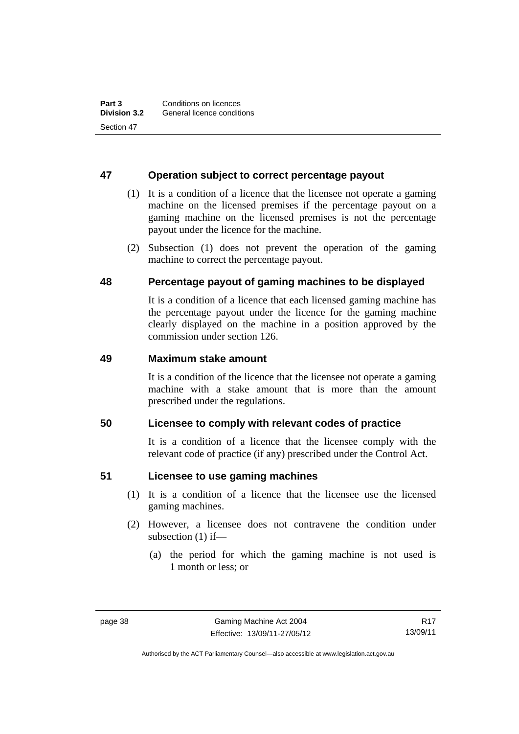#### **47 Operation subject to correct percentage payout**

- (1) It is a condition of a licence that the licensee not operate a gaming machine on the licensed premises if the percentage payout on a gaming machine on the licensed premises is not the percentage payout under the licence for the machine.
- (2) Subsection (1) does not prevent the operation of the gaming machine to correct the percentage payout.

#### **48 Percentage payout of gaming machines to be displayed**

It is a condition of a licence that each licensed gaming machine has the percentage payout under the licence for the gaming machine clearly displayed on the machine in a position approved by the commission under section 126.

#### **49 Maximum stake amount**

It is a condition of the licence that the licensee not operate a gaming machine with a stake amount that is more than the amount prescribed under the regulations.

#### **50 Licensee to comply with relevant codes of practice**

It is a condition of a licence that the licensee comply with the relevant code of practice (if any) prescribed under the Control Act.

#### **51 Licensee to use gaming machines**

- (1) It is a condition of a licence that the licensee use the licensed gaming machines.
- (2) However, a licensee does not contravene the condition under subsection (1) if—
	- (a) the period for which the gaming machine is not used is 1 month or less; or

Authorised by the ACT Parliamentary Counsel—also accessible at www.legislation.act.gov.au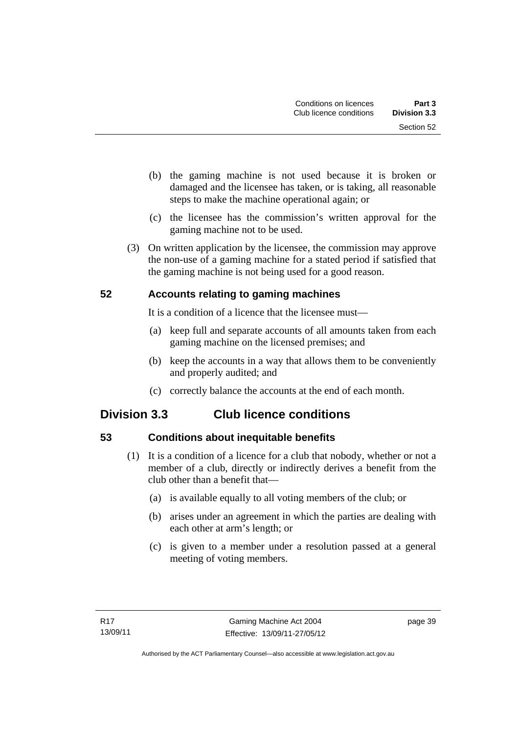- (b) the gaming machine is not used because it is broken or damaged and the licensee has taken, or is taking, all reasonable steps to make the machine operational again; or
- (c) the licensee has the commission's written approval for the gaming machine not to be used.
- (3) On written application by the licensee, the commission may approve the non-use of a gaming machine for a stated period if satisfied that the gaming machine is not being used for a good reason.

## **52 Accounts relating to gaming machines**

It is a condition of a licence that the licensee must—

- (a) keep full and separate accounts of all amounts taken from each gaming machine on the licensed premises; and
- (b) keep the accounts in a way that allows them to be conveniently and properly audited; and
- (c) correctly balance the accounts at the end of each month.

# **Division 3.3 Club licence conditions**

# **53 Conditions about inequitable benefits**

- (1) It is a condition of a licence for a club that nobody, whether or not a member of a club, directly or indirectly derives a benefit from the club other than a benefit that—
	- (a) is available equally to all voting members of the club; or
	- (b) arises under an agreement in which the parties are dealing with each other at arm's length; or
	- (c) is given to a member under a resolution passed at a general meeting of voting members.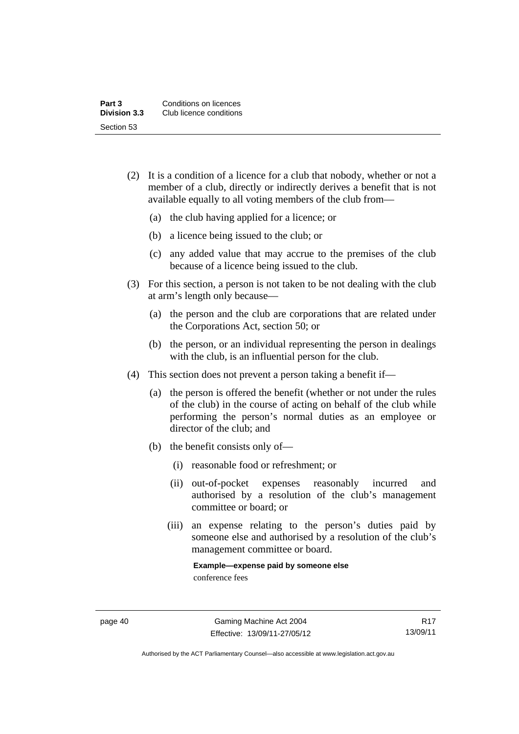| Part 3              | Conditions on licences  |
|---------------------|-------------------------|
| <b>Division 3.3</b> | Club licence conditions |
| Section 53          |                         |

- (2) It is a condition of a licence for a club that nobody, whether or not a member of a club, directly or indirectly derives a benefit that is not available equally to all voting members of the club from—
	- (a) the club having applied for a licence; or
	- (b) a licence being issued to the club; or
	- (c) any added value that may accrue to the premises of the club because of a licence being issued to the club.
- (3) For this section, a person is not taken to be not dealing with the club at arm's length only because—
	- (a) the person and the club are corporations that are related under the Corporations Act, section 50; or
	- (b) the person, or an individual representing the person in dealings with the club, is an influential person for the club.
- (4) This section does not prevent a person taking a benefit if—
	- (a) the person is offered the benefit (whether or not under the rules of the club) in the course of acting on behalf of the club while performing the person's normal duties as an employee or director of the club; and
	- (b) the benefit consists only of—
		- (i) reasonable food or refreshment; or
		- (ii) out-of-pocket expenses reasonably incurred and authorised by a resolution of the club's management committee or board; or
		- (iii) an expense relating to the person's duties paid by someone else and authorised by a resolution of the club's management committee or board.

**Example—expense paid by someone else**  conference fees

Authorised by the ACT Parliamentary Counsel—also accessible at www.legislation.act.gov.au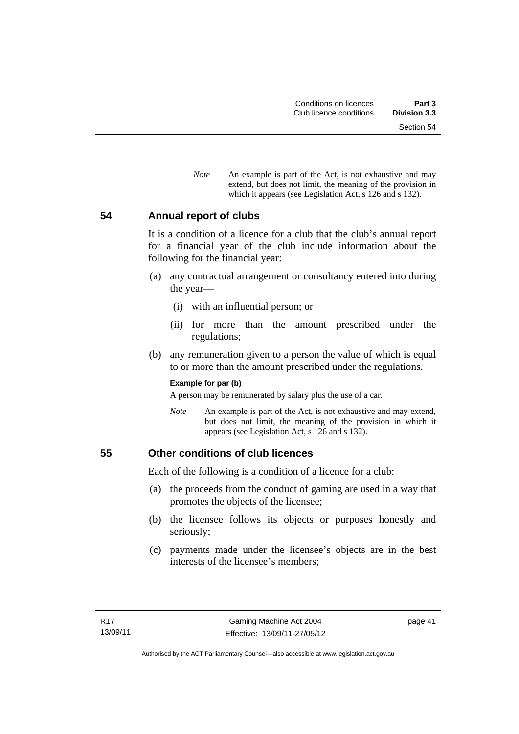Section 54

*Note* An example is part of the Act, is not exhaustive and may extend, but does not limit, the meaning of the provision in which it appears (see Legislation Act, s 126 and s 132).

#### **54 Annual report of clubs**

It is a condition of a licence for a club that the club's annual report for a financial year of the club include information about the following for the financial year:

- (a) any contractual arrangement or consultancy entered into during the year—
	- (i) with an influential person; or
	- (ii) for more than the amount prescribed under the regulations;
- (b) any remuneration given to a person the value of which is equal to or more than the amount prescribed under the regulations.

#### **Example for par (b)**

A person may be remunerated by salary plus the use of a car.

*Note* An example is part of the Act, is not exhaustive and may extend, but does not limit, the meaning of the provision in which it appears (see Legislation Act, s 126 and s 132).

#### **55 Other conditions of club licences**

Each of the following is a condition of a licence for a club:

- (a) the proceeds from the conduct of gaming are used in a way that promotes the objects of the licensee;
- (b) the licensee follows its objects or purposes honestly and seriously;
- (c) payments made under the licensee's objects are in the best interests of the licensee's members;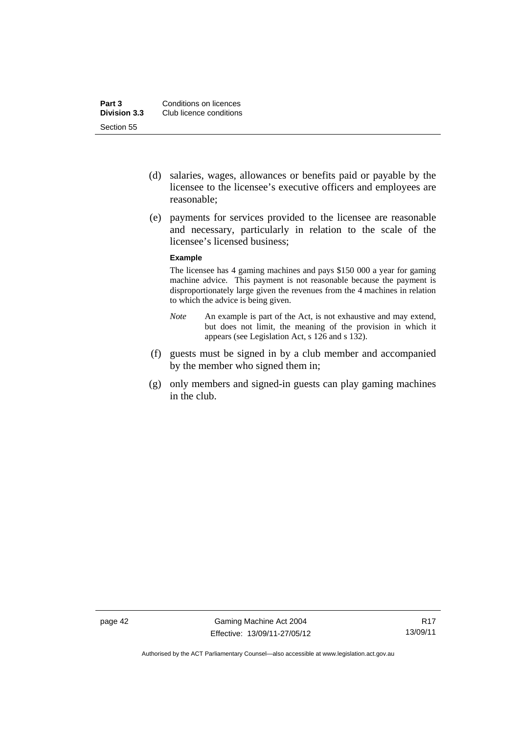- (d) salaries, wages, allowances or benefits paid or payable by the licensee to the licensee's executive officers and employees are reasonable;
- (e) payments for services provided to the licensee are reasonable and necessary, particularly in relation to the scale of the licensee's licensed business;

#### **Example**

The licensee has 4 gaming machines and pays \$150 000 a year for gaming machine advice. This payment is not reasonable because the payment is disproportionately large given the revenues from the 4 machines in relation to which the advice is being given.

- *Note* An example is part of the Act, is not exhaustive and may extend, but does not limit, the meaning of the provision in which it appears (see Legislation Act, s 126 and s 132).
- (f) guests must be signed in by a club member and accompanied by the member who signed them in;
- (g) only members and signed-in guests can play gaming machines in the club.

Authorised by the ACT Parliamentary Counsel—also accessible at www.legislation.act.gov.au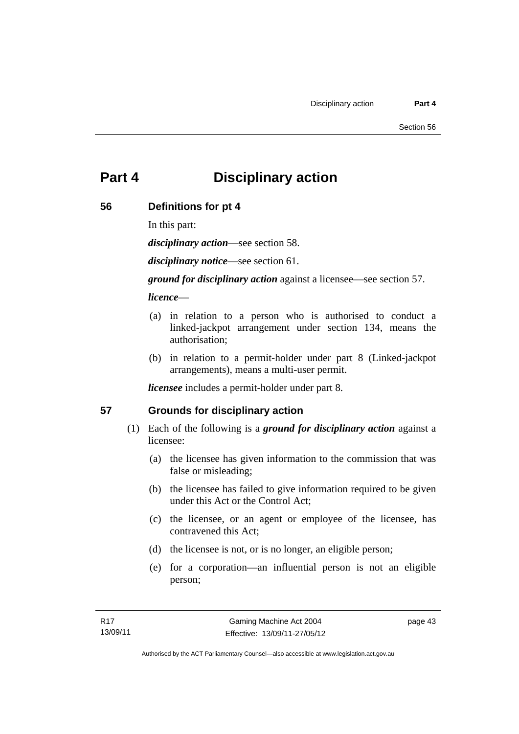# **Part 4 Disciplinary action**

## **56 Definitions for pt 4**

In this part:

*disciplinary action*—see section 58.

*disciplinary notice*—see section 61.

*ground for disciplinary action* against a licensee—see section 57.

*licence*—

- (a) in relation to a person who is authorised to conduct a linked-jackpot arrangement under section 134, means the authorisation;
- (b) in relation to a permit-holder under part 8 (Linked-jackpot arrangements), means a multi-user permit.

*licensee* includes a permit-holder under part 8.

## **57 Grounds for disciplinary action**

- (1) Each of the following is a *ground for disciplinary action* against a licensee:
	- (a) the licensee has given information to the commission that was false or misleading;
	- (b) the licensee has failed to give information required to be given under this Act or the Control Act;
	- (c) the licensee, or an agent or employee of the licensee, has contravened this Act;
	- (d) the licensee is not, or is no longer, an eligible person;
	- (e) for a corporation—an influential person is not an eligible person;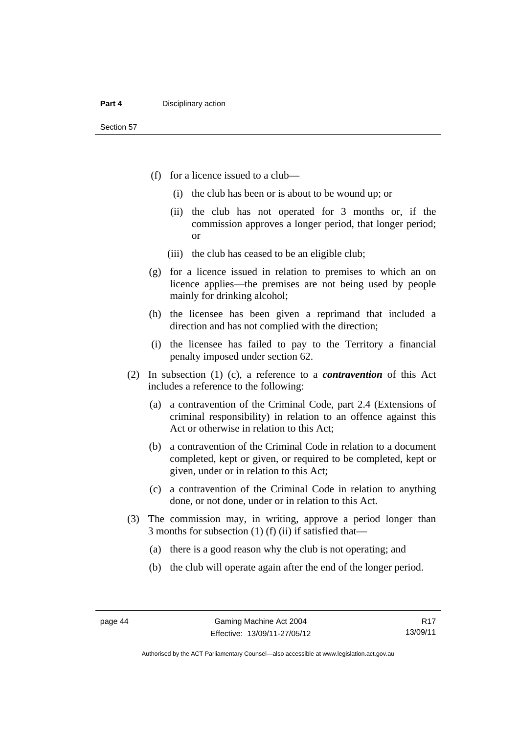- (f) for a licence issued to a club—
	- (i) the club has been or is about to be wound up; or
	- (ii) the club has not operated for 3 months or, if the commission approves a longer period, that longer period; or
	- (iii) the club has ceased to be an eligible club;
- (g) for a licence issued in relation to premises to which an on licence applies—the premises are not being used by people mainly for drinking alcohol;
- (h) the licensee has been given a reprimand that included a direction and has not complied with the direction;
- (i) the licensee has failed to pay to the Territory a financial penalty imposed under section 62.
- (2) In subsection (1) (c), a reference to a *contravention* of this Act includes a reference to the following:
	- (a) a contravention of the Criminal Code, part 2.4 (Extensions of criminal responsibility) in relation to an offence against this Act or otherwise in relation to this Act;
	- (b) a contravention of the Criminal Code in relation to a document completed, kept or given, or required to be completed, kept or given, under or in relation to this Act;
	- (c) a contravention of the Criminal Code in relation to anything done, or not done, under or in relation to this Act.
- (3) The commission may, in writing, approve a period longer than 3 months for subsection (1) (f) (ii) if satisfied that—
	- (a) there is a good reason why the club is not operating; and
	- (b) the club will operate again after the end of the longer period.

Authorised by the ACT Parliamentary Counsel—also accessible at www.legislation.act.gov.au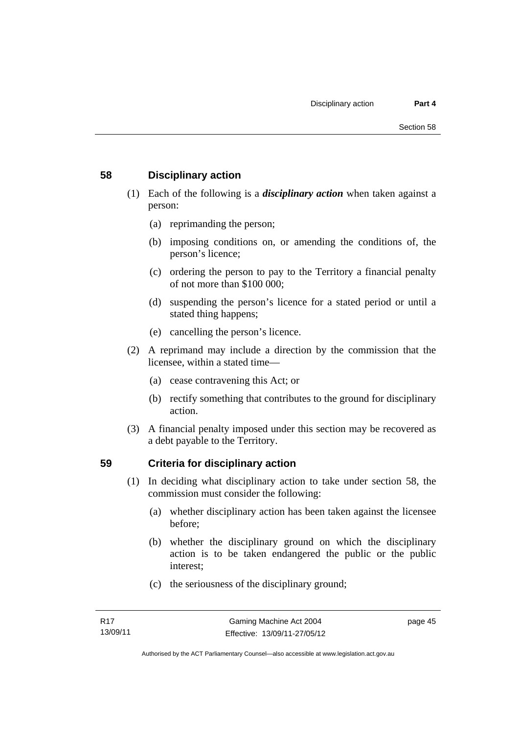#### **58 Disciplinary action**

- (1) Each of the following is a *disciplinary action* when taken against a person:
	- (a) reprimanding the person;
	- (b) imposing conditions on, or amending the conditions of, the person's licence;
	- (c) ordering the person to pay to the Territory a financial penalty of not more than \$100 000;
	- (d) suspending the person's licence for a stated period or until a stated thing happens;
	- (e) cancelling the person's licence.
- (2) A reprimand may include a direction by the commission that the licensee, within a stated time—
	- (a) cease contravening this Act; or
	- (b) rectify something that contributes to the ground for disciplinary action.
- (3) A financial penalty imposed under this section may be recovered as a debt payable to the Territory.

## **59 Criteria for disciplinary action**

- (1) In deciding what disciplinary action to take under section 58, the commission must consider the following:
	- (a) whether disciplinary action has been taken against the licensee before;
	- (b) whether the disciplinary ground on which the disciplinary action is to be taken endangered the public or the public interest;
	- (c) the seriousness of the disciplinary ground;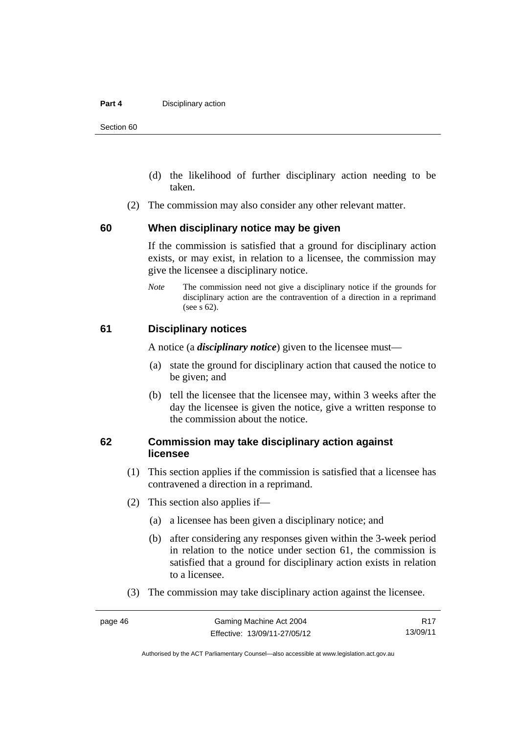#### **Part 4 Disciplinary action**

Section 60

- (d) the likelihood of further disciplinary action needing to be taken.
- (2) The commission may also consider any other relevant matter.

#### **60 When disciplinary notice may be given**

If the commission is satisfied that a ground for disciplinary action exists, or may exist, in relation to a licensee, the commission may give the licensee a disciplinary notice.

*Note* The commission need not give a disciplinary notice if the grounds for disciplinary action are the contravention of a direction in a reprimand (see s 62).

#### **61 Disciplinary notices**

A notice (a *disciplinary notice*) given to the licensee must—

- (a) state the ground for disciplinary action that caused the notice to be given; and
- (b) tell the licensee that the licensee may, within 3 weeks after the day the licensee is given the notice, give a written response to the commission about the notice.

#### **62 Commission may take disciplinary action against licensee**

- (1) This section applies if the commission is satisfied that a licensee has contravened a direction in a reprimand.
- (2) This section also applies if—
	- (a) a licensee has been given a disciplinary notice; and
	- (b) after considering any responses given within the 3-week period in relation to the notice under section 61, the commission is satisfied that a ground for disciplinary action exists in relation to a licensee.
- (3) The commission may take disciplinary action against the licensee.

R17 13/09/11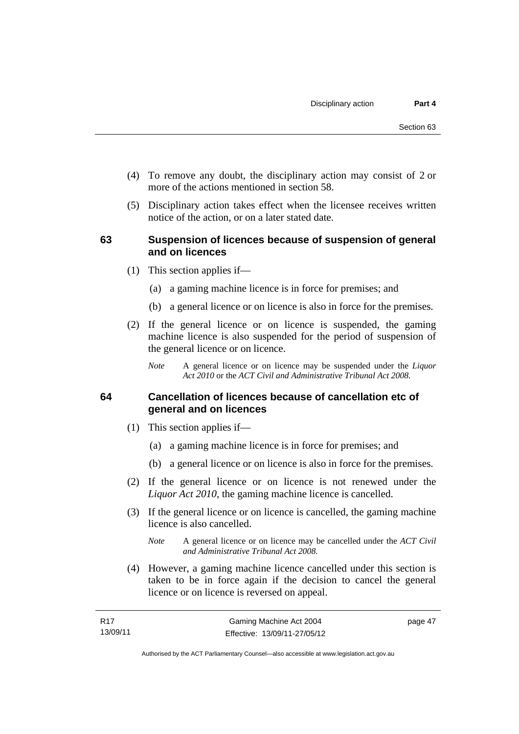- (4) To remove any doubt, the disciplinary action may consist of 2 or more of the actions mentioned in section 58.
- (5) Disciplinary action takes effect when the licensee receives written notice of the action, or on a later stated date.

#### **63 Suspension of licences because of suspension of general and on licences**

- (1) This section applies if—
	- (a) a gaming machine licence is in force for premises; and
	- (b) a general licence or on licence is also in force for the premises.
- (2) If the general licence or on licence is suspended, the gaming machine licence is also suspended for the period of suspension of the general licence or on licence.
	- *Note* A general licence or on licence may be suspended under the *Liquor Act 2010* or the *ACT Civil and Administrative Tribunal Act 2008.*

#### **64 Cancellation of licences because of cancellation etc of general and on licences**

- (1) This section applies if—
	- (a) a gaming machine licence is in force for premises; and
	- (b) a general licence or on licence is also in force for the premises.
- (2) If the general licence or on licence is not renewed under the *Liquor Act 2010*, the gaming machine licence is cancelled.
- (3) If the general licence or on licence is cancelled, the gaming machine licence is also cancelled.
	- *Note* A general licence or on licence may be cancelled under the *ACT Civil and Administrative Tribunal Act 2008.*
- (4) However, a gaming machine licence cancelled under this section is taken to be in force again if the decision to cancel the general licence or on licence is reversed on appeal.

page 47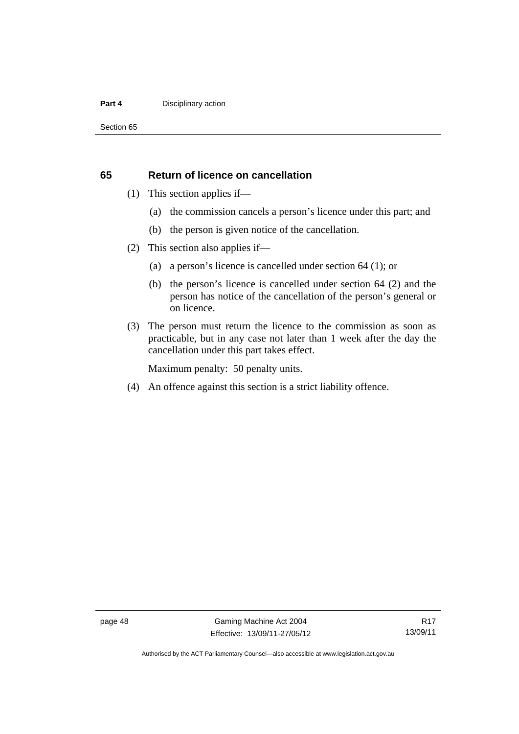#### **Part 4 Disciplinary action**

Section 65

#### **65 Return of licence on cancellation**

- (1) This section applies if—
	- (a) the commission cancels a person's licence under this part; and
	- (b) the person is given notice of the cancellation.
- (2) This section also applies if—
	- (a) a person's licence is cancelled under section 64 (1); or
	- (b) the person's licence is cancelled under section 64 (2) and the person has notice of the cancellation of the person's general or on licence.
- (3) The person must return the licence to the commission as soon as practicable, but in any case not later than 1 week after the day the cancellation under this part takes effect.

Maximum penalty: 50 penalty units.

(4) An offence against this section is a strict liability offence.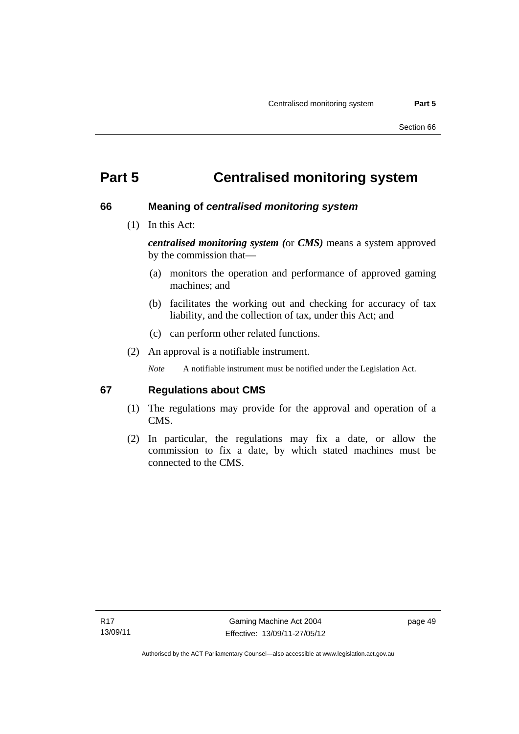# **Part 5 Centralised monitoring system**

#### **66 Meaning of** *centralised monitoring system*

(1) In this Act:

*centralised monitoring system (*or *CMS)* means a system approved by the commission that—

- (a) monitors the operation and performance of approved gaming machines; and
- (b) facilitates the working out and checking for accuracy of tax liability, and the collection of tax, under this Act; and
- (c) can perform other related functions.
- (2) An approval is a notifiable instrument.

*Note* A notifiable instrument must be notified under the Legislation Act.

#### **67 Regulations about CMS**

- (1) The regulations may provide for the approval and operation of a CMS.
- (2) In particular, the regulations may fix a date, or allow the commission to fix a date, by which stated machines must be connected to the CMS.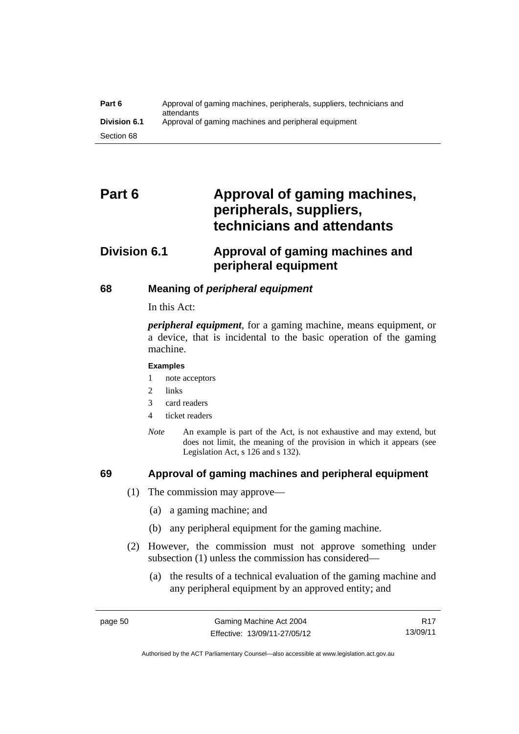| Part 6              | Approval of gaming machines, peripherals, suppliers, technicians and<br>attendants |
|---------------------|------------------------------------------------------------------------------------|
| <b>Division 6.1</b> | Approval of gaming machines and peripheral equipment                               |
| Section 68          |                                                                                    |

# Part 6 **Approval of gaming machines, peripherals, suppliers, technicians and attendants**

# **Division 6.1 Approval of gaming machines and peripheral equipment**

## **68 Meaning of** *peripheral equipment*

In this Act:

*peripheral equipment*, for a gaming machine, means equipment, or a device, that is incidental to the basic operation of the gaming machine.

#### **Examples**

- 1 note acceptors
- 2 links
- 3 card readers
- 4 ticket readers
- *Note* An example is part of the Act, is not exhaustive and may extend, but does not limit, the meaning of the provision in which it appears (see Legislation Act, s 126 and s 132).

## **69 Approval of gaming machines and peripheral equipment**

- (1) The commission may approve—
	- (a) a gaming machine; and
	- (b) any peripheral equipment for the gaming machine.
- (2) However, the commission must not approve something under subsection (1) unless the commission has considered—
	- (a) the results of a technical evaluation of the gaming machine and any peripheral equipment by an approved entity; and

R17 13/09/11

Authorised by the ACT Parliamentary Counsel—also accessible at www.legislation.act.gov.au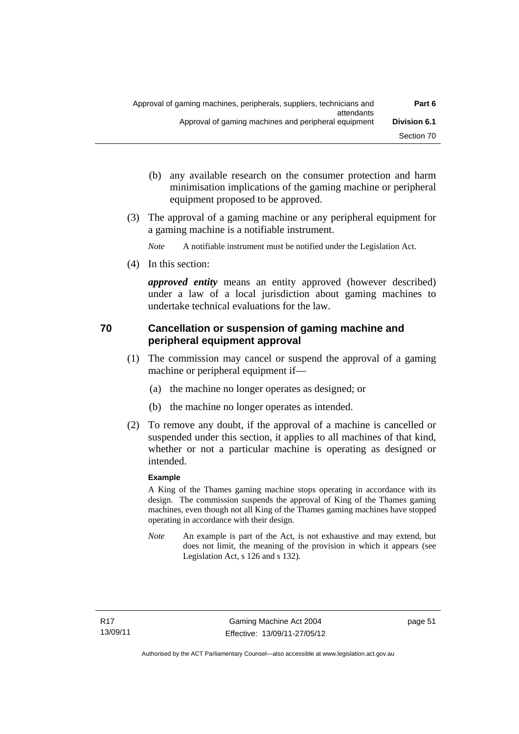- (b) any available research on the consumer protection and harm minimisation implications of the gaming machine or peripheral equipment proposed to be approved.
- (3) The approval of a gaming machine or any peripheral equipment for a gaming machine is a notifiable instrument.

*Note* A notifiable instrument must be notified under the Legislation Act.

(4) In this section:

*approved entity* means an entity approved (however described) under a law of a local jurisdiction about gaming machines to undertake technical evaluations for the law.

## **70 Cancellation or suspension of gaming machine and peripheral equipment approval**

- (1) The commission may cancel or suspend the approval of a gaming machine or peripheral equipment if—
	- (a) the machine no longer operates as designed; or
	- (b) the machine no longer operates as intended.
- (2) To remove any doubt, if the approval of a machine is cancelled or suspended under this section, it applies to all machines of that kind, whether or not a particular machine is operating as designed or intended.

#### **Example**

A King of the Thames gaming machine stops operating in accordance with its design. The commission suspends the approval of King of the Thames gaming machines, even though not all King of the Thames gaming machines have stopped operating in accordance with their design.

*Note* An example is part of the Act, is not exhaustive and may extend, but does not limit, the meaning of the provision in which it appears (see Legislation Act, s 126 and s 132).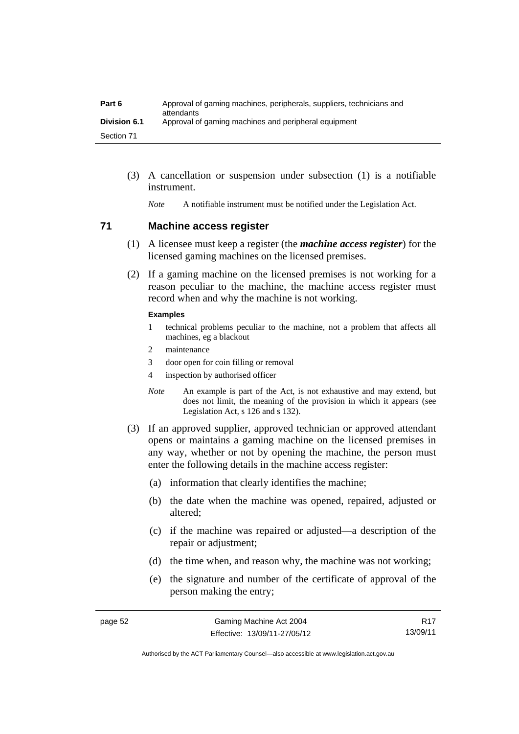| Part 6              | Approval of gaming machines, peripherals, suppliers, technicians and<br>attendants |
|---------------------|------------------------------------------------------------------------------------|
| <b>Division 6.1</b> | Approval of gaming machines and peripheral equipment                               |
| Section 71          |                                                                                    |

 (3) A cancellation or suspension under subsection (1) is a notifiable instrument.

*Note* A notifiable instrument must be notified under the Legislation Act.

#### **71 Machine access register**

- (1) A licensee must keep a register (the *machine access register*) for the licensed gaming machines on the licensed premises.
- (2) If a gaming machine on the licensed premises is not working for a reason peculiar to the machine, the machine access register must record when and why the machine is not working.

#### **Examples**

- 1 technical problems peculiar to the machine, not a problem that affects all machines, eg a blackout
- 2 maintenance
- 3 door open for coin filling or removal
- 4 inspection by authorised officer
- *Note* An example is part of the Act, is not exhaustive and may extend, but does not limit, the meaning of the provision in which it appears (see Legislation Act, s 126 and s 132).
- (3) If an approved supplier, approved technician or approved attendant opens or maintains a gaming machine on the licensed premises in any way, whether or not by opening the machine, the person must enter the following details in the machine access register:
	- (a) information that clearly identifies the machine;
	- (b) the date when the machine was opened, repaired, adjusted or altered;
	- (c) if the machine was repaired or adjusted—a description of the repair or adjustment;
	- (d) the time when, and reason why, the machine was not working;
	- (e) the signature and number of the certificate of approval of the person making the entry;

R17 13/09/11

Authorised by the ACT Parliamentary Counsel—also accessible at www.legislation.act.gov.au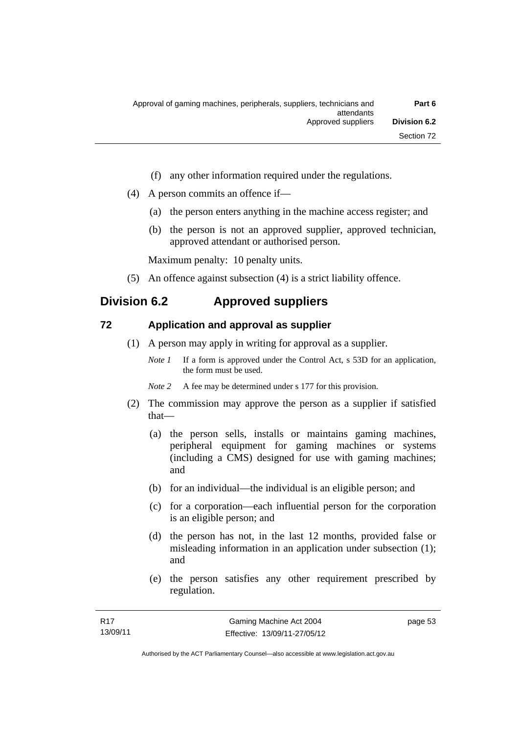- (f) any other information required under the regulations.
- (4) A person commits an offence if—
	- (a) the person enters anything in the machine access register; and
	- (b) the person is not an approved supplier, approved technician, approved attendant or authorised person.

Maximum penalty: 10 penalty units.

(5) An offence against subsection (4) is a strict liability offence.

# **Division 6.2 Approved suppliers**

#### **72 Application and approval as supplier**

- (1) A person may apply in writing for approval as a supplier.
	- *Note 1* If a form is approved under the Control Act, s 53D for an application, the form must be used.
	- *Note* 2 A fee may be determined under s 177 for this provision.
- (2) The commission may approve the person as a supplier if satisfied that—
	- (a) the person sells, installs or maintains gaming machines, peripheral equipment for gaming machines or systems (including a CMS) designed for use with gaming machines; and
	- (b) for an individual—the individual is an eligible person; and
	- (c) for a corporation—each influential person for the corporation is an eligible person; and
	- (d) the person has not, in the last 12 months, provided false or misleading information in an application under subsection (1); and
	- (e) the person satisfies any other requirement prescribed by regulation.

page 53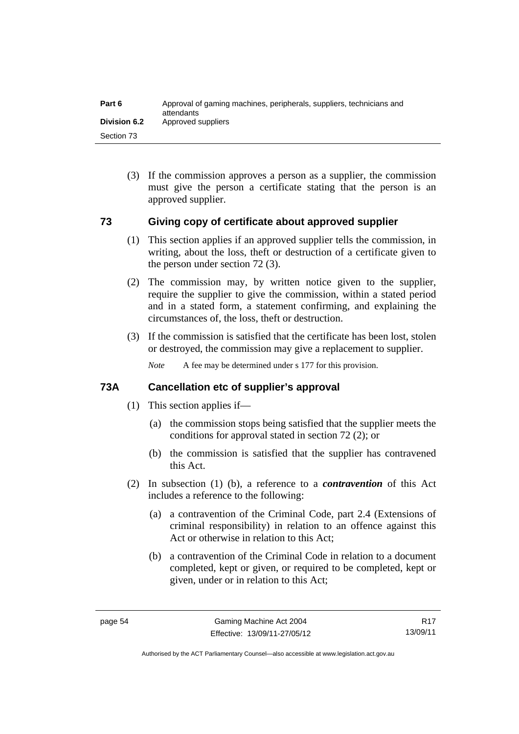| Part 6              | Approval of gaming machines, peripherals, suppliers, technicians and<br>attendants |
|---------------------|------------------------------------------------------------------------------------|
| <b>Division 6.2</b> | Approved suppliers                                                                 |
| Section 73          |                                                                                    |

 (3) If the commission approves a person as a supplier, the commission must give the person a certificate stating that the person is an approved supplier.

#### **73 Giving copy of certificate about approved supplier**

- (1) This section applies if an approved supplier tells the commission, in writing, about the loss, theft or destruction of a certificate given to the person under section 72 (3).
- (2) The commission may, by written notice given to the supplier, require the supplier to give the commission, within a stated period and in a stated form, a statement confirming, and explaining the circumstances of, the loss, theft or destruction.
- (3) If the commission is satisfied that the certificate has been lost, stolen or destroyed, the commission may give a replacement to supplier.

*Note* A fee may be determined under s 177 for this provision.

#### **73A Cancellation etc of supplier's approval**

- (1) This section applies if—
	- (a) the commission stops being satisfied that the supplier meets the conditions for approval stated in section 72 (2); or
	- (b) the commission is satisfied that the supplier has contravened this Act.
- (2) In subsection (1) (b), a reference to a *contravention* of this Act includes a reference to the following:
	- (a) a contravention of the Criminal Code, part 2.4 (Extensions of criminal responsibility) in relation to an offence against this Act or otherwise in relation to this Act;
	- (b) a contravention of the Criminal Code in relation to a document completed, kept or given, or required to be completed, kept or given, under or in relation to this Act;

R17 13/09/11

Authorised by the ACT Parliamentary Counsel—also accessible at www.legislation.act.gov.au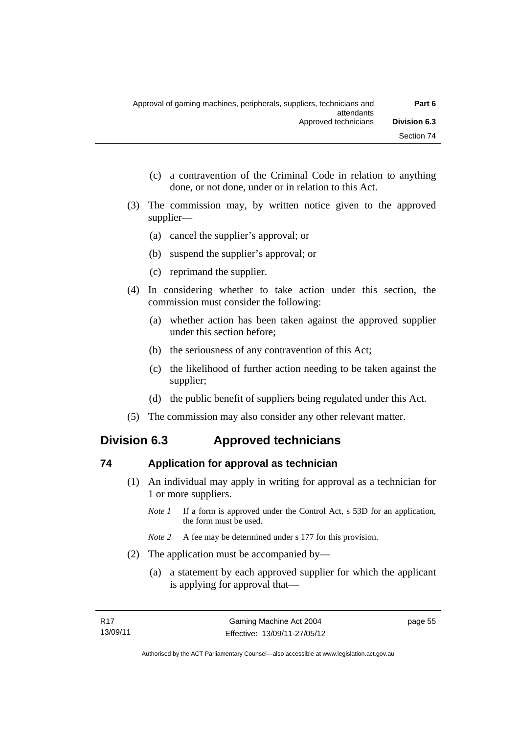- (c) a contravention of the Criminal Code in relation to anything done, or not done, under or in relation to this Act.
- (3) The commission may, by written notice given to the approved supplier—
	- (a) cancel the supplier's approval; or
	- (b) suspend the supplier's approval; or
	- (c) reprimand the supplier.
- (4) In considering whether to take action under this section, the commission must consider the following:
	- (a) whether action has been taken against the approved supplier under this section before;
	- (b) the seriousness of any contravention of this Act;
	- (c) the likelihood of further action needing to be taken against the supplier;
	- (d) the public benefit of suppliers being regulated under this Act.
- (5) The commission may also consider any other relevant matter.

# **Division 6.3 Approved technicians**

#### **74 Application for approval as technician**

- (1) An individual may apply in writing for approval as a technician for 1 or more suppliers.
	- *Note 1* If a form is approved under the Control Act, s 53D for an application, the form must be used.
	- *Note* 2 A fee may be determined under s 177 for this provision.
- (2) The application must be accompanied by—
	- (a) a statement by each approved supplier for which the applicant is applying for approval that—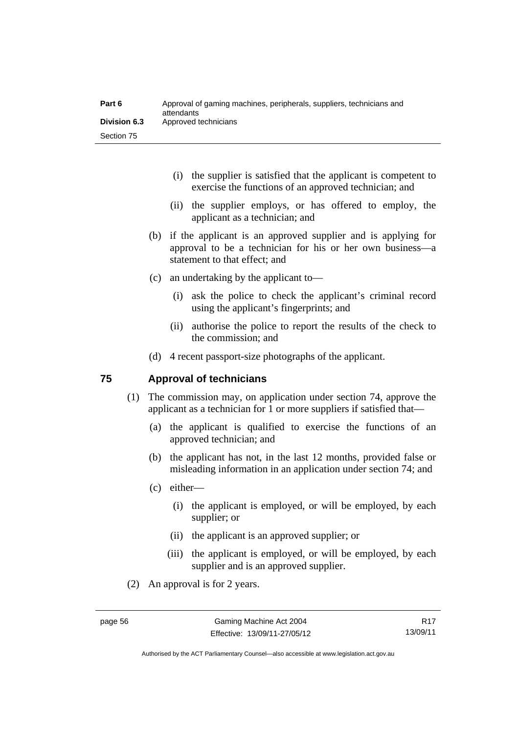| Part 6              | Approval of gaming machines, peripherals, suppliers, technicians and<br>attendants |
|---------------------|------------------------------------------------------------------------------------|
| <b>Division 6.3</b> | Approved technicians                                                               |
| Section 75          |                                                                                    |

- (i) the supplier is satisfied that the applicant is competent to exercise the functions of an approved technician; and
- (ii) the supplier employs, or has offered to employ, the applicant as a technician; and
- (b) if the applicant is an approved supplier and is applying for approval to be a technician for his or her own business—a statement to that effect; and
- (c) an undertaking by the applicant to—
	- (i) ask the police to check the applicant's criminal record using the applicant's fingerprints; and
	- (ii) authorise the police to report the results of the check to the commission; and
- (d) 4 recent passport-size photographs of the applicant.

#### **75 Approval of technicians**

- (1) The commission may, on application under section 74, approve the applicant as a technician for 1 or more suppliers if satisfied that—
	- (a) the applicant is qualified to exercise the functions of an approved technician; and
	- (b) the applicant has not, in the last 12 months, provided false or misleading information in an application under section 74; and
	- (c) either—
		- (i) the applicant is employed, or will be employed, by each supplier; or
		- (ii) the applicant is an approved supplier; or
		- (iii) the applicant is employed, or will be employed, by each supplier and is an approved supplier.
- (2) An approval is for 2 years.

R17 13/09/11

Authorised by the ACT Parliamentary Counsel—also accessible at www.legislation.act.gov.au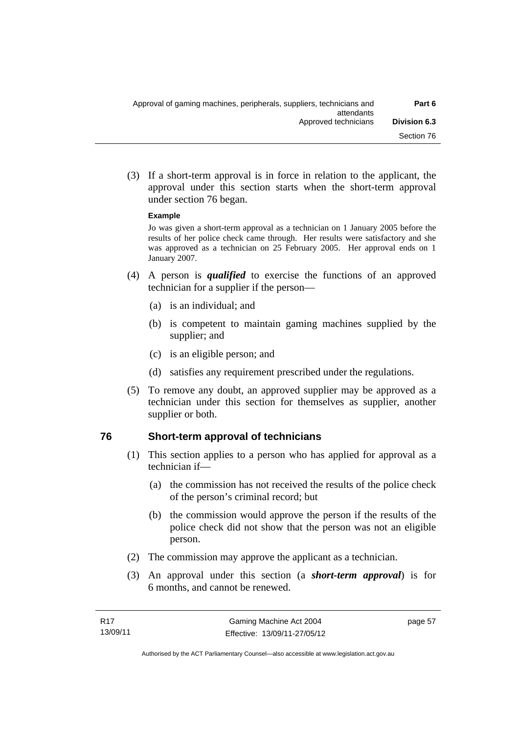(3) If a short-term approval is in force in relation to the applicant, the approval under this section starts when the short-term approval under section 76 began.

#### **Example**

Jo was given a short-term approval as a technician on 1 January 2005 before the results of her police check came through. Her results were satisfactory and she was approved as a technician on 25 February 2005. Her approval ends on 1 January 2007.

- (4) A person is *qualified* to exercise the functions of an approved technician for a supplier if the person—
	- (a) is an individual; and
	- (b) is competent to maintain gaming machines supplied by the supplier; and
	- (c) is an eligible person; and
	- (d) satisfies any requirement prescribed under the regulations.
- (5) To remove any doubt, an approved supplier may be approved as a technician under this section for themselves as supplier, another supplier or both.

#### **76 Short-term approval of technicians**

- (1) This section applies to a person who has applied for approval as a technician if—
	- (a) the commission has not received the results of the police check of the person's criminal record; but
	- (b) the commission would approve the person if the results of the police check did not show that the person was not an eligible person.
- (2) The commission may approve the applicant as a technician.
- (3) An approval under this section (a *short-term approval*) is for 6 months, and cannot be renewed.

page 57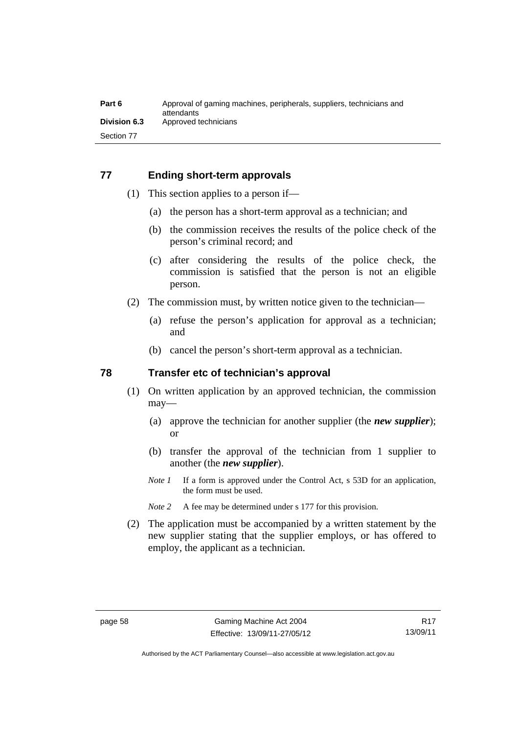#### **77 Ending short-term approvals**

- (1) This section applies to a person if—
	- (a) the person has a short-term approval as a technician; and
	- (b) the commission receives the results of the police check of the person's criminal record; and
	- (c) after considering the results of the police check, the commission is satisfied that the person is not an eligible person.
- (2) The commission must, by written notice given to the technician—
	- (a) refuse the person's application for approval as a technician; and
	- (b) cancel the person's short-term approval as a technician.

#### **78 Transfer etc of technician's approval**

- (1) On written application by an approved technician, the commission may—
	- (a) approve the technician for another supplier (the *new supplier*); or
	- (b) transfer the approval of the technician from 1 supplier to another (the *new supplier*).
	- *Note 1* If a form is approved under the Control Act, s 53D for an application, the form must be used.
	- *Note* 2 A fee may be determined under s 177 for this provision.
- (2) The application must be accompanied by a written statement by the new supplier stating that the supplier employs, or has offered to employ, the applicant as a technician.

Authorised by the ACT Parliamentary Counsel—also accessible at www.legislation.act.gov.au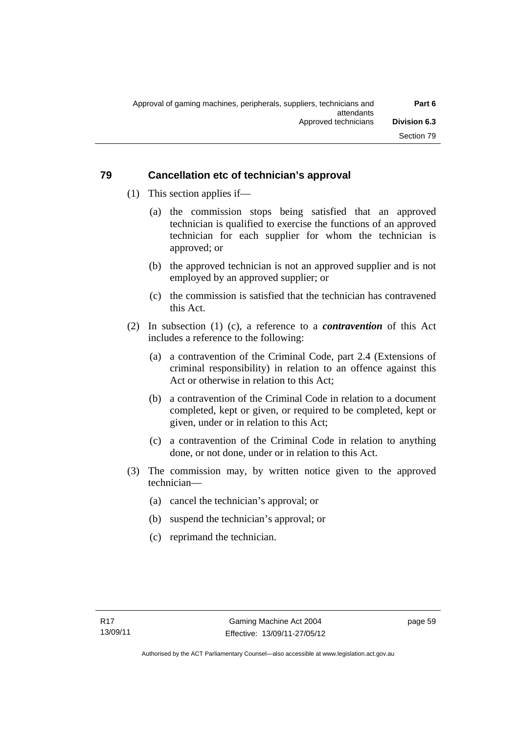## **79 Cancellation etc of technician's approval**

- (1) This section applies if—
	- (a) the commission stops being satisfied that an approved technician is qualified to exercise the functions of an approved technician for each supplier for whom the technician is approved; or
	- (b) the approved technician is not an approved supplier and is not employed by an approved supplier; or
	- (c) the commission is satisfied that the technician has contravened this Act.
- (2) In subsection (1) (c), a reference to a *contravention* of this Act includes a reference to the following:
	- (a) a contravention of the Criminal Code, part 2.4 (Extensions of criminal responsibility) in relation to an offence against this Act or otherwise in relation to this Act;
	- (b) a contravention of the Criminal Code in relation to a document completed, kept or given, or required to be completed, kept or given, under or in relation to this Act;
	- (c) a contravention of the Criminal Code in relation to anything done, or not done, under or in relation to this Act.
- (3) The commission may, by written notice given to the approved technician—
	- (a) cancel the technician's approval; or
	- (b) suspend the technician's approval; or
	- (c) reprimand the technician.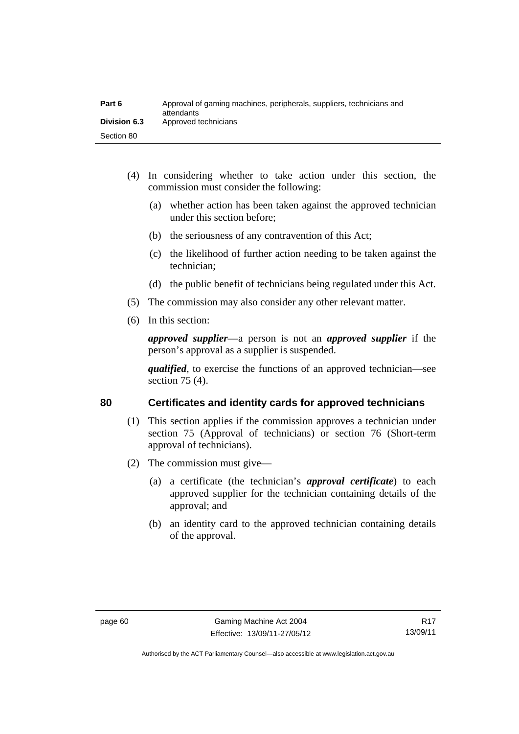| Part 6              | Approval of gaming machines, peripherals, suppliers, technicians and<br>attendants |
|---------------------|------------------------------------------------------------------------------------|
| <b>Division 6.3</b> | Approved technicians                                                               |
| Section 80          |                                                                                    |

- (4) In considering whether to take action under this section, the commission must consider the following:
	- (a) whether action has been taken against the approved technician under this section before;
	- (b) the seriousness of any contravention of this Act;
	- (c) the likelihood of further action needing to be taken against the technician;
	- (d) the public benefit of technicians being regulated under this Act.
- (5) The commission may also consider any other relevant matter.
- (6) In this section:

*approved supplier*—a person is not an *approved supplier* if the person's approval as a supplier is suspended.

*qualified*, to exercise the functions of an approved technician—see section 75 (4).

#### **80 Certificates and identity cards for approved technicians**

- (1) This section applies if the commission approves a technician under section 75 (Approval of technicians) or section 76 (Short-term approval of technicians).
- (2) The commission must give—
	- (a) a certificate (the technician's *approval certificate*) to each approved supplier for the technician containing details of the approval; and
	- (b) an identity card to the approved technician containing details of the approval.

Authorised by the ACT Parliamentary Counsel—also accessible at www.legislation.act.gov.au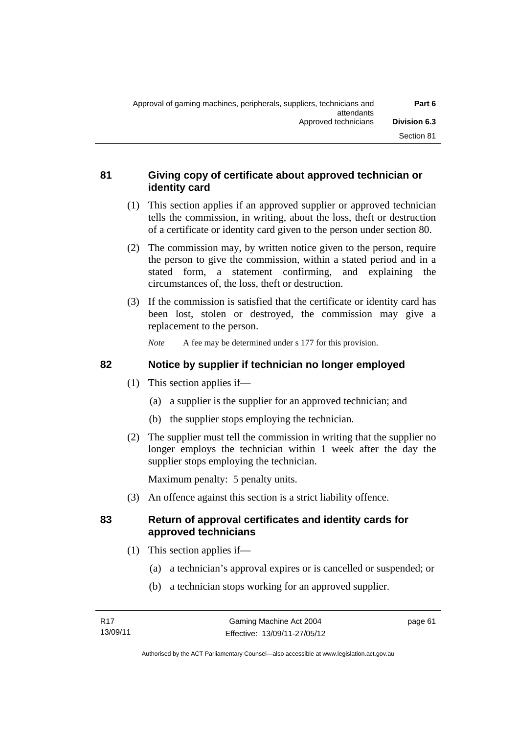# **81 Giving copy of certificate about approved technician or identity card**

- (1) This section applies if an approved supplier or approved technician tells the commission, in writing, about the loss, theft or destruction of a certificate or identity card given to the person under section 80.
- (2) The commission may, by written notice given to the person, require the person to give the commission, within a stated period and in a stated form, a statement confirming, and explaining the circumstances of, the loss, theft or destruction.
- (3) If the commission is satisfied that the certificate or identity card has been lost, stolen or destroyed, the commission may give a replacement to the person.

*Note* A fee may be determined under s 177 for this provision.

# **82 Notice by supplier if technician no longer employed**

- (1) This section applies if—
	- (a) a supplier is the supplier for an approved technician; and
	- (b) the supplier stops employing the technician.
- (2) The supplier must tell the commission in writing that the supplier no longer employs the technician within 1 week after the day the supplier stops employing the technician.

Maximum penalty: 5 penalty units.

(3) An offence against this section is a strict liability offence.

# **83 Return of approval certificates and identity cards for approved technicians**

- (1) This section applies if—
	- (a) a technician's approval expires or is cancelled or suspended; or
	- (b) a technician stops working for an approved supplier.

page 61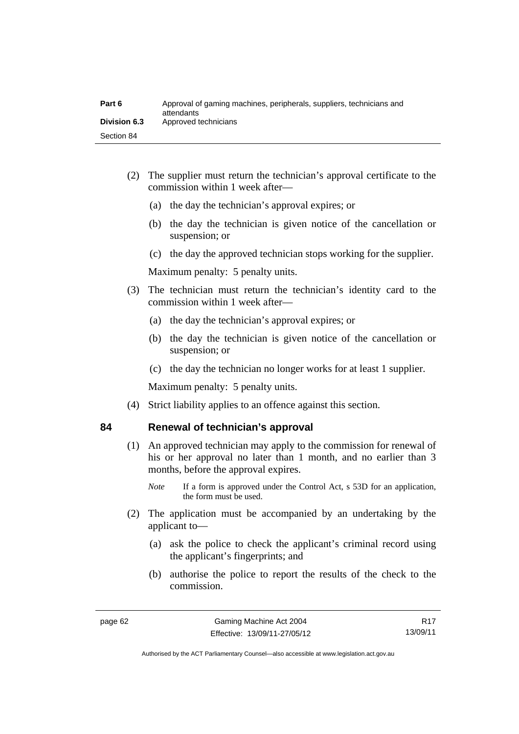| Part 6              | Approval of gaming machines, peripherals, suppliers, technicians and<br>attendants |
|---------------------|------------------------------------------------------------------------------------|
| <b>Division 6.3</b> | Approved technicians                                                               |
| Section 84          |                                                                                    |

- (2) The supplier must return the technician's approval certificate to the commission within 1 week after—
	- (a) the day the technician's approval expires; or
	- (b) the day the technician is given notice of the cancellation or suspension; or
	- (c) the day the approved technician stops working for the supplier.

Maximum penalty: 5 penalty units.

- (3) The technician must return the technician's identity card to the commission within 1 week after—
	- (a) the day the technician's approval expires; or
	- (b) the day the technician is given notice of the cancellation or suspension; or
	- (c) the day the technician no longer works for at least 1 supplier.

Maximum penalty: 5 penalty units.

(4) Strict liability applies to an offence against this section.

#### **84 Renewal of technician's approval**

- (1) An approved technician may apply to the commission for renewal of his or her approval no later than 1 month, and no earlier than 3 months, before the approval expires.
	- *Note* If a form is approved under the Control Act, s 53D for an application, the form must be used.
- (2) The application must be accompanied by an undertaking by the applicant to—
	- (a) ask the police to check the applicant's criminal record using the applicant's fingerprints; and
	- (b) authorise the police to report the results of the check to the commission.

R17 13/09/11

Authorised by the ACT Parliamentary Counsel—also accessible at www.legislation.act.gov.au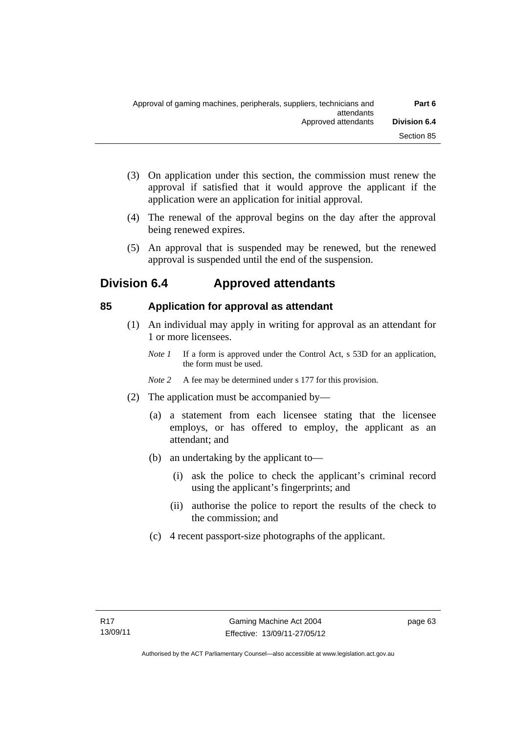- (3) On application under this section, the commission must renew the approval if satisfied that it would approve the applicant if the application were an application for initial approval.
- (4) The renewal of the approval begins on the day after the approval being renewed expires.
- (5) An approval that is suspended may be renewed, but the renewed approval is suspended until the end of the suspension.

# **Division 6.4 Approved attendants**

# **85 Application for approval as attendant**

- (1) An individual may apply in writing for approval as an attendant for 1 or more licensees.
	- *Note 1* If a form is approved under the Control Act, s 53D for an application, the form must be used.
	- *Note 2* A fee may be determined under s 177 for this provision.
- (2) The application must be accompanied by—
	- (a) a statement from each licensee stating that the licensee employs, or has offered to employ, the applicant as an attendant; and
	- (b) an undertaking by the applicant to—
		- (i) ask the police to check the applicant's criminal record using the applicant's fingerprints; and
		- (ii) authorise the police to report the results of the check to the commission; and
	- (c) 4 recent passport-size photographs of the applicant.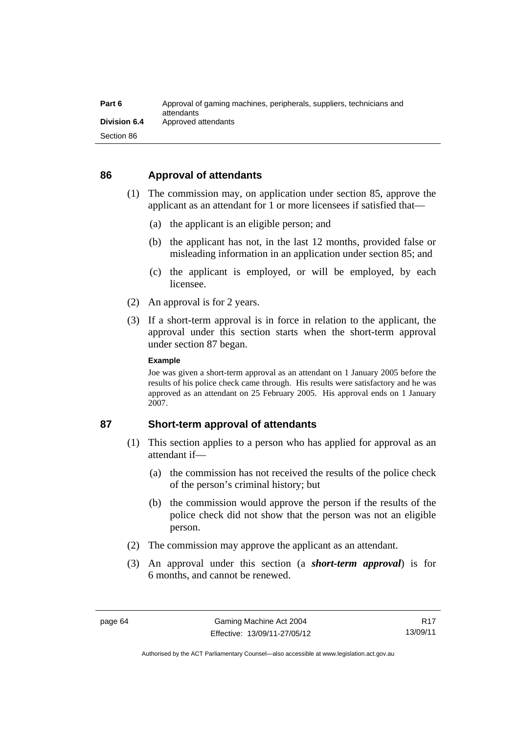| Part 6              | Approval of gaming machines, peripherals, suppliers, technicians and<br>attendants |
|---------------------|------------------------------------------------------------------------------------|
| <b>Division 6.4</b> | Approved attendants                                                                |
| Section 86          |                                                                                    |

#### **86 Approval of attendants**

- (1) The commission may, on application under section 85, approve the applicant as an attendant for 1 or more licensees if satisfied that—
	- (a) the applicant is an eligible person; and
	- (b) the applicant has not, in the last 12 months, provided false or misleading information in an application under section 85; and
	- (c) the applicant is employed, or will be employed, by each licensee.
- (2) An approval is for 2 years.
- (3) If a short-term approval is in force in relation to the applicant, the approval under this section starts when the short-term approval under section 87 began.

#### **Example**

Joe was given a short-term approval as an attendant on 1 January 2005 before the results of his police check came through. His results were satisfactory and he was approved as an attendant on 25 February 2005. His approval ends on 1 January 2007.

#### **87 Short-term approval of attendants**

- (1) This section applies to a person who has applied for approval as an attendant if—
	- (a) the commission has not received the results of the police check of the person's criminal history; but
	- (b) the commission would approve the person if the results of the police check did not show that the person was not an eligible person.
- (2) The commission may approve the applicant as an attendant.
- (3) An approval under this section (a *short-term approval*) is for 6 months, and cannot be renewed.

Authorised by the ACT Parliamentary Counsel—also accessible at www.legislation.act.gov.au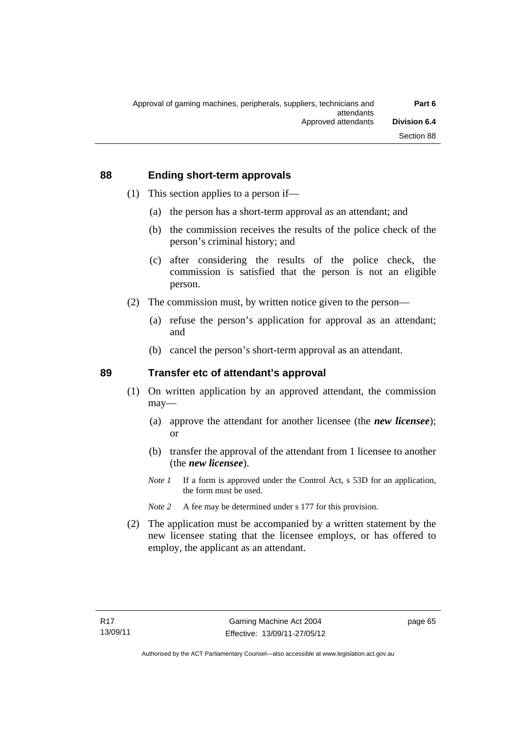#### **88 Ending short-term approvals**

- (1) This section applies to a person if—
	- (a) the person has a short-term approval as an attendant; and
	- (b) the commission receives the results of the police check of the person's criminal history; and
	- (c) after considering the results of the police check, the commission is satisfied that the person is not an eligible person.
- (2) The commission must, by written notice given to the person—
	- (a) refuse the person's application for approval as an attendant; and
	- (b) cancel the person's short-term approval as an attendant.

#### **89 Transfer etc of attendant's approval**

- (1) On written application by an approved attendant, the commission may—
	- (a) approve the attendant for another licensee (the *new licensee*); or
	- (b) transfer the approval of the attendant from 1 licensee to another (the *new licensee*).
	- *Note 1* If a form is approved under the Control Act, s 53D for an application, the form must be used.
	- *Note* 2 A fee may be determined under s 177 for this provision.
- (2) The application must be accompanied by a written statement by the new licensee stating that the licensee employs, or has offered to employ, the applicant as an attendant.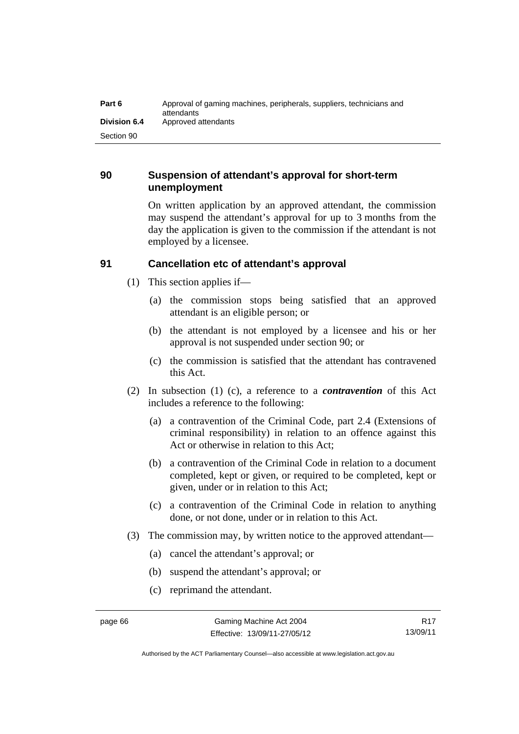| Part 6              | Approval of gaming machines, peripherals, suppliers, technicians and<br>attendants |
|---------------------|------------------------------------------------------------------------------------|
| <b>Division 6.4</b> | Approved attendants                                                                |
| Section 90          |                                                                                    |

## **90 Suspension of attendant's approval for short-term unemployment**

On written application by an approved attendant, the commission may suspend the attendant's approval for up to 3 months from the day the application is given to the commission if the attendant is not employed by a licensee.

# **91 Cancellation etc of attendant's approval**

- (1) This section applies if—
	- (a) the commission stops being satisfied that an approved attendant is an eligible person; or
	- (b) the attendant is not employed by a licensee and his or her approval is not suspended under section 90; or
	- (c) the commission is satisfied that the attendant has contravened this Act.
- (2) In subsection (1) (c), a reference to a *contravention* of this Act includes a reference to the following:
	- (a) a contravention of the Criminal Code, part 2.4 (Extensions of criminal responsibility) in relation to an offence against this Act or otherwise in relation to this Act;
	- (b) a contravention of the Criminal Code in relation to a document completed, kept or given, or required to be completed, kept or given, under or in relation to this Act;
	- (c) a contravention of the Criminal Code in relation to anything done, or not done, under or in relation to this Act.
- (3) The commission may, by written notice to the approved attendant—
	- (a) cancel the attendant's approval; or
	- (b) suspend the attendant's approval; or
	- (c) reprimand the attendant.

Authorised by the ACT Parliamentary Counsel—also accessible at www.legislation.act.gov.au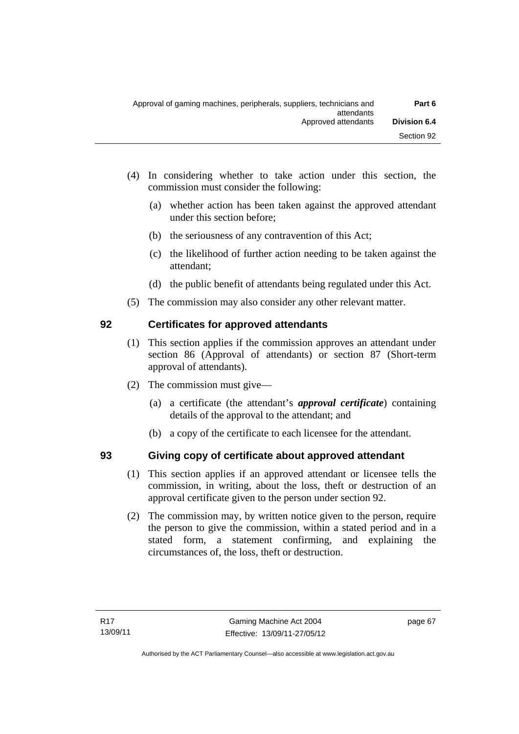- (4) In considering whether to take action under this section, the commission must consider the following:
	- (a) whether action has been taken against the approved attendant under this section before;
	- (b) the seriousness of any contravention of this Act;
	- (c) the likelihood of further action needing to be taken against the attendant;
	- (d) the public benefit of attendants being regulated under this Act.
- (5) The commission may also consider any other relevant matter.

# **92 Certificates for approved attendants**

- (1) This section applies if the commission approves an attendant under section 86 (Approval of attendants) or section 87 (Short-term approval of attendants).
- (2) The commission must give—
	- (a) a certificate (the attendant's *approval certificate*) containing details of the approval to the attendant; and
	- (b) a copy of the certificate to each licensee for the attendant.

# **93 Giving copy of certificate about approved attendant**

- (1) This section applies if an approved attendant or licensee tells the commission, in writing, about the loss, theft or destruction of an approval certificate given to the person under section 92.
- (2) The commission may, by written notice given to the person, require the person to give the commission, within a stated period and in a stated form, a statement confirming, and explaining the circumstances of, the loss, theft or destruction.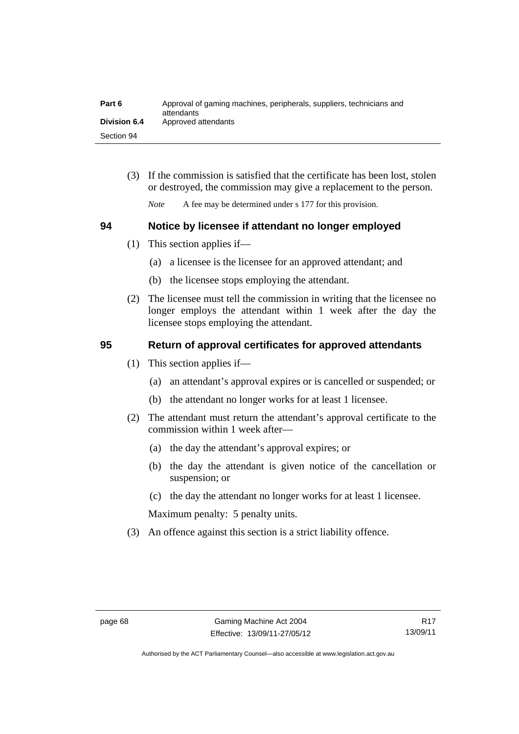| Part 6              | Approval of gaming machines, peripherals, suppliers, technicians and<br>attendants |
|---------------------|------------------------------------------------------------------------------------|
| <b>Division 6.4</b> | Approved attendants                                                                |
| Section 94          |                                                                                    |

 (3) If the commission is satisfied that the certificate has been lost, stolen or destroyed, the commission may give a replacement to the person.

*Note* A fee may be determined under s 177 for this provision.

#### **94 Notice by licensee if attendant no longer employed**

- (1) This section applies if—
	- (a) a licensee is the licensee for an approved attendant; and
	- (b) the licensee stops employing the attendant.
- (2) The licensee must tell the commission in writing that the licensee no longer employs the attendant within 1 week after the day the licensee stops employing the attendant.

# **95 Return of approval certificates for approved attendants**

- (1) This section applies if—
	- (a) an attendant's approval expires or is cancelled or suspended; or
	- (b) the attendant no longer works for at least 1 licensee.
- (2) The attendant must return the attendant's approval certificate to the commission within 1 week after—
	- (a) the day the attendant's approval expires; or
	- (b) the day the attendant is given notice of the cancellation or suspension; or
	- (c) the day the attendant no longer works for at least 1 licensee.

Maximum penalty: 5 penalty units.

(3) An offence against this section is a strict liability offence.

Authorised by the ACT Parliamentary Counsel—also accessible at www.legislation.act.gov.au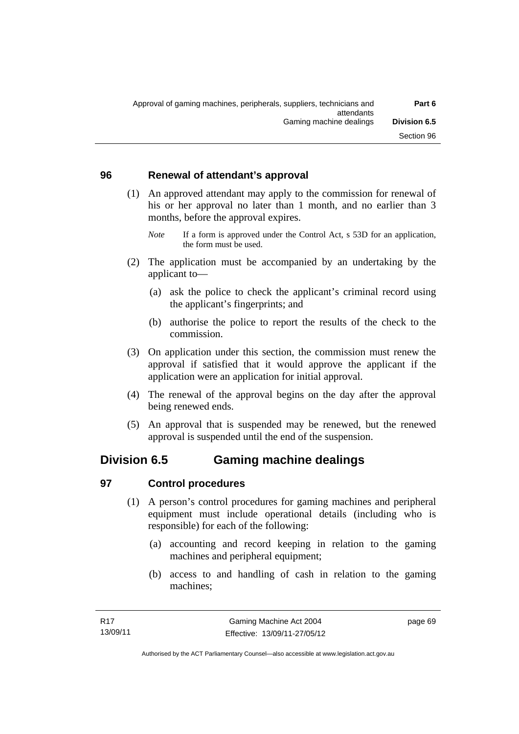### **96 Renewal of attendant's approval**

- (1) An approved attendant may apply to the commission for renewal of his or her approval no later than 1 month, and no earlier than 3 months, before the approval expires.
	- *Note* If a form is approved under the Control Act, s 53D for an application, the form must be used.
- (2) The application must be accompanied by an undertaking by the applicant to—
	- (a) ask the police to check the applicant's criminal record using the applicant's fingerprints; and
	- (b) authorise the police to report the results of the check to the commission.
- (3) On application under this section, the commission must renew the approval if satisfied that it would approve the applicant if the application were an application for initial approval.
- (4) The renewal of the approval begins on the day after the approval being renewed ends.
- (5) An approval that is suspended may be renewed, but the renewed approval is suspended until the end of the suspension.

# **Division 6.5 Gaming machine dealings**

# **97 Control procedures**

- (1) A person's control procedures for gaming machines and peripheral equipment must include operational details (including who is responsible) for each of the following:
	- (a) accounting and record keeping in relation to the gaming machines and peripheral equipment;
	- (b) access to and handling of cash in relation to the gaming machines;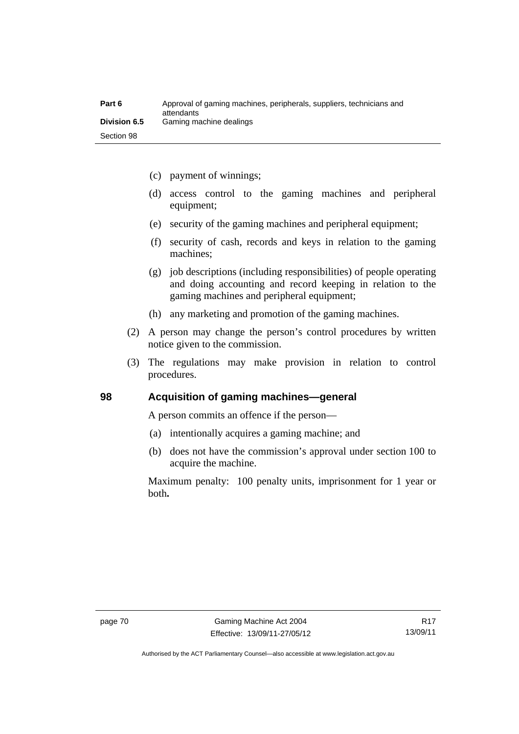| Part 6       | Approval of gaming machines, peripherals, suppliers, technicians and<br>attendants |
|--------------|------------------------------------------------------------------------------------|
| Division 6.5 | Gaming machine dealings                                                            |
| Section 98   |                                                                                    |

- (c) payment of winnings;
- (d) access control to the gaming machines and peripheral equipment;
- (e) security of the gaming machines and peripheral equipment;
- (f) security of cash, records and keys in relation to the gaming machines;
- (g) job descriptions (including responsibilities) of people operating and doing accounting and record keeping in relation to the gaming machines and peripheral equipment;
- (h) any marketing and promotion of the gaming machines.
- (2) A person may change the person's control procedures by written notice given to the commission.
- (3) The regulations may make provision in relation to control procedures.

#### **98 Acquisition of gaming machines—general**

A person commits an offence if the person—

- (a) intentionally acquires a gaming machine; and
- (b) does not have the commission's approval under section 100 to acquire the machine.

Maximum penalty: 100 penalty units, imprisonment for 1 year or both**.**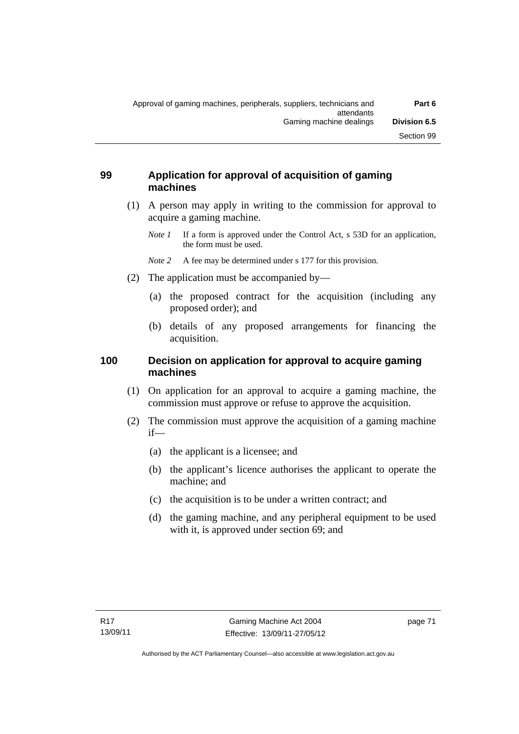## **99 Application for approval of acquisition of gaming machines**

- (1) A person may apply in writing to the commission for approval to acquire a gaming machine.
	- *Note 1* If a form is approved under the Control Act, s 53D for an application, the form must be used.
	- *Note* 2 A fee may be determined under s 177 for this provision.
- (2) The application must be accompanied by—
	- (a) the proposed contract for the acquisition (including any proposed order); and
	- (b) details of any proposed arrangements for financing the acquisition.

# **100 Decision on application for approval to acquire gaming machines**

- (1) On application for an approval to acquire a gaming machine, the commission must approve or refuse to approve the acquisition.
- (2) The commission must approve the acquisition of a gaming machine if—
	- (a) the applicant is a licensee; and
	- (b) the applicant's licence authorises the applicant to operate the machine; and
	- (c) the acquisition is to be under a written contract; and
	- (d) the gaming machine, and any peripheral equipment to be used with it, is approved under section 69; and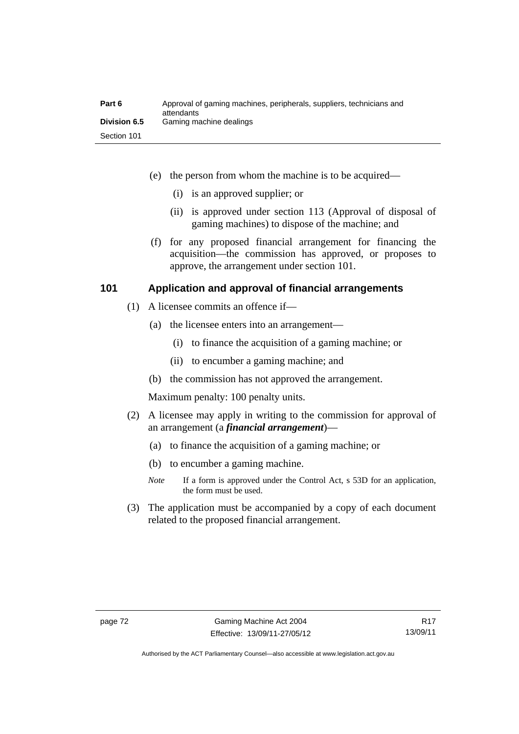| Part 6              | Approval of gaming machines, peripherals, suppliers, technicians and<br>attendants |
|---------------------|------------------------------------------------------------------------------------|
| <b>Division 6.5</b> | Gaming machine dealings                                                            |
| Section 101         |                                                                                    |

- (e) the person from whom the machine is to be acquired—
	- (i) is an approved supplier; or
	- (ii) is approved under section 113 (Approval of disposal of gaming machines) to dispose of the machine; and
- (f) for any proposed financial arrangement for financing the acquisition—the commission has approved, or proposes to approve, the arrangement under section 101.

#### **101 Application and approval of financial arrangements**

- (1) A licensee commits an offence if—
	- (a) the licensee enters into an arrangement—
		- (i) to finance the acquisition of a gaming machine; or
		- (ii) to encumber a gaming machine; and
	- (b) the commission has not approved the arrangement.

Maximum penalty: 100 penalty units.

- (2) A licensee may apply in writing to the commission for approval of an arrangement (a *financial arrangement*)—
	- (a) to finance the acquisition of a gaming machine; or
	- (b) to encumber a gaming machine.
	- *Note* If a form is approved under the Control Act, s 53D for an application, the form must be used.
- (3) The application must be accompanied by a copy of each document related to the proposed financial arrangement.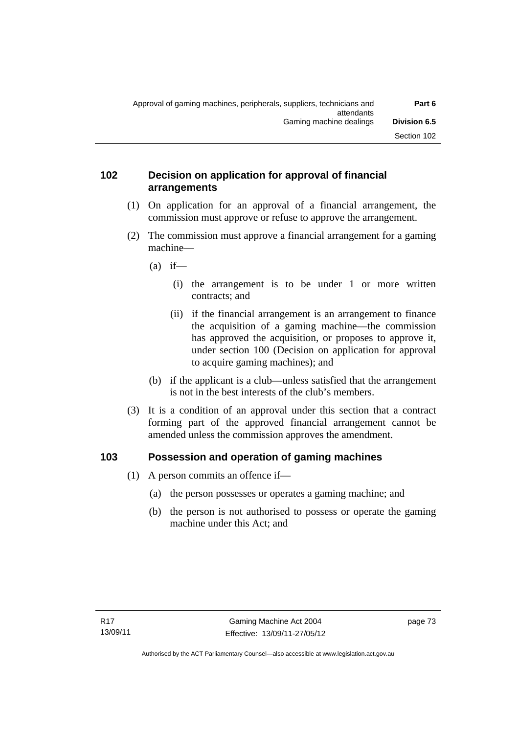### **102 Decision on application for approval of financial arrangements**

- (1) On application for an approval of a financial arrangement, the commission must approve or refuse to approve the arrangement.
- (2) The commission must approve a financial arrangement for a gaming machine—
	- $(a)$  if—
		- (i) the arrangement is to be under 1 or more written contracts; and
		- (ii) if the financial arrangement is an arrangement to finance the acquisition of a gaming machine—the commission has approved the acquisition, or proposes to approve it, under section 100 (Decision on application for approval to acquire gaming machines); and
	- (b) if the applicant is a club—unless satisfied that the arrangement is not in the best interests of the club's members.
- (3) It is a condition of an approval under this section that a contract forming part of the approved financial arrangement cannot be amended unless the commission approves the amendment.

# **103 Possession and operation of gaming machines**

- (1) A person commits an offence if—
	- (a) the person possesses or operates a gaming machine; and
	- (b) the person is not authorised to possess or operate the gaming machine under this Act; and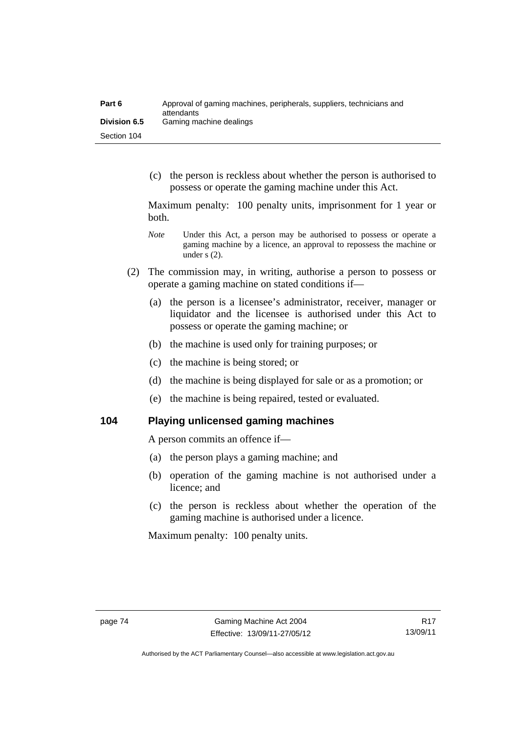| Part 6              | Approval of gaming machines, peripherals, suppliers, technicians and<br>attendants |
|---------------------|------------------------------------------------------------------------------------|
| <b>Division 6.5</b> | Gaming machine dealings                                                            |
| Section 104         |                                                                                    |

 (c) the person is reckless about whether the person is authorised to possess or operate the gaming machine under this Act.

Maximum penalty: 100 penalty units, imprisonment for 1 year or both.

- *Note* **Under this Act, a person may be authorised to possess or operate a** gaming machine by a licence, an approval to repossess the machine or under s (2).
- (2) The commission may, in writing, authorise a person to possess or operate a gaming machine on stated conditions if—
	- (a) the person is a licensee's administrator, receiver, manager or liquidator and the licensee is authorised under this Act to possess or operate the gaming machine; or
	- (b) the machine is used only for training purposes; or
	- (c) the machine is being stored; or
	- (d) the machine is being displayed for sale or as a promotion; or
	- (e) the machine is being repaired, tested or evaluated.

**104 Playing unlicensed gaming machines** 

A person commits an offence if—

- (a) the person plays a gaming machine; and
- (b) operation of the gaming machine is not authorised under a licence; and
- (c) the person is reckless about whether the operation of the gaming machine is authorised under a licence.

Maximum penalty: 100 penalty units.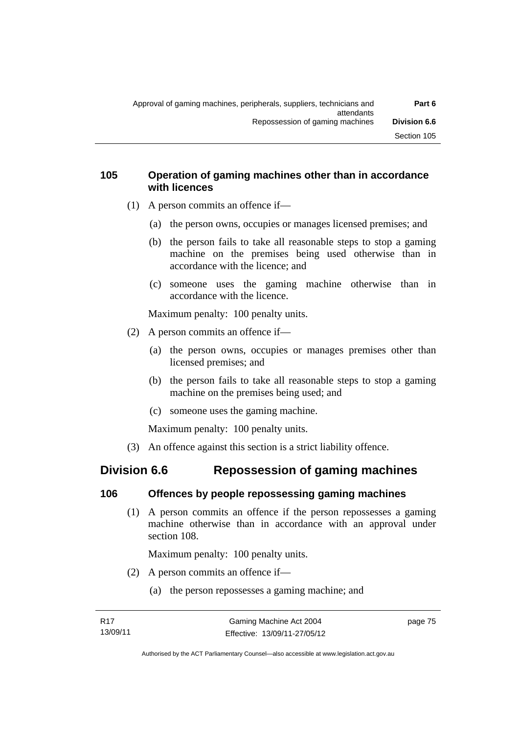### **105 Operation of gaming machines other than in accordance with licences**

- (1) A person commits an offence if—
	- (a) the person owns, occupies or manages licensed premises; and
	- (b) the person fails to take all reasonable steps to stop a gaming machine on the premises being used otherwise than in accordance with the licence; and
	- (c) someone uses the gaming machine otherwise than in accordance with the licence.

Maximum penalty: 100 penalty units.

- (2) A person commits an offence if—
	- (a) the person owns, occupies or manages premises other than licensed premises; and
	- (b) the person fails to take all reasonable steps to stop a gaming machine on the premises being used; and
	- (c) someone uses the gaming machine.

Maximum penalty: 100 penalty units.

(3) An offence against this section is a strict liability offence.

# **Division 6.6 Repossession of gaming machines**

# **106 Offences by people repossessing gaming machines**

 (1) A person commits an offence if the person repossesses a gaming machine otherwise than in accordance with an approval under section 108.

Maximum penalty: 100 penalty units.

- (2) A person commits an offence if—
	- (a) the person repossesses a gaming machine; and

page 75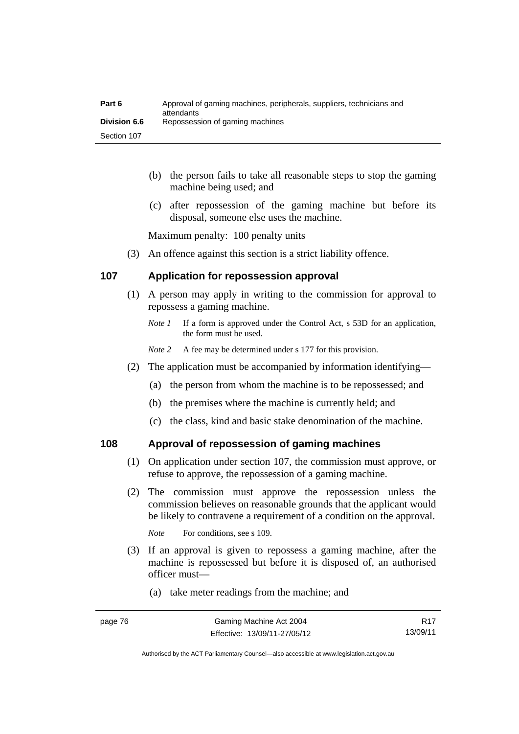| Part 6              | Approval of gaming machines, peripherals, suppliers, technicians and<br>attendants |
|---------------------|------------------------------------------------------------------------------------|
| <b>Division 6.6</b> | Repossession of gaming machines                                                    |
| Section 107         |                                                                                    |

- (b) the person fails to take all reasonable steps to stop the gaming machine being used; and
- (c) after repossession of the gaming machine but before its disposal, someone else uses the machine.

Maximum penalty: 100 penalty units

(3) An offence against this section is a strict liability offence.

#### **107 Application for repossession approval**

- (1) A person may apply in writing to the commission for approval to repossess a gaming machine.
	- *Note 1* If a form is approved under the Control Act, s 53D for an application, the form must be used.
	- *Note 2* A fee may be determined under s 177 for this provision.
- (2) The application must be accompanied by information identifying—
	- (a) the person from whom the machine is to be repossessed; and
	- (b) the premises where the machine is currently held; and
	- (c) the class, kind and basic stake denomination of the machine.

#### **108 Approval of repossession of gaming machines**

- (1) On application under section 107, the commission must approve, or refuse to approve, the repossession of a gaming machine.
- (2) The commission must approve the repossession unless the commission believes on reasonable grounds that the applicant would be likely to contravene a requirement of a condition on the approval.

*Note* For conditions, see s 109.

- (3) If an approval is given to repossess a gaming machine, after the machine is repossessed but before it is disposed of, an authorised officer must—
	- (a) take meter readings from the machine; and

Authorised by the ACT Parliamentary Counsel—also accessible at www.legislation.act.gov.au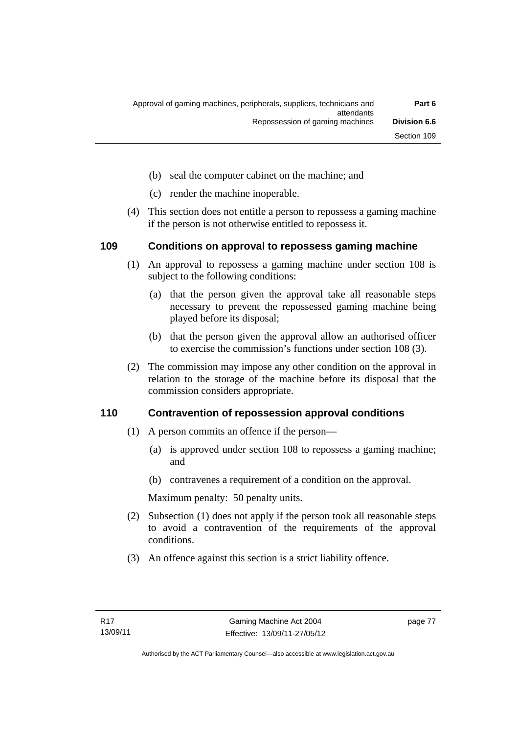- (b) seal the computer cabinet on the machine; and
- (c) render the machine inoperable.
- (4) This section does not entitle a person to repossess a gaming machine if the person is not otherwise entitled to repossess it.

#### **109 Conditions on approval to repossess gaming machine**

- (1) An approval to repossess a gaming machine under section 108 is subject to the following conditions:
	- (a) that the person given the approval take all reasonable steps necessary to prevent the repossessed gaming machine being played before its disposal;
	- (b) that the person given the approval allow an authorised officer to exercise the commission's functions under section 108 (3).
- (2) The commission may impose any other condition on the approval in relation to the storage of the machine before its disposal that the commission considers appropriate.

#### **110 Contravention of repossession approval conditions**

- (1) A person commits an offence if the person—
	- (a) is approved under section 108 to repossess a gaming machine; and
	- (b) contravenes a requirement of a condition on the approval.

Maximum penalty: 50 penalty units.

- (2) Subsection (1) does not apply if the person took all reasonable steps to avoid a contravention of the requirements of the approval conditions.
- (3) An offence against this section is a strict liability offence.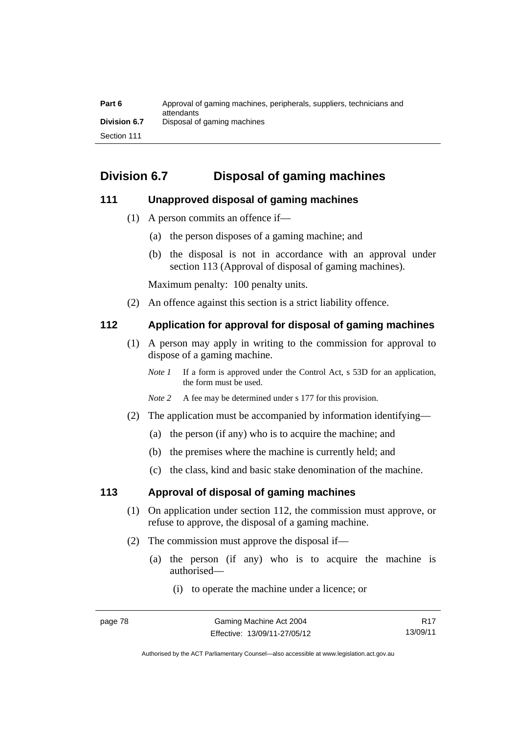| Part 6       | Approval of gaming machines, peripherals, suppliers, technicians and<br>attendants |
|--------------|------------------------------------------------------------------------------------|
| Division 6.7 | Disposal of gaming machines                                                        |
| Section 111  |                                                                                    |

# **Division 6.7 Disposal of gaming machines**

# **111 Unapproved disposal of gaming machines**

- (1) A person commits an offence if—
	- (a) the person disposes of a gaming machine; and
	- (b) the disposal is not in accordance with an approval under section 113 (Approval of disposal of gaming machines).

Maximum penalty: 100 penalty units.

(2) An offence against this section is a strict liability offence.

### **112 Application for approval for disposal of gaming machines**

- (1) A person may apply in writing to the commission for approval to dispose of a gaming machine.
	- *Note 1* If a form is approved under the Control Act, s 53D for an application, the form must be used.
	- *Note 2* A fee may be determined under s 177 for this provision.
- (2) The application must be accompanied by information identifying—
	- (a) the person (if any) who is to acquire the machine; and
	- (b) the premises where the machine is currently held; and
	- (c) the class, kind and basic stake denomination of the machine.

#### **113 Approval of disposal of gaming machines**

- (1) On application under section 112, the commission must approve, or refuse to approve, the disposal of a gaming machine.
- (2) The commission must approve the disposal if—
	- (a) the person (if any) who is to acquire the machine is authorised—
		- (i) to operate the machine under a licence; or

R17 13/09/11

Authorised by the ACT Parliamentary Counsel—also accessible at www.legislation.act.gov.au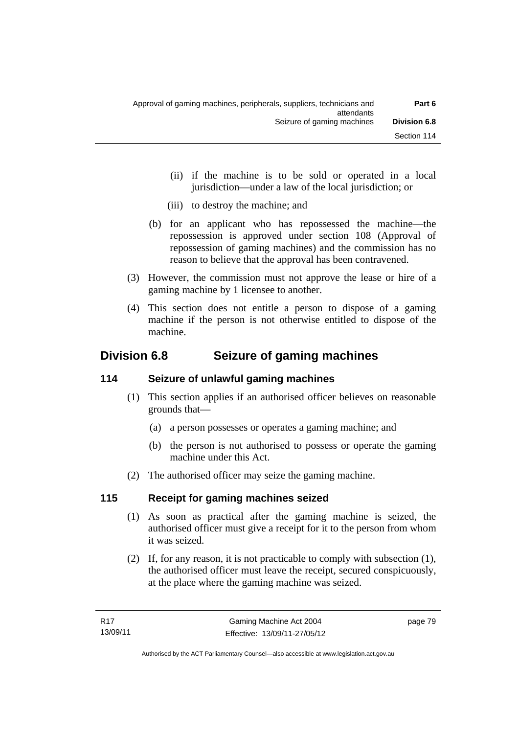- (ii) if the machine is to be sold or operated in a local jurisdiction—under a law of the local jurisdiction; or
- (iii) to destroy the machine; and
- (b) for an applicant who has repossessed the machine—the repossession is approved under section 108 (Approval of repossession of gaming machines) and the commission has no reason to believe that the approval has been contravened.
- (3) However, the commission must not approve the lease or hire of a gaming machine by 1 licensee to another.
- (4) This section does not entitle a person to dispose of a gaming machine if the person is not otherwise entitled to dispose of the machine.

# **Division 6.8 Seizure of gaming machines**

# **114 Seizure of unlawful gaming machines**

- (1) This section applies if an authorised officer believes on reasonable grounds that—
	- (a) a person possesses or operates a gaming machine; and
	- (b) the person is not authorised to possess or operate the gaming machine under this Act.
- (2) The authorised officer may seize the gaming machine.

# **115 Receipt for gaming machines seized**

- (1) As soon as practical after the gaming machine is seized, the authorised officer must give a receipt for it to the person from whom it was seized.
- (2) If, for any reason, it is not practicable to comply with subsection (1), the authorised officer must leave the receipt, secured conspicuously, at the place where the gaming machine was seized.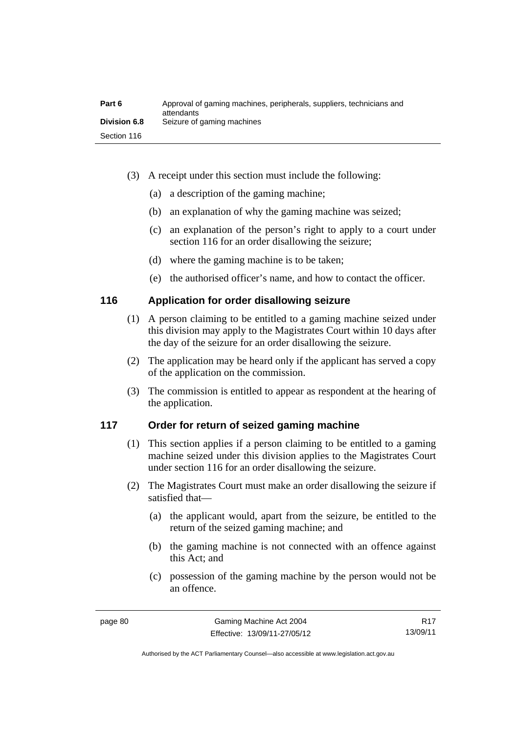| Part 6              | Approval of gaming machines, peripherals, suppliers, technicians and<br>attendants |
|---------------------|------------------------------------------------------------------------------------|
| <b>Division 6.8</b> | Seizure of gaming machines                                                         |
| Section 116         |                                                                                    |

- (3) A receipt under this section must include the following:
	- (a) a description of the gaming machine;
	- (b) an explanation of why the gaming machine was seized;
	- (c) an explanation of the person's right to apply to a court under section 116 for an order disallowing the seizure;
	- (d) where the gaming machine is to be taken;
	- (e) the authorised officer's name, and how to contact the officer.

#### **116 Application for order disallowing seizure**

- (1) A person claiming to be entitled to a gaming machine seized under this division may apply to the Magistrates Court within 10 days after the day of the seizure for an order disallowing the seizure.
- (2) The application may be heard only if the applicant has served a copy of the application on the commission.
- (3) The commission is entitled to appear as respondent at the hearing of the application.

### **117 Order for return of seized gaming machine**

- (1) This section applies if a person claiming to be entitled to a gaming machine seized under this division applies to the Magistrates Court under section 116 for an order disallowing the seizure.
- (2) The Magistrates Court must make an order disallowing the seizure if satisfied that—
	- (a) the applicant would, apart from the seizure, be entitled to the return of the seized gaming machine; and
	- (b) the gaming machine is not connected with an offence against this Act; and
	- (c) possession of the gaming machine by the person would not be an offence.

R17 13/09/11

Authorised by the ACT Parliamentary Counsel—also accessible at www.legislation.act.gov.au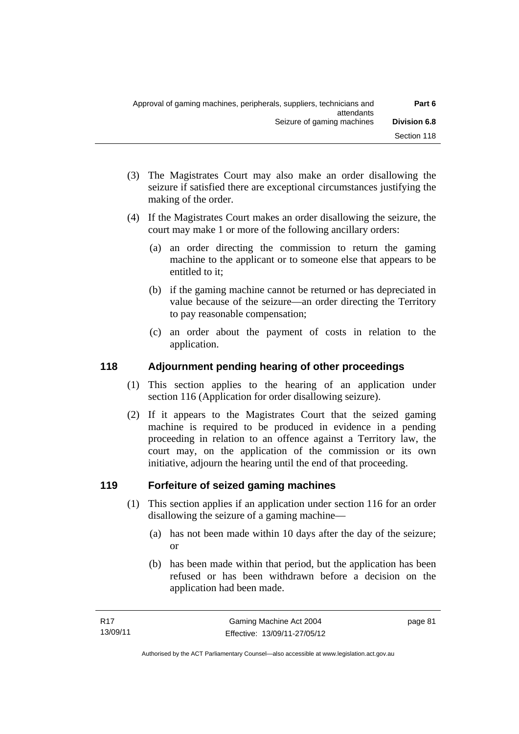- (3) The Magistrates Court may also make an order disallowing the seizure if satisfied there are exceptional circumstances justifying the making of the order.
- (4) If the Magistrates Court makes an order disallowing the seizure, the court may make 1 or more of the following ancillary orders:
	- (a) an order directing the commission to return the gaming machine to the applicant or to someone else that appears to be entitled to it;
	- (b) if the gaming machine cannot be returned or has depreciated in value because of the seizure—an order directing the Territory to pay reasonable compensation;
	- (c) an order about the payment of costs in relation to the application.

# **118 Adjournment pending hearing of other proceedings**

- (1) This section applies to the hearing of an application under section 116 (Application for order disallowing seizure).
- (2) If it appears to the Magistrates Court that the seized gaming machine is required to be produced in evidence in a pending proceeding in relation to an offence against a Territory law, the court may, on the application of the commission or its own initiative, adjourn the hearing until the end of that proceeding.

# **119 Forfeiture of seized gaming machines**

- (1) This section applies if an application under section 116 for an order disallowing the seizure of a gaming machine—
	- (a) has not been made within 10 days after the day of the seizure; or
	- (b) has been made within that period, but the application has been refused or has been withdrawn before a decision on the application had been made.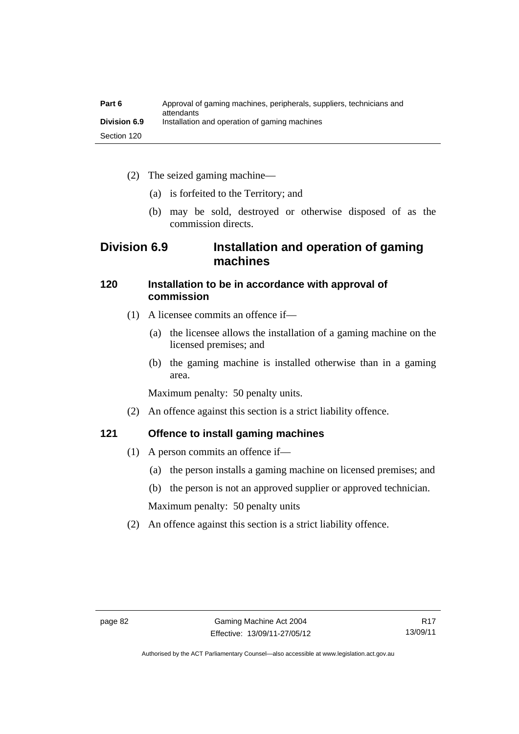| Part 6              | Approval of gaming machines, peripherals, suppliers, technicians and<br>attendants |
|---------------------|------------------------------------------------------------------------------------|
| <b>Division 6.9</b> | Installation and operation of gaming machines                                      |
| Section 120         |                                                                                    |

- (2) The seized gaming machine—
	- (a) is forfeited to the Territory; and
	- (b) may be sold, destroyed or otherwise disposed of as the commission directs.

# **Division 6.9 Installation and operation of gaming machines**

### **120 Installation to be in accordance with approval of commission**

- (1) A licensee commits an offence if—
	- (a) the licensee allows the installation of a gaming machine on the licensed premises; and
	- (b) the gaming machine is installed otherwise than in a gaming area.

Maximum penalty: 50 penalty units.

(2) An offence against this section is a strict liability offence.

# **121 Offence to install gaming machines**

- (1) A person commits an offence if—
	- (a) the person installs a gaming machine on licensed premises; and
	- (b) the person is not an approved supplier or approved technician.

Maximum penalty: 50 penalty units

(2) An offence against this section is a strict liability offence.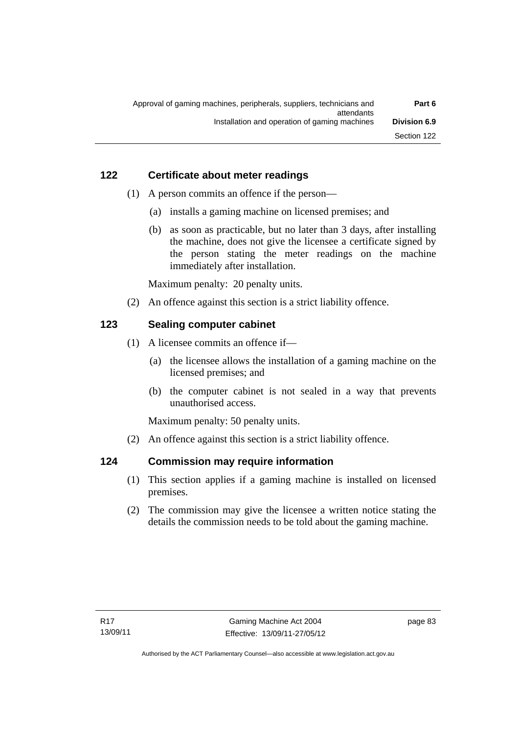# **122 Certificate about meter readings**

- (1) A person commits an offence if the person—
	- (a) installs a gaming machine on licensed premises; and
	- (b) as soon as practicable, but no later than 3 days, after installing the machine, does not give the licensee a certificate signed by the person stating the meter readings on the machine immediately after installation.

Maximum penalty: 20 penalty units.

(2) An offence against this section is a strict liability offence.

# **123 Sealing computer cabinet**

- (1) A licensee commits an offence if—
	- (a) the licensee allows the installation of a gaming machine on the licensed premises; and
	- (b) the computer cabinet is not sealed in a way that prevents unauthorised access.

Maximum penalty: 50 penalty units.

(2) An offence against this section is a strict liability offence.

# **124 Commission may require information**

- (1) This section applies if a gaming machine is installed on licensed premises.
- (2) The commission may give the licensee a written notice stating the details the commission needs to be told about the gaming machine.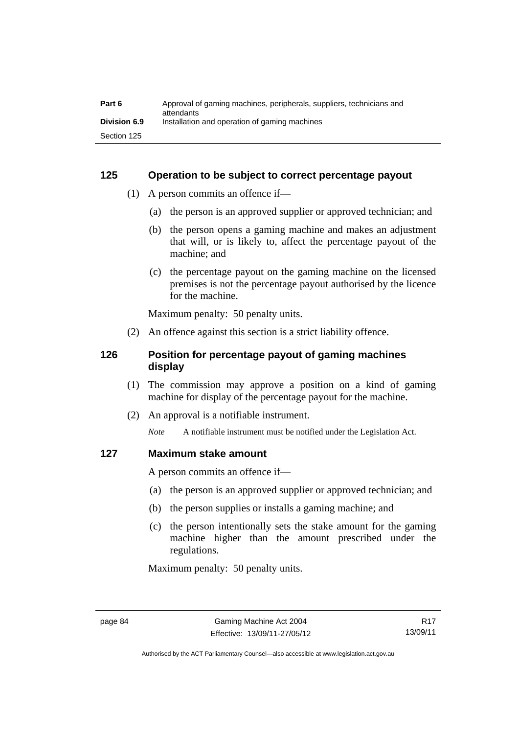| Part 6              | Approval of gaming machines, peripherals, suppliers, technicians and<br>attendants |
|---------------------|------------------------------------------------------------------------------------|
| <b>Division 6.9</b> | Installation and operation of gaming machines                                      |
| Section 125         |                                                                                    |

#### **125 Operation to be subject to correct percentage payout**

- (1) A person commits an offence if—
	- (a) the person is an approved supplier or approved technician; and
	- (b) the person opens a gaming machine and makes an adjustment that will, or is likely to, affect the percentage payout of the machine; and
	- (c) the percentage payout on the gaming machine on the licensed premises is not the percentage payout authorised by the licence for the machine.

Maximum penalty: 50 penalty units.

(2) An offence against this section is a strict liability offence.

## **126 Position for percentage payout of gaming machines display**

- (1) The commission may approve a position on a kind of gaming machine for display of the percentage payout for the machine.
- (2) An approval is a notifiable instrument.

*Note* A notifiable instrument must be notified under the Legislation Act.

#### **127 Maximum stake amount**

A person commits an offence if—

- (a) the person is an approved supplier or approved technician; and
- (b) the person supplies or installs a gaming machine; and
- (c) the person intentionally sets the stake amount for the gaming machine higher than the amount prescribed under the regulations.

Maximum penalty: 50 penalty units.

Authorised by the ACT Parliamentary Counsel—also accessible at www.legislation.act.gov.au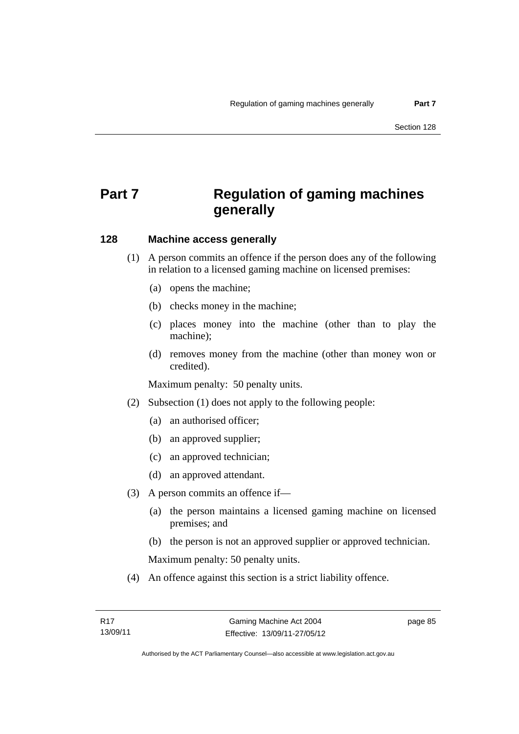# **Part 7 Regulation of gaming machines generally**

### **128 Machine access generally**

- (1) A person commits an offence if the person does any of the following in relation to a licensed gaming machine on licensed premises:
	- (a) opens the machine;
	- (b) checks money in the machine;
	- (c) places money into the machine (other than to play the machine);
	- (d) removes money from the machine (other than money won or credited).

Maximum penalty: 50 penalty units.

- (2) Subsection (1) does not apply to the following people:
	- (a) an authorised officer;
	- (b) an approved supplier;
	- (c) an approved technician;
	- (d) an approved attendant.
- (3) A person commits an offence if—
	- (a) the person maintains a licensed gaming machine on licensed premises; and
	- (b) the person is not an approved supplier or approved technician.

Maximum penalty: 50 penalty units.

(4) An offence against this section is a strict liability offence.

page 85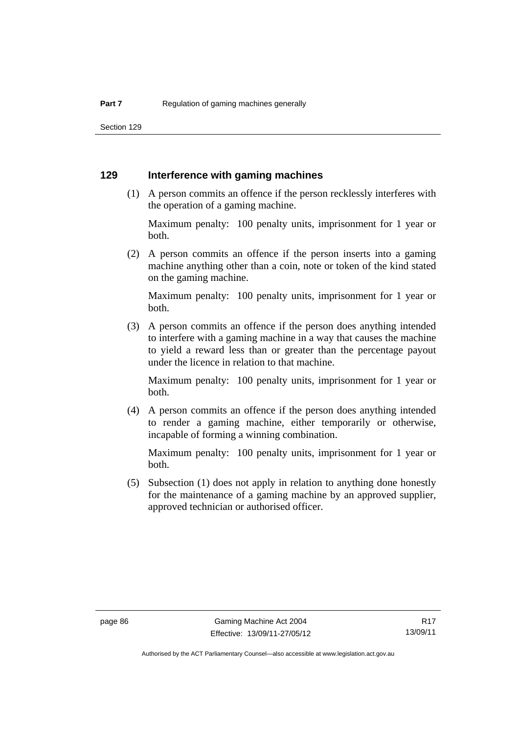Section 129

#### **129 Interference with gaming machines**

 (1) A person commits an offence if the person recklessly interferes with the operation of a gaming machine.

Maximum penalty: 100 penalty units, imprisonment for 1 year or both.

 (2) A person commits an offence if the person inserts into a gaming machine anything other than a coin, note or token of the kind stated on the gaming machine.

Maximum penalty: 100 penalty units, imprisonment for 1 year or both.

 (3) A person commits an offence if the person does anything intended to interfere with a gaming machine in a way that causes the machine to yield a reward less than or greater than the percentage payout under the licence in relation to that machine.

Maximum penalty: 100 penalty units, imprisonment for 1 year or both.

 (4) A person commits an offence if the person does anything intended to render a gaming machine, either temporarily or otherwise, incapable of forming a winning combination.

Maximum penalty: 100 penalty units, imprisonment for 1 year or both.

 (5) Subsection (1) does not apply in relation to anything done honestly for the maintenance of a gaming machine by an approved supplier, approved technician or authorised officer.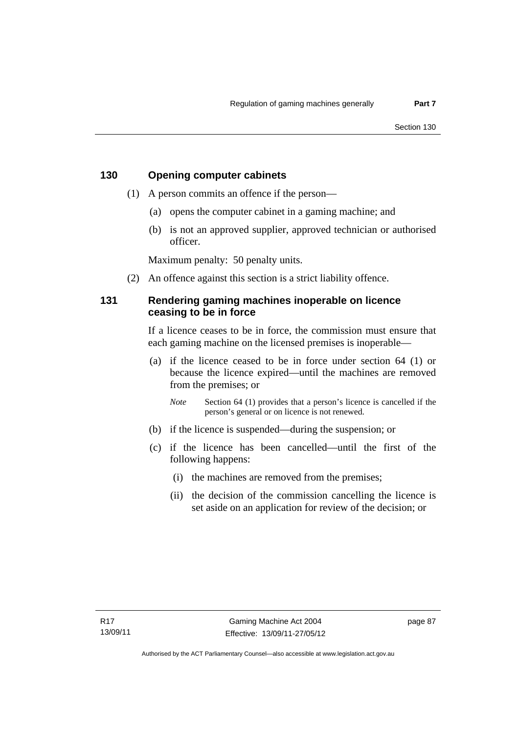#### **130 Opening computer cabinets**

- (1) A person commits an offence if the person—
	- (a) opens the computer cabinet in a gaming machine; and
	- (b) is not an approved supplier, approved technician or authorised officer.

Maximum penalty: 50 penalty units.

(2) An offence against this section is a strict liability offence.

### **131 Rendering gaming machines inoperable on licence ceasing to be in force**

If a licence ceases to be in force, the commission must ensure that each gaming machine on the licensed premises is inoperable—

 (a) if the licence ceased to be in force under section 64 (1) or because the licence expired—until the machines are removed from the premises; or

*Note* Section 64 (1) provides that a person's licence is cancelled if the person's general or on licence is not renewed.

- (b) if the licence is suspended—during the suspension; or
- (c) if the licence has been cancelled—until the first of the following happens:
	- (i) the machines are removed from the premises;
	- (ii) the decision of the commission cancelling the licence is set aside on an application for review of the decision; or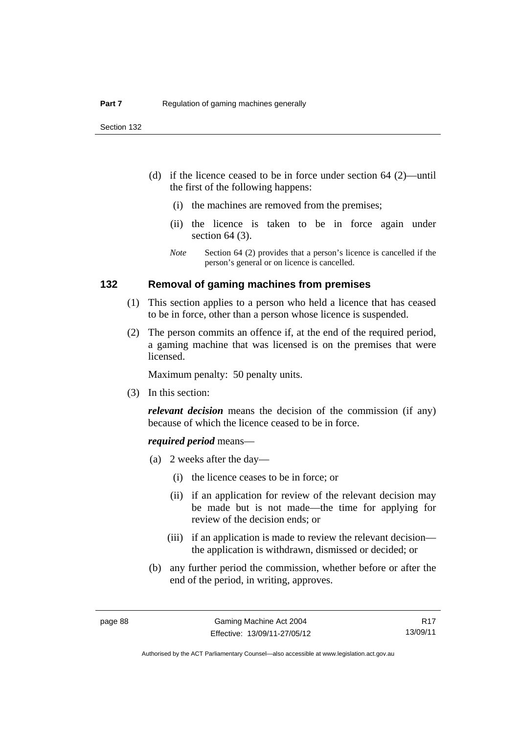- (d) if the licence ceased to be in force under section 64 (2)—until the first of the following happens:
	- (i) the machines are removed from the premises;
	- (ii) the licence is taken to be in force again under section 64 (3).
	- *Note* Section 64 (2) provides that a person's licence is cancelled if the person's general or on licence is cancelled.

#### **132 Removal of gaming machines from premises**

- (1) This section applies to a person who held a licence that has ceased to be in force, other than a person whose licence is suspended.
- (2) The person commits an offence if, at the end of the required period, a gaming machine that was licensed is on the premises that were licensed.

Maximum penalty: 50 penalty units.

(3) In this section:

*relevant decision* means the decision of the commission (if any) because of which the licence ceased to be in force.

#### *required period* means—

- (a) 2 weeks after the day—
	- (i) the licence ceases to be in force; or
	- (ii) if an application for review of the relevant decision may be made but is not made—the time for applying for review of the decision ends; or
	- (iii) if an application is made to review the relevant decision the application is withdrawn, dismissed or decided; or
- (b) any further period the commission, whether before or after the end of the period, in writing, approves.

R17 13/09/11

Authorised by the ACT Parliamentary Counsel—also accessible at www.legislation.act.gov.au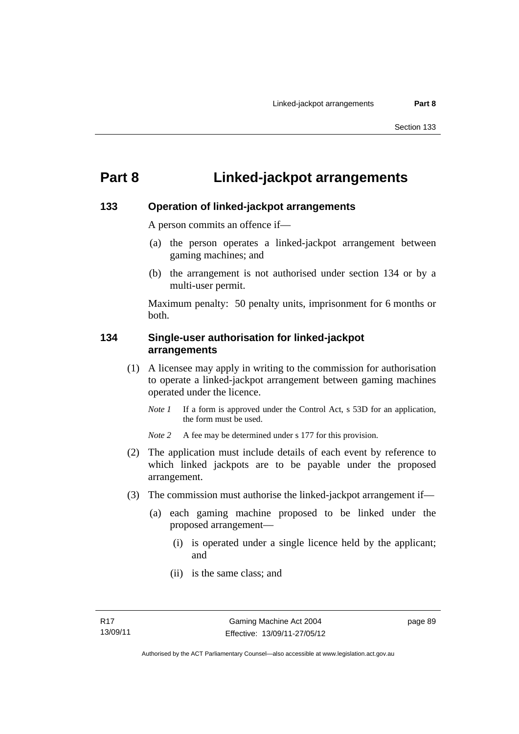# **Part 8 Linked-jackpot arrangements**

#### **133 Operation of linked-jackpot arrangements**

A person commits an offence if—

- (a) the person operates a linked-jackpot arrangement between gaming machines; and
- (b) the arrangement is not authorised under section 134 or by a multi-user permit.

Maximum penalty: 50 penalty units, imprisonment for 6 months or both.

#### **134 Single-user authorisation for linked-jackpot arrangements**

- (1) A licensee may apply in writing to the commission for authorisation to operate a linked-jackpot arrangement between gaming machines operated under the licence.
	- *Note 1* If a form is approved under the Control Act, s 53D for an application, the form must be used.

*Note* 2 A fee may be determined under s 177 for this provision.

- (2) The application must include details of each event by reference to which linked jackpots are to be payable under the proposed arrangement.
- (3) The commission must authorise the linked-jackpot arrangement if—
	- (a) each gaming machine proposed to be linked under the proposed arrangement—
		- (i) is operated under a single licence held by the applicant; and
		- (ii) is the same class; and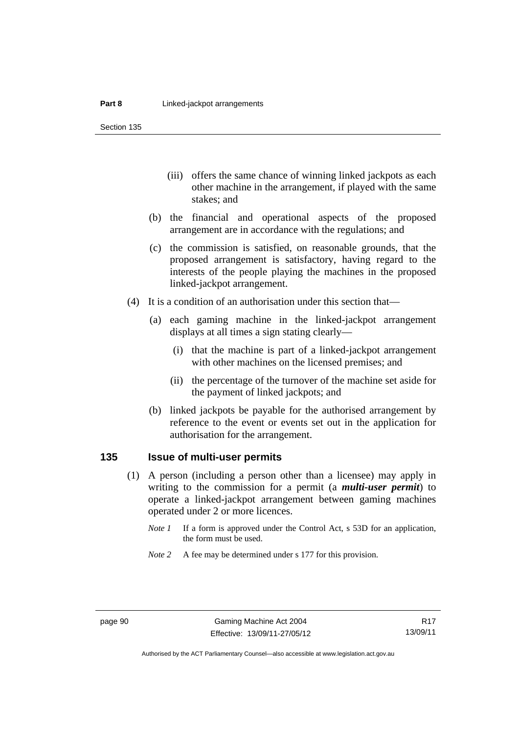Section 135

- (iii) offers the same chance of winning linked jackpots as each other machine in the arrangement, if played with the same stakes; and
- (b) the financial and operational aspects of the proposed arrangement are in accordance with the regulations; and
- (c) the commission is satisfied, on reasonable grounds, that the proposed arrangement is satisfactory, having regard to the interests of the people playing the machines in the proposed linked-jackpot arrangement.
- (4) It is a condition of an authorisation under this section that—
	- (a) each gaming machine in the linked-jackpot arrangement displays at all times a sign stating clearly—
		- (i) that the machine is part of a linked-jackpot arrangement with other machines on the licensed premises; and
		- (ii) the percentage of the turnover of the machine set aside for the payment of linked jackpots; and
	- (b) linked jackpots be payable for the authorised arrangement by reference to the event or events set out in the application for authorisation for the arrangement.

#### **135 Issue of multi-user permits**

- (1) A person (including a person other than a licensee) may apply in writing to the commission for a permit (a *multi-user permit*) to operate a linked-jackpot arrangement between gaming machines operated under 2 or more licences.
	- *Note 1* If a form is approved under the Control Act, s 53D for an application, the form must be used.
	- *Note* 2 A fee may be determined under s 177 for this provision.

R17 13/09/11

Authorised by the ACT Parliamentary Counsel—also accessible at www.legislation.act.gov.au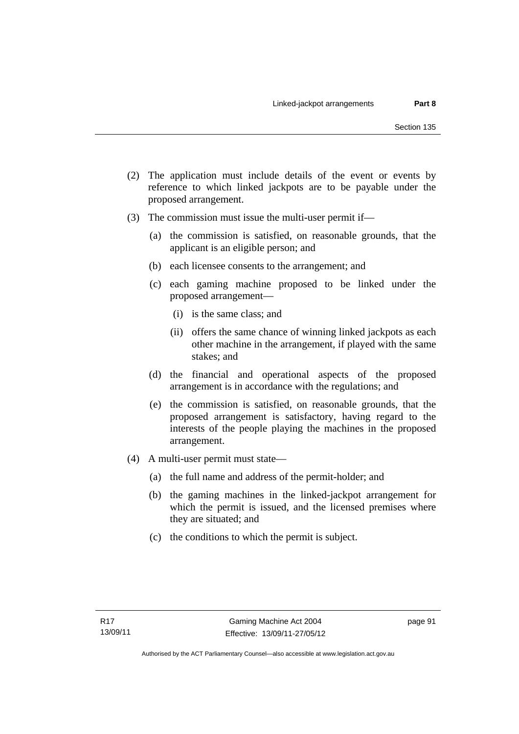- (2) The application must include details of the event or events by reference to which linked jackpots are to be payable under the proposed arrangement.
- (3) The commission must issue the multi-user permit if—
	- (a) the commission is satisfied, on reasonable grounds, that the applicant is an eligible person; and
	- (b) each licensee consents to the arrangement; and
	- (c) each gaming machine proposed to be linked under the proposed arrangement—
		- (i) is the same class; and
		- (ii) offers the same chance of winning linked jackpots as each other machine in the arrangement, if played with the same stakes; and
	- (d) the financial and operational aspects of the proposed arrangement is in accordance with the regulations; and
	- (e) the commission is satisfied, on reasonable grounds, that the proposed arrangement is satisfactory, having regard to the interests of the people playing the machines in the proposed arrangement.
- (4) A multi-user permit must state—
	- (a) the full name and address of the permit-holder; and
	- (b) the gaming machines in the linked-jackpot arrangement for which the permit is issued, and the licensed premises where they are situated; and
	- (c) the conditions to which the permit is subject.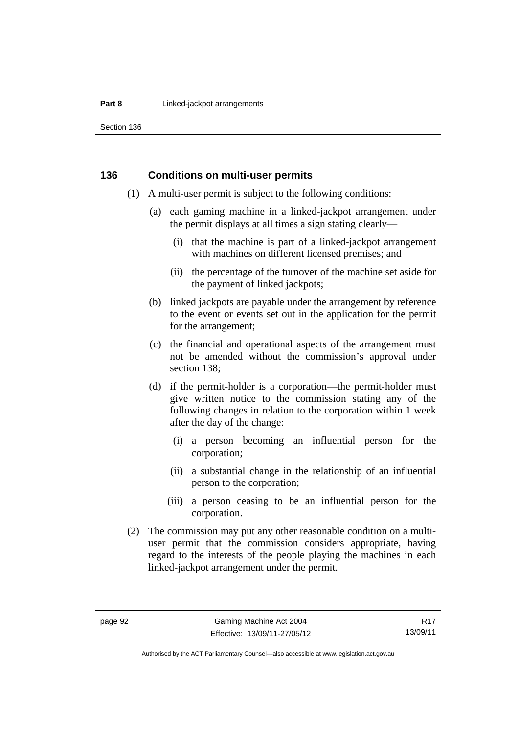#### **Part 8 Linked-jackpot arrangements**

Section 136

#### **136 Conditions on multi-user permits**

- (1) A multi-user permit is subject to the following conditions:
	- (a) each gaming machine in a linked-jackpot arrangement under the permit displays at all times a sign stating clearly—
		- (i) that the machine is part of a linked-jackpot arrangement with machines on different licensed premises; and
		- (ii) the percentage of the turnover of the machine set aside for the payment of linked jackpots;
	- (b) linked jackpots are payable under the arrangement by reference to the event or events set out in the application for the permit for the arrangement;
	- (c) the financial and operational aspects of the arrangement must not be amended without the commission's approval under section 138;
	- (d) if the permit-holder is a corporation—the permit-holder must give written notice to the commission stating any of the following changes in relation to the corporation within 1 week after the day of the change:
		- (i) a person becoming an influential person for the corporation;
		- (ii) a substantial change in the relationship of an influential person to the corporation;
		- (iii) a person ceasing to be an influential person for the corporation.
- (2) The commission may put any other reasonable condition on a multiuser permit that the commission considers appropriate, having regard to the interests of the people playing the machines in each linked-jackpot arrangement under the permit.

Authorised by the ACT Parliamentary Counsel—also accessible at www.legislation.act.gov.au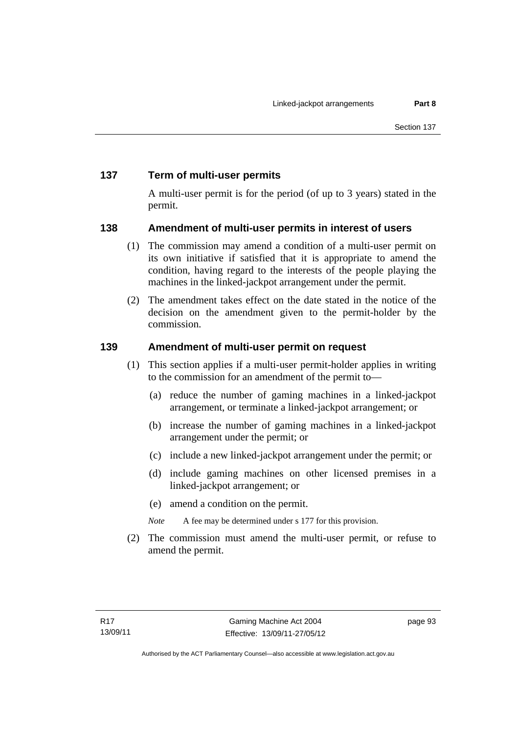# **137 Term of multi-user permits**

A multi-user permit is for the period (of up to 3 years) stated in the permit.

### **138 Amendment of multi-user permits in interest of users**

- (1) The commission may amend a condition of a multi-user permit on its own initiative if satisfied that it is appropriate to amend the condition, having regard to the interests of the people playing the machines in the linked-jackpot arrangement under the permit.
- (2) The amendment takes effect on the date stated in the notice of the decision on the amendment given to the permit-holder by the commission.

### **139 Amendment of multi-user permit on request**

- (1) This section applies if a multi-user permit-holder applies in writing to the commission for an amendment of the permit to—
	- (a) reduce the number of gaming machines in a linked-jackpot arrangement, or terminate a linked-jackpot arrangement; or
	- (b) increase the number of gaming machines in a linked-jackpot arrangement under the permit; or
	- (c) include a new linked-jackpot arrangement under the permit; or
	- (d) include gaming machines on other licensed premises in a linked-jackpot arrangement; or
	- (e) amend a condition on the permit.

*Note* A fee may be determined under s 177 for this provision.

 (2) The commission must amend the multi-user permit, or refuse to amend the permit.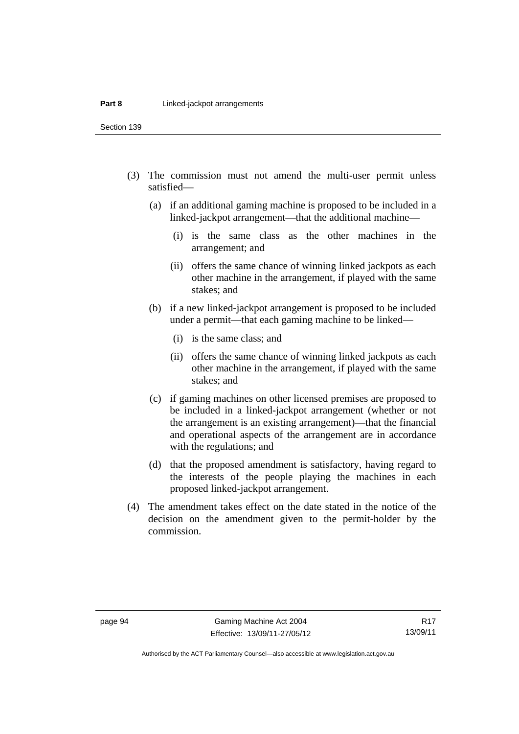Section 139

- (3) The commission must not amend the multi-user permit unless satisfied—
	- (a) if an additional gaming machine is proposed to be included in a linked-jackpot arrangement—that the additional machine—
		- (i) is the same class as the other machines in the arrangement; and
		- (ii) offers the same chance of winning linked jackpots as each other machine in the arrangement, if played with the same stakes; and
	- (b) if a new linked-jackpot arrangement is proposed to be included under a permit—that each gaming machine to be linked—
		- (i) is the same class; and
		- (ii) offers the same chance of winning linked jackpots as each other machine in the arrangement, if played with the same stakes; and
	- (c) if gaming machines on other licensed premises are proposed to be included in a linked-jackpot arrangement (whether or not the arrangement is an existing arrangement)—that the financial and operational aspects of the arrangement are in accordance with the regulations; and
	- (d) that the proposed amendment is satisfactory, having regard to the interests of the people playing the machines in each proposed linked-jackpot arrangement.
- (4) The amendment takes effect on the date stated in the notice of the decision on the amendment given to the permit-holder by the commission.

Authorised by the ACT Parliamentary Counsel—also accessible at www.legislation.act.gov.au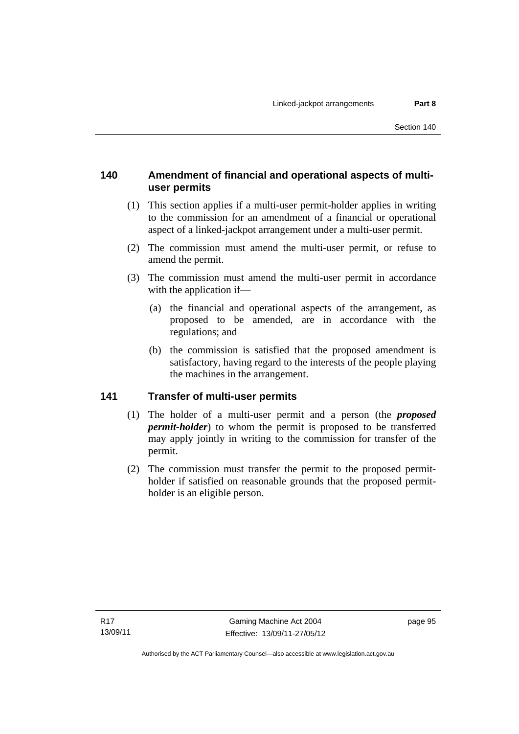## **140 Amendment of financial and operational aspects of multiuser permits**

- (1) This section applies if a multi-user permit-holder applies in writing to the commission for an amendment of a financial or operational aspect of a linked-jackpot arrangement under a multi-user permit.
- (2) The commission must amend the multi-user permit, or refuse to amend the permit.
- (3) The commission must amend the multi-user permit in accordance with the application if—
	- (a) the financial and operational aspects of the arrangement, as proposed to be amended, are in accordance with the regulations; and
	- (b) the commission is satisfied that the proposed amendment is satisfactory, having regard to the interests of the people playing the machines in the arrangement.

## **141 Transfer of multi-user permits**

- (1) The holder of a multi-user permit and a person (the *proposed permit-holder*) to whom the permit is proposed to be transferred may apply jointly in writing to the commission for transfer of the permit.
- (2) The commission must transfer the permit to the proposed permitholder if satisfied on reasonable grounds that the proposed permitholder is an eligible person.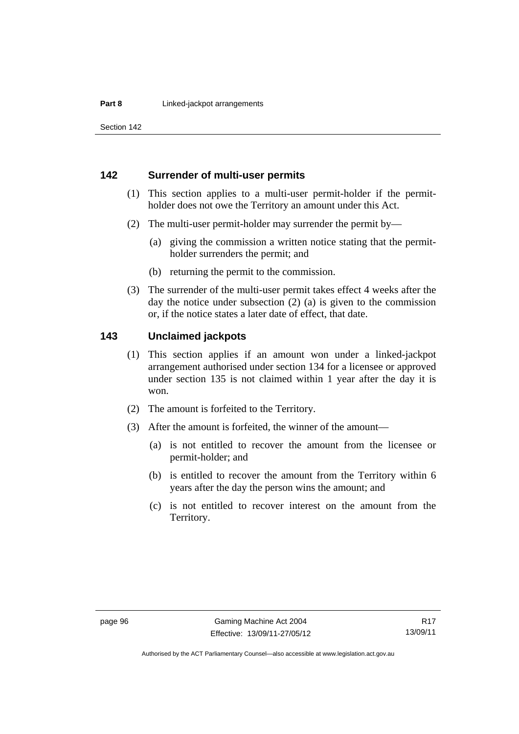Section 142

#### **142 Surrender of multi-user permits**

- (1) This section applies to a multi-user permit-holder if the permitholder does not owe the Territory an amount under this Act.
- (2) The multi-user permit-holder may surrender the permit by—
	- (a) giving the commission a written notice stating that the permitholder surrenders the permit; and
	- (b) returning the permit to the commission.
- (3) The surrender of the multi-user permit takes effect 4 weeks after the day the notice under subsection (2) (a) is given to the commission or, if the notice states a later date of effect, that date.

#### **143 Unclaimed jackpots**

- (1) This section applies if an amount won under a linked-jackpot arrangement authorised under section 134 for a licensee or approved under section 135 is not claimed within 1 year after the day it is won.
- (2) The amount is forfeited to the Territory.
- (3) After the amount is forfeited, the winner of the amount—
	- (a) is not entitled to recover the amount from the licensee or permit-holder; and
	- (b) is entitled to recover the amount from the Territory within 6 years after the day the person wins the amount; and
	- (c) is not entitled to recover interest on the amount from the Territory.

Authorised by the ACT Parliamentary Counsel—also accessible at www.legislation.act.gov.au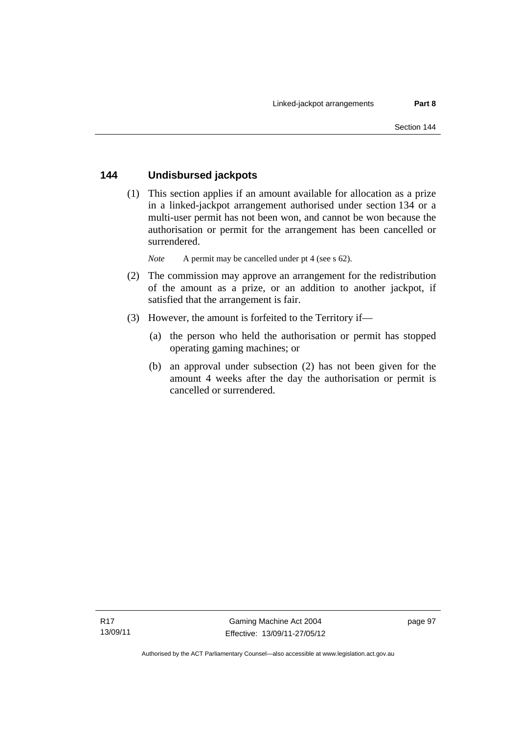#### **144 Undisbursed jackpots**

 (1) This section applies if an amount available for allocation as a prize in a linked-jackpot arrangement authorised under section 134 or a multi-user permit has not been won, and cannot be won because the authorisation or permit for the arrangement has been cancelled or surrendered.

*Note* A permit may be cancelled under pt 4 (see s 62).

- (2) The commission may approve an arrangement for the redistribution of the amount as a prize, or an addition to another jackpot, if satisfied that the arrangement is fair.
- (3) However, the amount is forfeited to the Territory if—
	- (a) the person who held the authorisation or permit has stopped operating gaming machines; or
	- (b) an approval under subsection (2) has not been given for the amount 4 weeks after the day the authorisation or permit is cancelled or surrendered.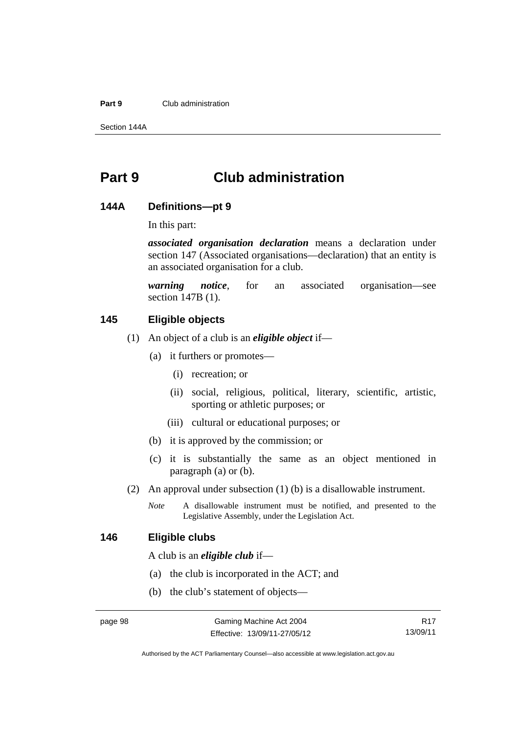#### **Part 9** Club administration

Section 144A

## **Part 9 Club administration**

#### **144A Definitions—pt 9**

In this part:

*associated organisation declaration* means a declaration under section 147 (Associated organisations—declaration) that an entity is an associated organisation for a club.

*warning notice*, for an associated organisation—see section 147B (1).

#### **145 Eligible objects**

- (1) An object of a club is an *eligible object* if—
	- (a) it furthers or promotes—
		- (i) recreation; or
		- (ii) social, religious, political, literary, scientific, artistic, sporting or athletic purposes; or
		- (iii) cultural or educational purposes; or
	- (b) it is approved by the commission; or
	- (c) it is substantially the same as an object mentioned in paragraph (a) or (b).
- (2) An approval under subsection (1) (b) is a disallowable instrument.
	- *Note* A disallowable instrument must be notified, and presented to the Legislative Assembly, under the Legislation Act.

#### **146 Eligible clubs**

A club is an *eligible club* if—

- (a) the club is incorporated in the ACT; and
- (b) the club's statement of objects—

R17 13/09/11

Authorised by the ACT Parliamentary Counsel—also accessible at www.legislation.act.gov.au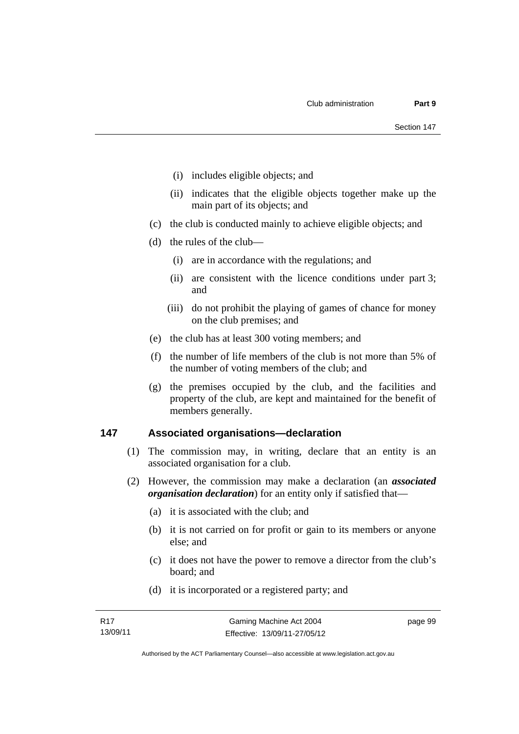- (i) includes eligible objects; and
- (ii) indicates that the eligible objects together make up the main part of its objects; and
- (c) the club is conducted mainly to achieve eligible objects; and
- (d) the rules of the club—
	- (i) are in accordance with the regulations; and
	- (ii) are consistent with the licence conditions under part 3; and
	- (iii) do not prohibit the playing of games of chance for money on the club premises; and
- (e) the club has at least 300 voting members; and
- (f) the number of life members of the club is not more than 5% of the number of voting members of the club; and
- (g) the premises occupied by the club, and the facilities and property of the club, are kept and maintained for the benefit of members generally.

#### **147 Associated organisations—declaration**

- (1) The commission may, in writing, declare that an entity is an associated organisation for a club.
- (2) However, the commission may make a declaration (an *associated organisation declaration*) for an entity only if satisfied that—
	- (a) it is associated with the club; and
	- (b) it is not carried on for profit or gain to its members or anyone else; and
	- (c) it does not have the power to remove a director from the club's board; and
	- (d) it is incorporated or a registered party; and

page 99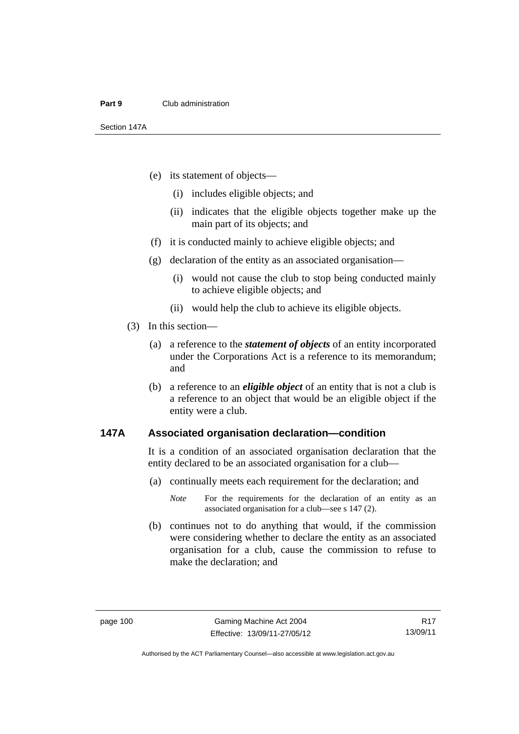#### **Part 9** Club administration

Section 147A

- (e) its statement of objects—
	- (i) includes eligible objects; and
	- (ii) indicates that the eligible objects together make up the main part of its objects; and
- (f) it is conducted mainly to achieve eligible objects; and
- (g) declaration of the entity as an associated organisation—
	- (i) would not cause the club to stop being conducted mainly to achieve eligible objects; and
	- (ii) would help the club to achieve its eligible objects.
- (3) In this section—
	- (a) a reference to the *statement of objects* of an entity incorporated under the Corporations Act is a reference to its memorandum; and
	- (b) a reference to an *eligible object* of an entity that is not a club is a reference to an object that would be an eligible object if the entity were a club.

#### **147A Associated organisation declaration—condition**

It is a condition of an associated organisation declaration that the entity declared to be an associated organisation for a club—

(a) continually meets each requirement for the declaration; and

 (b) continues not to do anything that would, if the commission were considering whether to declare the entity as an associated organisation for a club, cause the commission to refuse to make the declaration; and

*Note* For the requirements for the declaration of an entity as an associated organisation for a club—see s 147 (2).

Authorised by the ACT Parliamentary Counsel—also accessible at www.legislation.act.gov.au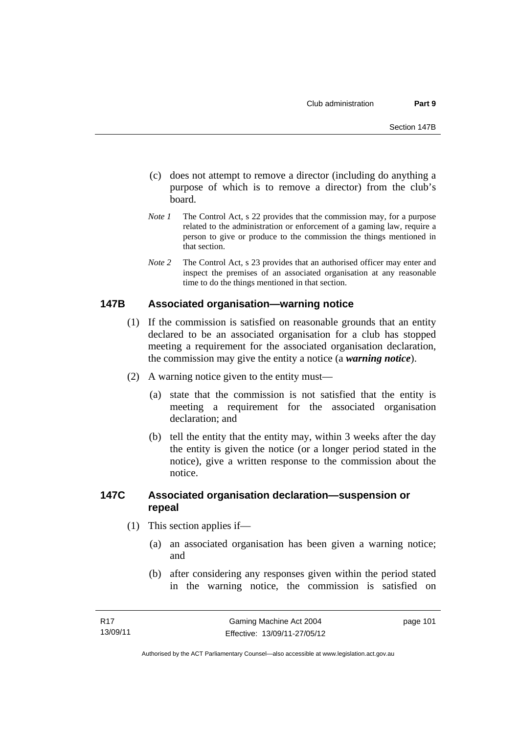- (c) does not attempt to remove a director (including do anything a purpose of which is to remove a director) from the club's board.
- *Note 1* The Control Act, s 22 provides that the commission may, for a purpose related to the administration or enforcement of a gaming law, require a person to give or produce to the commission the things mentioned in that section.
- *Note 2* The Control Act, s 23 provides that an authorised officer may enter and inspect the premises of an associated organisation at any reasonable time to do the things mentioned in that section.

#### **147B Associated organisation—warning notice**

- (1) If the commission is satisfied on reasonable grounds that an entity declared to be an associated organisation for a club has stopped meeting a requirement for the associated organisation declaration, the commission may give the entity a notice (a *warning notice*).
- (2) A warning notice given to the entity must—
	- (a) state that the commission is not satisfied that the entity is meeting a requirement for the associated organisation declaration; and
	- (b) tell the entity that the entity may, within 3 weeks after the day the entity is given the notice (or a longer period stated in the notice), give a written response to the commission about the notice.

#### **147C Associated organisation declaration—suspension or repeal**

- (1) This section applies if—
	- (a) an associated organisation has been given a warning notice; and
	- (b) after considering any responses given within the period stated in the warning notice, the commission is satisfied on

page 101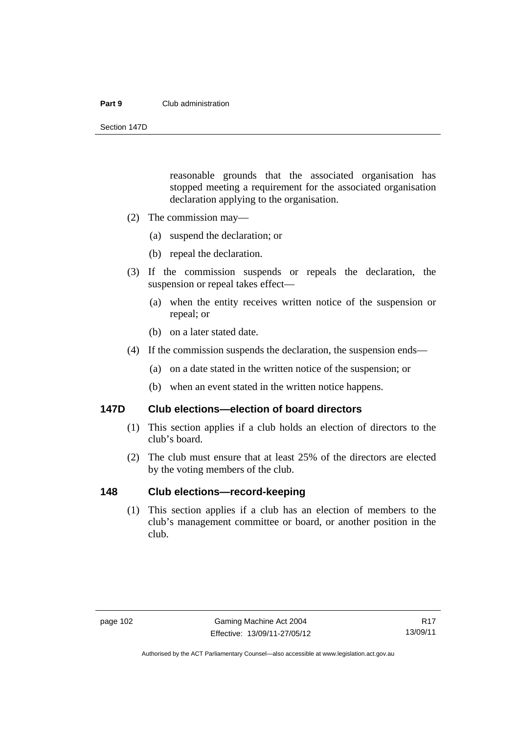#### **Part 9** Club administration

Section 147D

reasonable grounds that the associated organisation has stopped meeting a requirement for the associated organisation declaration applying to the organisation.

- (2) The commission may—
	- (a) suspend the declaration; or
	- (b) repeal the declaration.
- (3) If the commission suspends or repeals the declaration, the suspension or repeal takes effect—
	- (a) when the entity receives written notice of the suspension or repeal; or
	- (b) on a later stated date.
- (4) If the commission suspends the declaration, the suspension ends—
	- (a) on a date stated in the written notice of the suspension; or
	- (b) when an event stated in the written notice happens.

#### **147D Club elections—election of board directors**

- (1) This section applies if a club holds an election of directors to the club's board.
- (2) The club must ensure that at least 25% of the directors are elected by the voting members of the club.

#### **148 Club elections—record-keeping**

 (1) This section applies if a club has an election of members to the club's management committee or board, or another position in the club.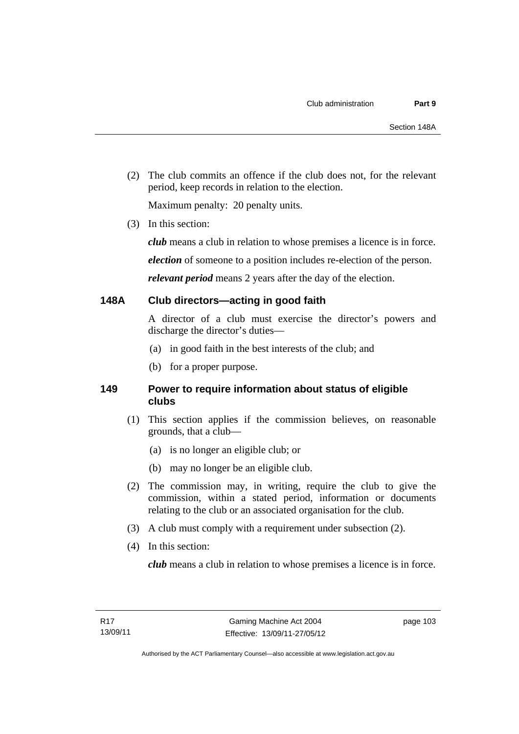(2) The club commits an offence if the club does not, for the relevant period, keep records in relation to the election.

Maximum penalty: 20 penalty units.

(3) In this section:

*club* means a club in relation to whose premises a licence is in force.

*election* of someone to a position includes re-election of the person.

*relevant period* means 2 years after the day of the election.

#### **148A Club directors—acting in good faith**

A director of a club must exercise the director's powers and discharge the director's duties—

- (a) in good faith in the best interests of the club; and
- (b) for a proper purpose.

#### **149 Power to require information about status of eligible clubs**

- (1) This section applies if the commission believes, on reasonable grounds, that a club—
	- (a) is no longer an eligible club; or
	- (b) may no longer be an eligible club.
- (2) The commission may, in writing, require the club to give the commission, within a stated period, information or documents relating to the club or an associated organisation for the club.
- (3) A club must comply with a requirement under subsection (2).
- (4) In this section:

*club* means a club in relation to whose premises a licence is in force.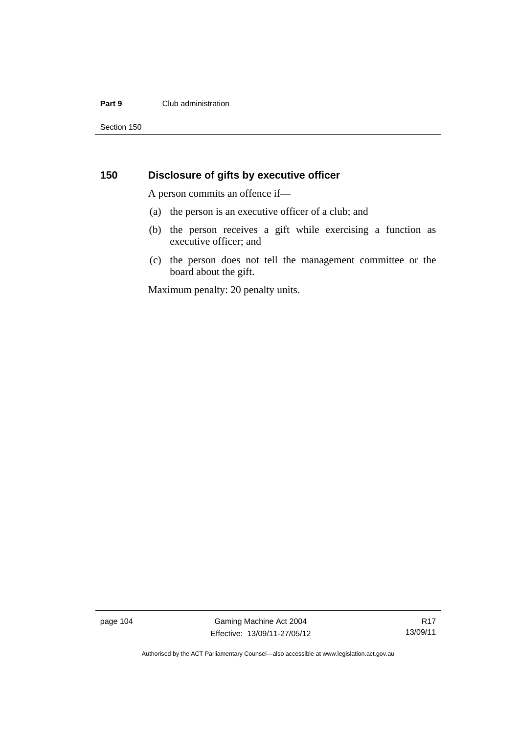#### **Part 9** Club administration

Section 150

### **150 Disclosure of gifts by executive officer**

A person commits an offence if—

- (a) the person is an executive officer of a club; and
- (b) the person receives a gift while exercising a function as executive officer; and
- (c) the person does not tell the management committee or the board about the gift.

Maximum penalty: 20 penalty units.

page 104 Gaming Machine Act 2004 Effective: 13/09/11-27/05/12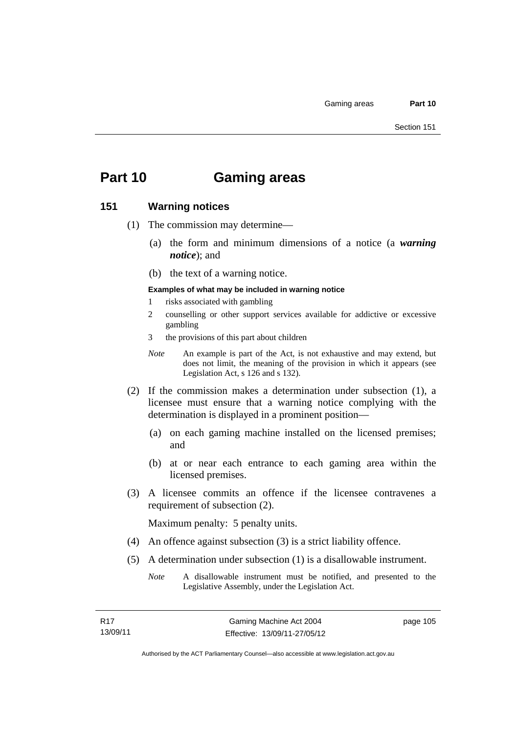# **Part 10 Gaming areas**

#### **151 Warning notices**

- (1) The commission may determine—
	- (a) the form and minimum dimensions of a notice (a *warning notice*); and
	- (b) the text of a warning notice.
	- **Examples of what may be included in warning notice**
	- 1 risks associated with gambling
	- 2 counselling or other support services available for addictive or excessive gambling
	- 3 the provisions of this part about children
	- *Note* An example is part of the Act, is not exhaustive and may extend, but does not limit, the meaning of the provision in which it appears (see Legislation Act, s 126 and s 132).
- (2) If the commission makes a determination under subsection (1), a licensee must ensure that a warning notice complying with the determination is displayed in a prominent position—
	- (a) on each gaming machine installed on the licensed premises; and
	- (b) at or near each entrance to each gaming area within the licensed premises.
- (3) A licensee commits an offence if the licensee contravenes a requirement of subsection (2).

Maximum penalty: 5 penalty units.

- (4) An offence against subsection (3) is a strict liability offence.
- (5) A determination under subsection (1) is a disallowable instrument.
	- *Note* A disallowable instrument must be notified, and presented to the Legislative Assembly, under the Legislation Act.

page 105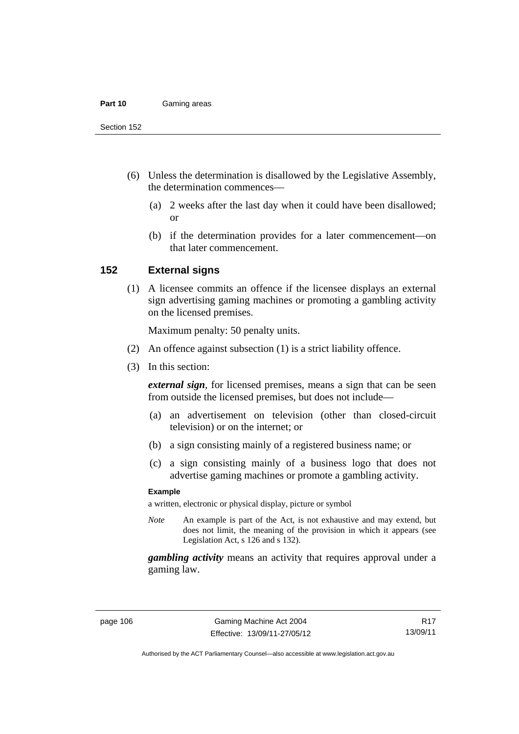#### **Part 10** Gaming areas

Section 152

- (6) Unless the determination is disallowed by the Legislative Assembly, the determination commences—
	- (a) 2 weeks after the last day when it could have been disallowed; or
	- (b) if the determination provides for a later commencement—on that later commencement.

#### **152 External signs**

 (1) A licensee commits an offence if the licensee displays an external sign advertising gaming machines or promoting a gambling activity on the licensed premises.

Maximum penalty: 50 penalty units.

- (2) An offence against subsection (1) is a strict liability offence.
- (3) In this section:

*external sign*, for licensed premises, means a sign that can be seen from outside the licensed premises, but does not include—

- (a) an advertisement on television (other than closed-circuit television) or on the internet; or
- (b) a sign consisting mainly of a registered business name; or
- (c) a sign consisting mainly of a business logo that does not advertise gaming machines or promote a gambling activity.

#### **Example**

a written, electronic or physical display, picture or symbol

*Note* An example is part of the Act, is not exhaustive and may extend, but does not limit, the meaning of the provision in which it appears (see Legislation Act, s 126 and s 132).

*gambling activity* means an activity that requires approval under a gaming law.

Authorised by the ACT Parliamentary Counsel—also accessible at www.legislation.act.gov.au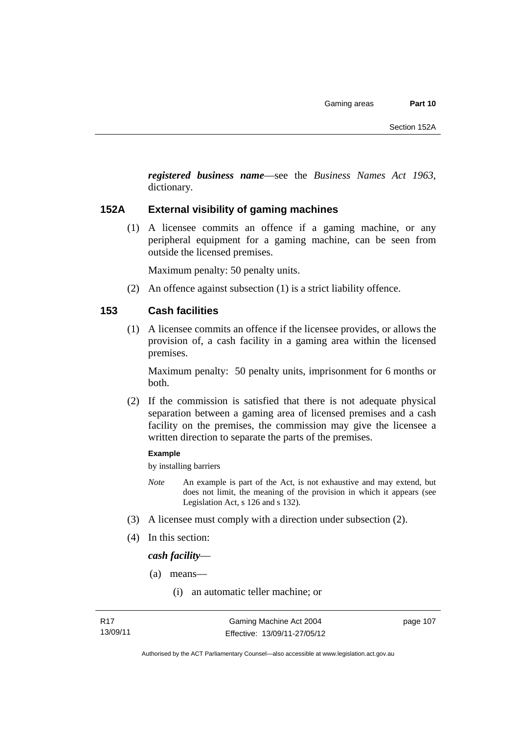*registered business name*—see the *Business Names Act 1963*, dictionary*.*

#### **152A External visibility of gaming machines**

 (1) A licensee commits an offence if a gaming machine, or any peripheral equipment for a gaming machine, can be seen from outside the licensed premises.

Maximum penalty: 50 penalty units.

(2) An offence against subsection (1) is a strict liability offence.

#### **153 Cash facilities**

 (1) A licensee commits an offence if the licensee provides, or allows the provision of, a cash facility in a gaming area within the licensed premises.

Maximum penalty: 50 penalty units, imprisonment for 6 months or both.

 (2) If the commission is satisfied that there is not adequate physical separation between a gaming area of licensed premises and a cash facility on the premises, the commission may give the licensee a written direction to separate the parts of the premises.

#### **Example**

by installing barriers

- *Note* An example is part of the Act, is not exhaustive and may extend, but does not limit, the meaning of the provision in which it appears (see Legislation Act, s 126 and s 132).
- (3) A licensee must comply with a direction under subsection (2).
- (4) In this section:

*cash facility*—

- (a) means—
	- (i) an automatic teller machine; or

page 107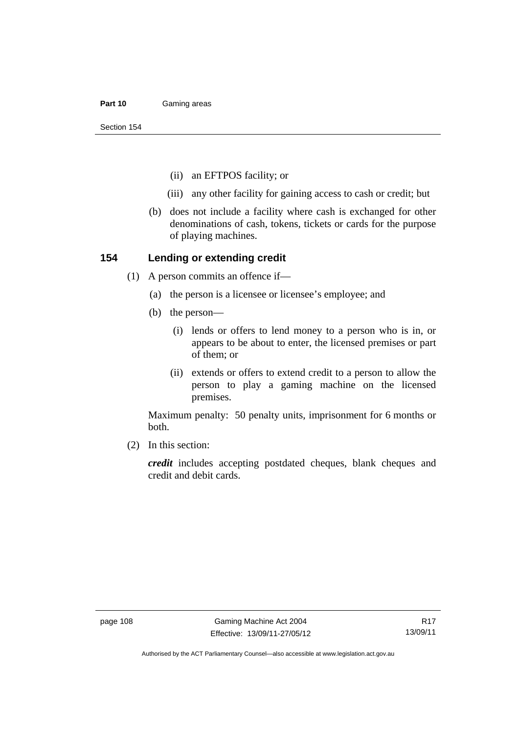#### **Part 10** Gaming areas

Section 154

- (ii) an EFTPOS facility; or
- (iii) any other facility for gaining access to cash or credit; but
- (b) does not include a facility where cash is exchanged for other denominations of cash, tokens, tickets or cards for the purpose of playing machines.

#### **154 Lending or extending credit**

- (1) A person commits an offence if—
	- (a) the person is a licensee or licensee's employee; and
	- (b) the person—
		- (i) lends or offers to lend money to a person who is in, or appears to be about to enter, the licensed premises or part of them; or
		- (ii) extends or offers to extend credit to a person to allow the person to play a gaming machine on the licensed premises.

Maximum penalty: 50 penalty units, imprisonment for 6 months or both.

(2) In this section:

*credit* includes accepting postdated cheques, blank cheques and credit and debit cards.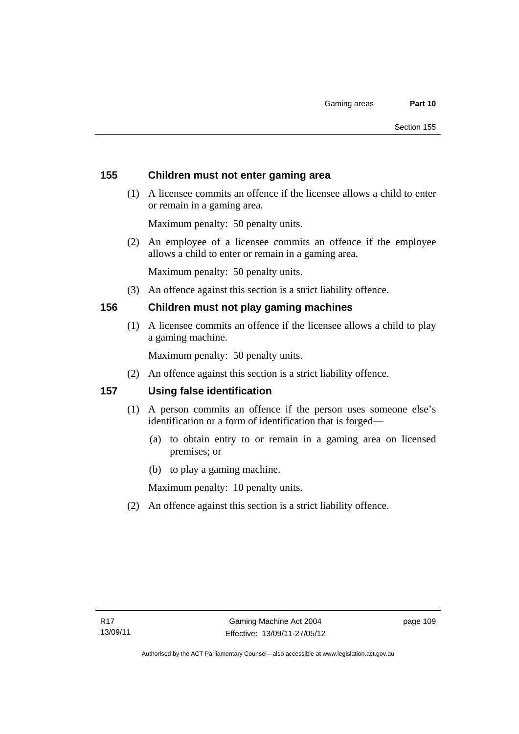#### **155 Children must not enter gaming area**

 (1) A licensee commits an offence if the licensee allows a child to enter or remain in a gaming area.

Maximum penalty: 50 penalty units.

 (2) An employee of a licensee commits an offence if the employee allows a child to enter or remain in a gaming area.

Maximum penalty: 50 penalty units.

(3) An offence against this section is a strict liability offence.

#### **156 Children must not play gaming machines**

 (1) A licensee commits an offence if the licensee allows a child to play a gaming machine.

Maximum penalty: 50 penalty units.

(2) An offence against this section is a strict liability offence.

#### **157 Using false identification**

- (1) A person commits an offence if the person uses someone else's identification or a form of identification that is forged—
	- (a) to obtain entry to or remain in a gaming area on licensed premises; or
	- (b) to play a gaming machine.

Maximum penalty: 10 penalty units.

(2) An offence against this section is a strict liability offence.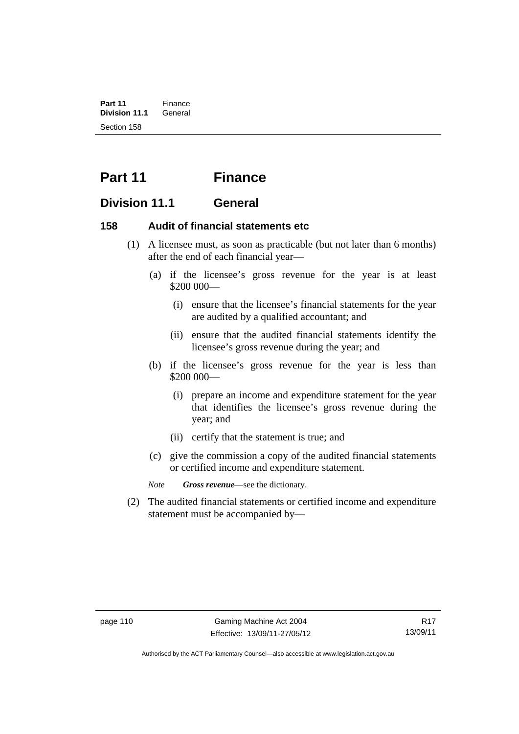**Part 11** Finance<br>**Division 11.1** General **Division 11.1** Section 158

## **Part 11 Finance**

### **Division 11.1 General**

#### **158 Audit of financial statements etc**

- (1) A licensee must, as soon as practicable (but not later than 6 months) after the end of each financial year—
	- (a) if the licensee's gross revenue for the year is at least \$200 000—
		- (i) ensure that the licensee's financial statements for the year are audited by a qualified accountant; and
		- (ii) ensure that the audited financial statements identify the licensee's gross revenue during the year; and
	- (b) if the licensee's gross revenue for the year is less than \$200 000—
		- (i) prepare an income and expenditure statement for the year that identifies the licensee's gross revenue during the year; and
		- (ii) certify that the statement is true; and
	- (c) give the commission a copy of the audited financial statements or certified income and expenditure statement.

*Note Gross revenue*—see the dictionary.

 (2) The audited financial statements or certified income and expenditure statement must be accompanied by—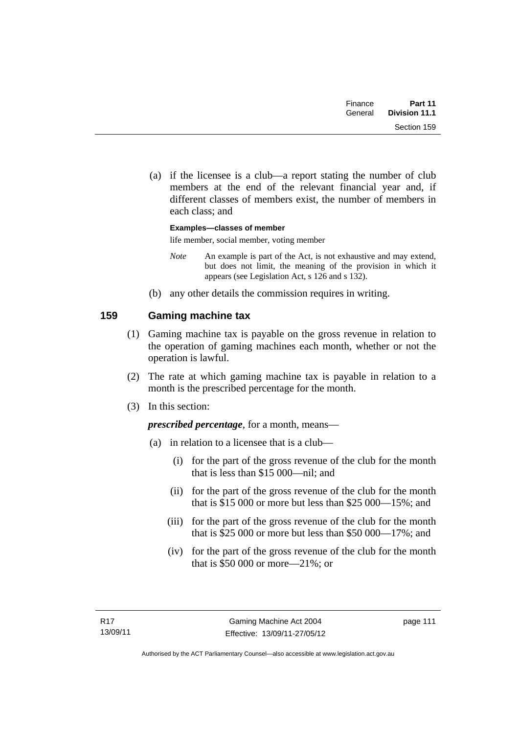| Finance | Part 11              |
|---------|----------------------|
| General | <b>Division 11.1</b> |
|         | Section 159          |

 (a) if the licensee is a club—a report stating the number of club members at the end of the relevant financial year and, if different classes of members exist, the number of members in each class; and

**Examples—classes of member** 

life member, social member, voting member

- *Note* An example is part of the Act, is not exhaustive and may extend, but does not limit, the meaning of the provision in which it appears (see Legislation Act, s 126 and s 132).
- (b) any other details the commission requires in writing.

### **159 Gaming machine tax**

- (1) Gaming machine tax is payable on the gross revenue in relation to the operation of gaming machines each month, whether or not the operation is lawful.
- (2) The rate at which gaming machine tax is payable in relation to a month is the prescribed percentage for the month.
- (3) In this section:

*prescribed percentage*, for a month, means—

- (a) in relation to a licensee that is a club—
	- (i) for the part of the gross revenue of the club for the month that is less than \$15 000—nil; and
	- (ii) for the part of the gross revenue of the club for the month that is \$15 000 or more but less than \$25 000—15%; and
	- (iii) for the part of the gross revenue of the club for the month that is \$25 000 or more but less than \$50 000—17%; and
	- (iv) for the part of the gross revenue of the club for the month that is \$50 000 or more—21%; or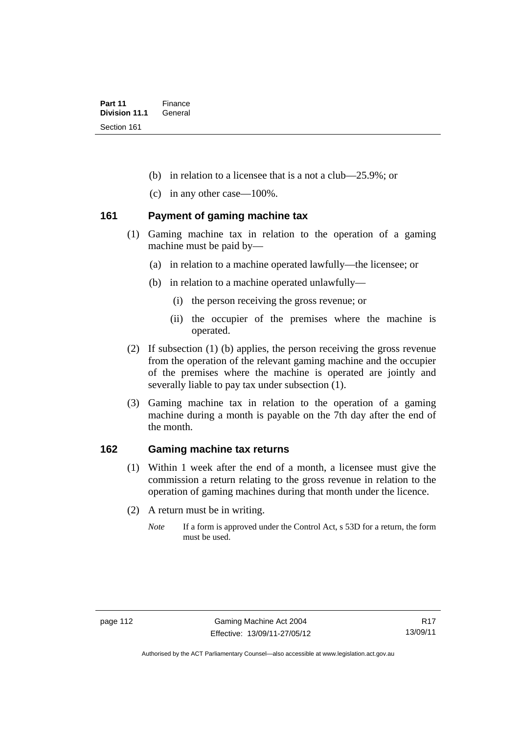- (b) in relation to a licensee that is a not a club—25.9%; or
- (c) in any other case—100%.

#### **161 Payment of gaming machine tax**

- (1) Gaming machine tax in relation to the operation of a gaming machine must be paid by—
	- (a) in relation to a machine operated lawfully—the licensee; or
	- (b) in relation to a machine operated unlawfully—
		- (i) the person receiving the gross revenue; or
		- (ii) the occupier of the premises where the machine is operated.
- (2) If subsection (1) (b) applies, the person receiving the gross revenue from the operation of the relevant gaming machine and the occupier of the premises where the machine is operated are jointly and severally liable to pay tax under subsection (1).
- (3) Gaming machine tax in relation to the operation of a gaming machine during a month is payable on the 7th day after the end of the month.

#### **162 Gaming machine tax returns**

- (1) Within 1 week after the end of a month, a licensee must give the commission a return relating to the gross revenue in relation to the operation of gaming machines during that month under the licence.
- (2) A return must be in writing.
	- *Note* If a form is approved under the Control Act, s 53D for a return, the form must be used.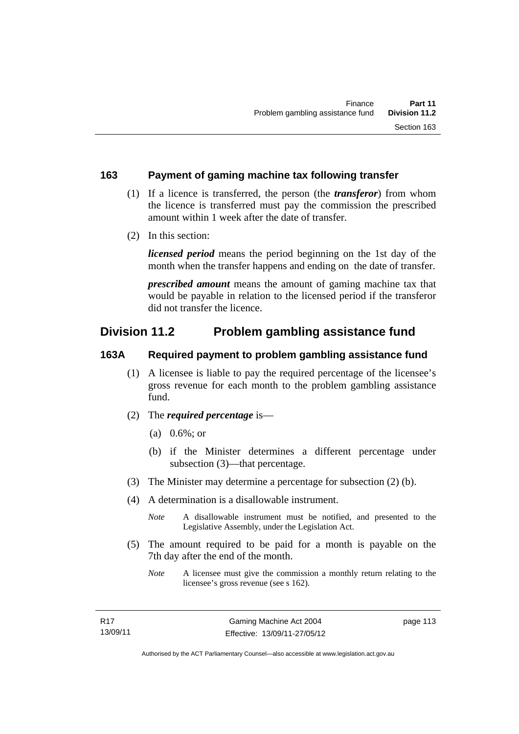#### **163 Payment of gaming machine tax following transfer**

- (1) If a licence is transferred, the person (the *transferor*) from whom the licence is transferred must pay the commission the prescribed amount within 1 week after the date of transfer.
- (2) In this section:

*licensed period* means the period beginning on the 1st day of the month when the transfer happens and ending on the date of transfer.

*prescribed amount* means the amount of gaming machine tax that would be payable in relation to the licensed period if the transferor did not transfer the licence.

## **Division 11.2 Problem gambling assistance fund**

#### **163A Required payment to problem gambling assistance fund**

- (1) A licensee is liable to pay the required percentage of the licensee's gross revenue for each month to the problem gambling assistance fund.
- (2) The *required percentage* is—
	- (a) 0.6%; or
	- (b) if the Minister determines a different percentage under subsection (3)—that percentage.
- (3) The Minister may determine a percentage for subsection (2) (b).
- (4) A determination is a disallowable instrument.

*Note* A disallowable instrument must be notified, and presented to the Legislative Assembly, under the Legislation Act.

- (5) The amount required to be paid for a month is payable on the 7th day after the end of the month.
	- *Note* A licensee must give the commission a monthly return relating to the licensee's gross revenue (see s 162).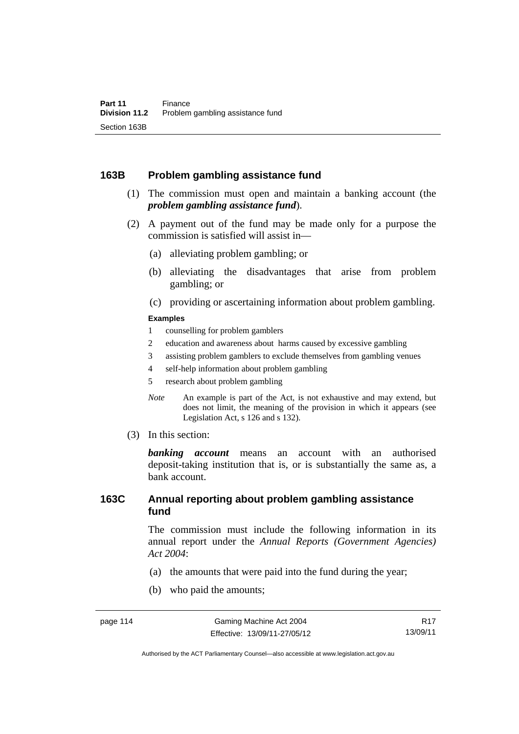#### **163B Problem gambling assistance fund**

- (1) The commission must open and maintain a banking account (the *problem gambling assistance fund*).
- (2) A payment out of the fund may be made only for a purpose the commission is satisfied will assist in—
	- (a) alleviating problem gambling; or
	- (b) alleviating the disadvantages that arise from problem gambling; or
	- (c) providing or ascertaining information about problem gambling.

#### **Examples**

- 1 counselling for problem gamblers
- 2 education and awareness about harms caused by excessive gambling
- 3 assisting problem gamblers to exclude themselves from gambling venues
- 4 self-help information about problem gambling
- 5 research about problem gambling
- *Note* An example is part of the Act, is not exhaustive and may extend, but does not limit, the meaning of the provision in which it appears (see Legislation Act, s 126 and s 132).
- (3) In this section:

*banking account* means an account with an authorised deposit-taking institution that is, or is substantially the same as, a bank account.

#### **163C Annual reporting about problem gambling assistance fund**

The commission must include the following information in its annual report under the *Annual Reports (Government Agencies) Act 2004*:

- (a) the amounts that were paid into the fund during the year;
- (b) who paid the amounts;

Authorised by the ACT Parliamentary Counsel—also accessible at www.legislation.act.gov.au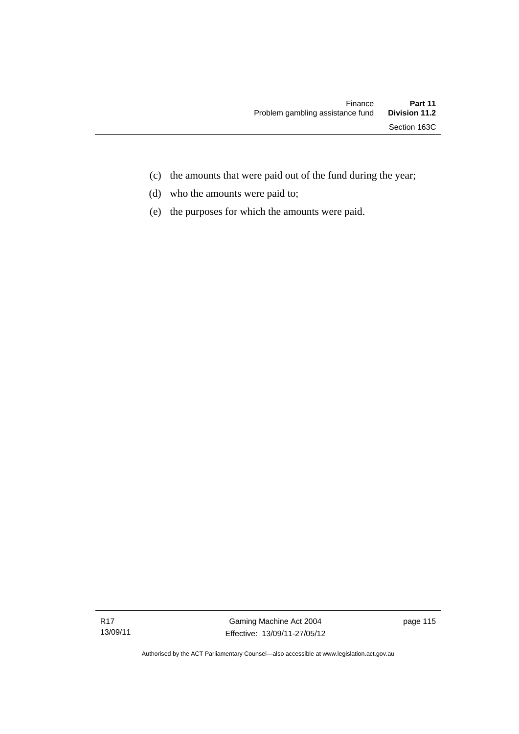- (c) the amounts that were paid out of the fund during the year;
- (d) who the amounts were paid to;
- (e) the purposes for which the amounts were paid.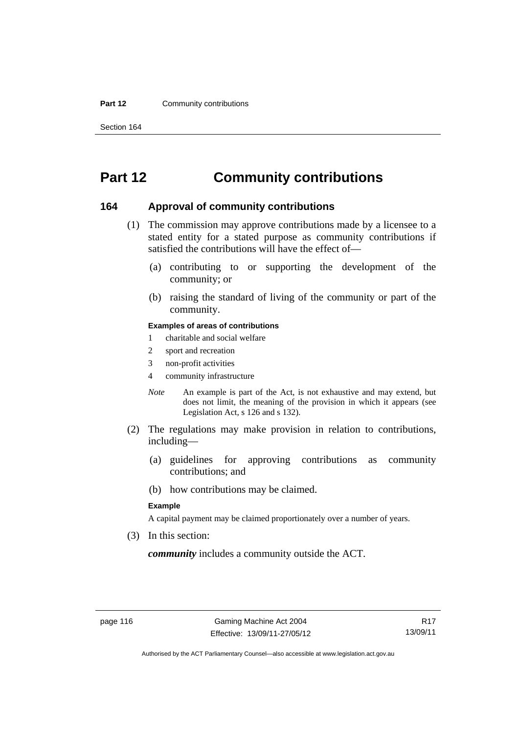#### **Part 12 Community contributions**

Section 164

## **Part 12 Community contributions**

#### **164 Approval of community contributions**

- (1) The commission may approve contributions made by a licensee to a stated entity for a stated purpose as community contributions if satisfied the contributions will have the effect of—
	- (a) contributing to or supporting the development of the community; or
	- (b) raising the standard of living of the community or part of the community.

#### **Examples of areas of contributions**

- 1 charitable and social welfare
- 2 sport and recreation
- 3 non-profit activities
- 4 community infrastructure
- *Note* An example is part of the Act, is not exhaustive and may extend, but does not limit, the meaning of the provision in which it appears (see Legislation Act, s 126 and s 132).
- (2) The regulations may make provision in relation to contributions, including—
	- (a) guidelines for approving contributions as community contributions; and
	- (b) how contributions may be claimed.

#### **Example**

A capital payment may be claimed proportionately over a number of years.

(3) In this section:

*community* includes a community outside the ACT.

Authorised by the ACT Parliamentary Counsel—also accessible at www.legislation.act.gov.au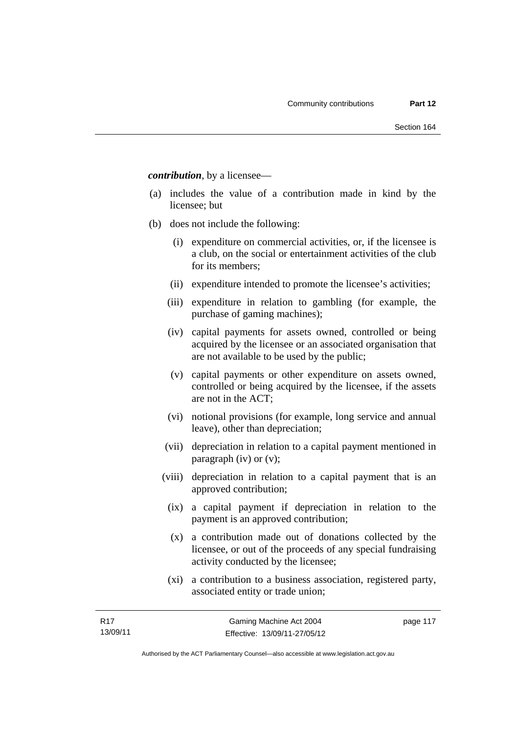*contribution*, by a licensee—

- (a) includes the value of a contribution made in kind by the licensee; but
- (b) does not include the following:
	- (i) expenditure on commercial activities, or, if the licensee is a club, on the social or entertainment activities of the club for its members;
	- (ii) expenditure intended to promote the licensee's activities;
	- (iii) expenditure in relation to gambling (for example, the purchase of gaming machines);
	- (iv) capital payments for assets owned, controlled or being acquired by the licensee or an associated organisation that are not available to be used by the public;
	- (v) capital payments or other expenditure on assets owned, controlled or being acquired by the licensee, if the assets are not in the ACT;
	- (vi) notional provisions (for example, long service and annual leave), other than depreciation;
	- (vii) depreciation in relation to a capital payment mentioned in paragraph (iv) or (v);
	- (viii) depreciation in relation to a capital payment that is an approved contribution;
		- (ix) a capital payment if depreciation in relation to the payment is an approved contribution;
		- (x) a contribution made out of donations collected by the licensee, or out of the proceeds of any special fundraising activity conducted by the licensee;
		- (xi) a contribution to a business association, registered party, associated entity or trade union;

page 117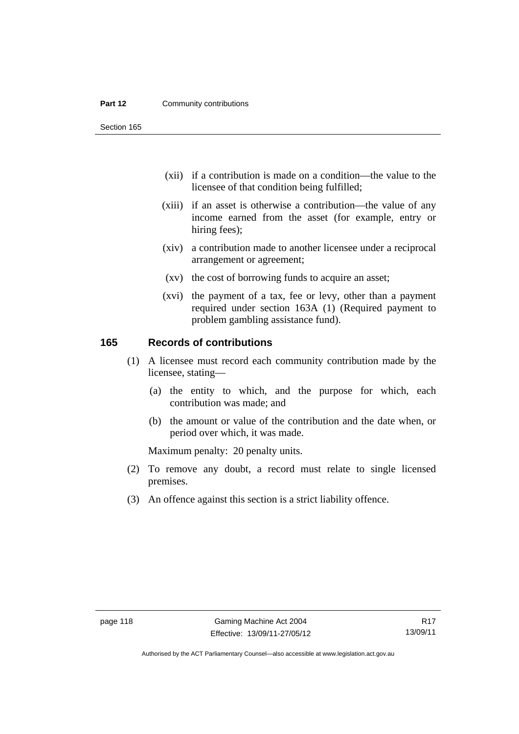#### **Part 12 Community contributions**

Section 165

- (xii) if a contribution is made on a condition—the value to the licensee of that condition being fulfilled;
- (xiii) if an asset is otherwise a contribution—the value of any income earned from the asset (for example, entry or hiring fees);
- (xiv) a contribution made to another licensee under a reciprocal arrangement or agreement;
- (xv) the cost of borrowing funds to acquire an asset;
- (xvi) the payment of a tax, fee or levy, other than a payment required under section 163A (1) (Required payment to problem gambling assistance fund).

#### **165 Records of contributions**

- (1) A licensee must record each community contribution made by the licensee, stating—
	- (a) the entity to which, and the purpose for which, each contribution was made; and
	- (b) the amount or value of the contribution and the date when, or period over which, it was made.

Maximum penalty: 20 penalty units.

- (2) To remove any doubt, a record must relate to single licensed premises.
- (3) An offence against this section is a strict liability offence.

Authorised by the ACT Parliamentary Counsel—also accessible at www.legislation.act.gov.au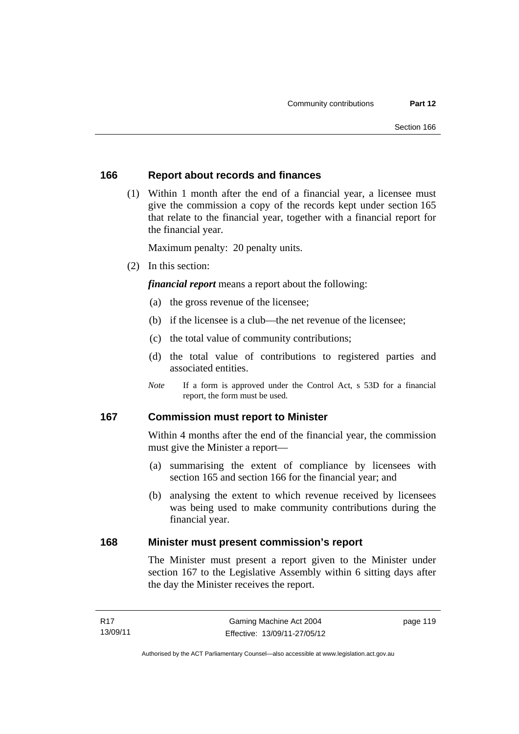#### **166 Report about records and finances**

 (1) Within 1 month after the end of a financial year, a licensee must give the commission a copy of the records kept under section 165 that relate to the financial year, together with a financial report for the financial year.

Maximum penalty: 20 penalty units.

(2) In this section:

*financial report* means a report about the following:

- (a) the gross revenue of the licensee;
- (b) if the licensee is a club—the net revenue of the licensee;
- (c) the total value of community contributions;
- (d) the total value of contributions to registered parties and associated entities.
- *Note* If a form is approved under the Control Act, s 53D for a financial report, the form must be used.

#### **167 Commission must report to Minister**

Within 4 months after the end of the financial year, the commission must give the Minister a report—

- (a) summarising the extent of compliance by licensees with section 165 and section 166 for the financial year; and
- (b) analysing the extent to which revenue received by licensees was being used to make community contributions during the financial year.

#### **168 Minister must present commission's report**

The Minister must present a report given to the Minister under section 167 to the Legislative Assembly within 6 sitting days after the day the Minister receives the report.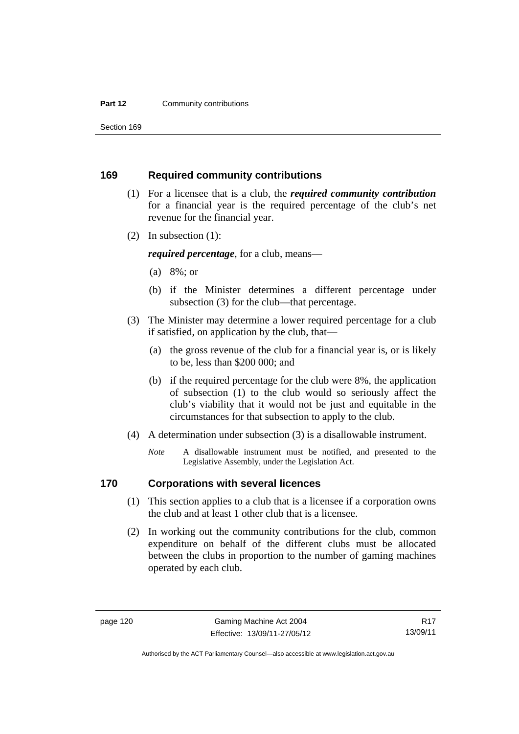#### **Part 12 Community contributions**

Section 169

#### **169 Required community contributions**

- (1) For a licensee that is a club, the *required community contribution* for a financial year is the required percentage of the club's net revenue for the financial year.
- (2) In subsection (1):

*required percentage*, for a club, means—

- (a) 8%; or
- (b) if the Minister determines a different percentage under subsection (3) for the club—that percentage.
- (3) The Minister may determine a lower required percentage for a club if satisfied, on application by the club, that—
	- (a) the gross revenue of the club for a financial year is, or is likely to be, less than \$200 000; and
	- (b) if the required percentage for the club were 8%, the application of subsection (1) to the club would so seriously affect the club's viability that it would not be just and equitable in the circumstances for that subsection to apply to the club.
- (4) A determination under subsection (3) is a disallowable instrument.
	- *Note* A disallowable instrument must be notified, and presented to the Legislative Assembly, under the Legislation Act.

#### **170 Corporations with several licences**

- (1) This section applies to a club that is a licensee if a corporation owns the club and at least 1 other club that is a licensee.
- (2) In working out the community contributions for the club, common expenditure on behalf of the different clubs must be allocated between the clubs in proportion to the number of gaming machines operated by each club.

Authorised by the ACT Parliamentary Counsel—also accessible at www.legislation.act.gov.au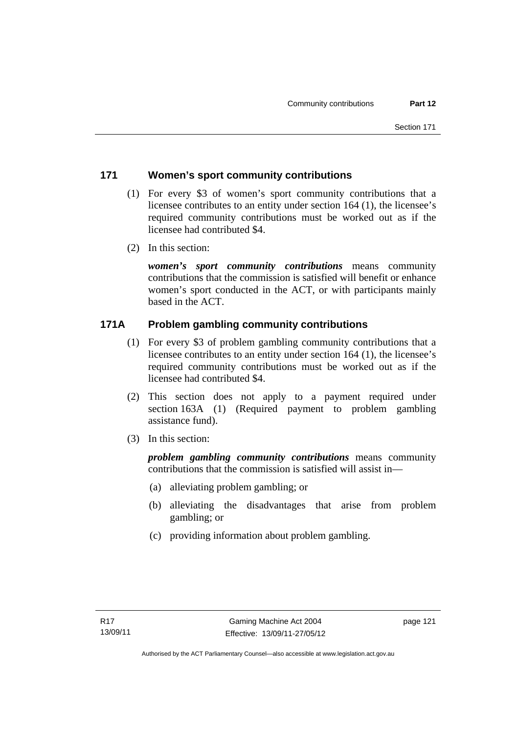#### **171 Women's sport community contributions**

- (1) For every \$3 of women's sport community contributions that a licensee contributes to an entity under section 164 (1), the licensee's required community contributions must be worked out as if the licensee had contributed \$4.
- (2) In this section:

*women's sport community contributions* means community contributions that the commission is satisfied will benefit or enhance women's sport conducted in the ACT, or with participants mainly based in the ACT.

### **171A Problem gambling community contributions**

- (1) For every \$3 of problem gambling community contributions that a licensee contributes to an entity under section 164 (1), the licensee's required community contributions must be worked out as if the licensee had contributed \$4.
- (2) This section does not apply to a payment required under section 163A (1) (Required payment to problem gambling assistance fund).
- (3) In this section:

*problem gambling community contributions* means community contributions that the commission is satisfied will assist in—

- (a) alleviating problem gambling; or
- (b) alleviating the disadvantages that arise from problem gambling; or
- (c) providing information about problem gambling.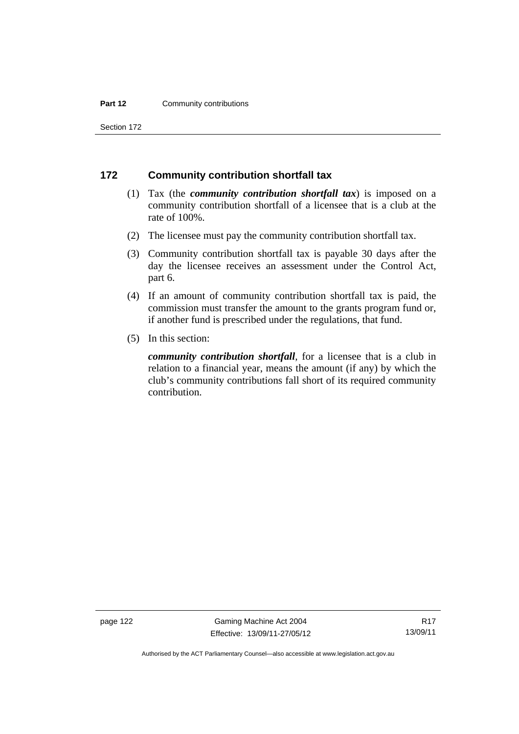#### **Part 12 Community contributions**

Section 172

#### **172 Community contribution shortfall tax**

- (1) Tax (the *community contribution shortfall tax*) is imposed on a community contribution shortfall of a licensee that is a club at the rate of 100%.
- (2) The licensee must pay the community contribution shortfall tax.
- (3) Community contribution shortfall tax is payable 30 days after the day the licensee receives an assessment under the Control Act, part 6.
- (4) If an amount of community contribution shortfall tax is paid, the commission must transfer the amount to the grants program fund or, if another fund is prescribed under the regulations, that fund.
- (5) In this section:

*community contribution shortfall*, for a licensee that is a club in relation to a financial year, means the amount (if any) by which the club's community contributions fall short of its required community contribution.

page 122 Gaming Machine Act 2004 Effective: 13/09/11-27/05/12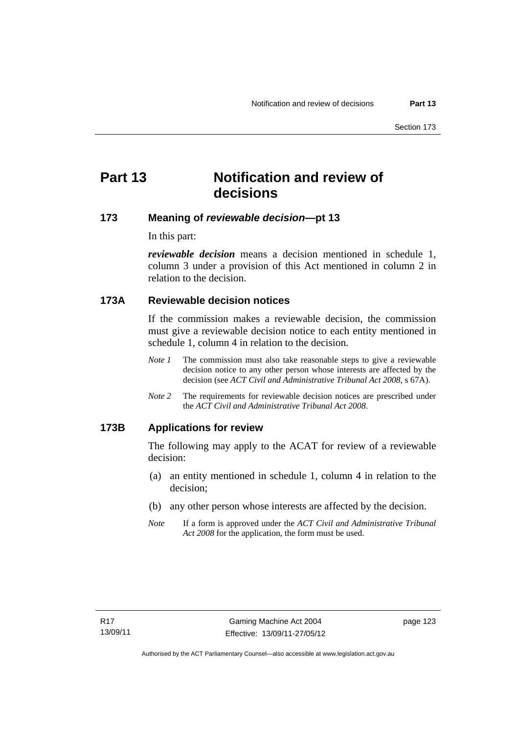## **Part 13 Notification and review of decisions**

#### **173 Meaning of** *reviewable decision***—pt 13**

In this part:

*reviewable decision* means a decision mentioned in schedule 1, column 3 under a provision of this Act mentioned in column 2 in relation to the decision.

#### **173A Reviewable decision notices**

If the commission makes a reviewable decision, the commission must give a reviewable decision notice to each entity mentioned in schedule 1, column 4 in relation to the decision.

- *Note 1* The commission must also take reasonable steps to give a reviewable decision notice to any other person whose interests are affected by the decision (see *ACT Civil and Administrative Tribunal Act 2008*, s 67A).
- *Note 2* The requirements for reviewable decision notices are prescribed under the *ACT Civil and Administrative Tribunal Act 2008*.

#### **173B Applications for review**

The following may apply to the ACAT for review of a reviewable decision:

- (a) an entity mentioned in schedule 1, column 4 in relation to the decision;
- (b) any other person whose interests are affected by the decision.
- *Note* If a form is approved under the *ACT Civil and Administrative Tribunal Act 2008* for the application, the form must be used.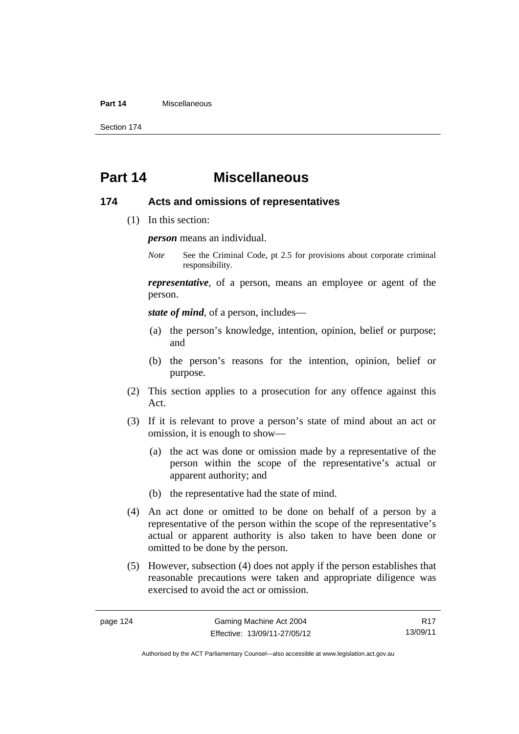#### **Part 14** Miscellaneous

Section 174

## **Part 14 Miscellaneous**

#### **174 Acts and omissions of representatives**

(1) In this section:

*person* means an individual.

*Note* See the Criminal Code, pt 2.5 for provisions about corporate criminal responsibility.

*representative*, of a person, means an employee or agent of the person.

*state of mind*, of a person, includes—

- (a) the person's knowledge, intention, opinion, belief or purpose; and
- (b) the person's reasons for the intention, opinion, belief or purpose.
- (2) This section applies to a prosecution for any offence against this Act.
- (3) If it is relevant to prove a person's state of mind about an act or omission, it is enough to show—
	- (a) the act was done or omission made by a representative of the person within the scope of the representative's actual or apparent authority; and
	- (b) the representative had the state of mind.
- (4) An act done or omitted to be done on behalf of a person by a representative of the person within the scope of the representative's actual or apparent authority is also taken to have been done or omitted to be done by the person.
- (5) However, subsection (4) does not apply if the person establishes that reasonable precautions were taken and appropriate diligence was exercised to avoid the act or omission.

R17 13/09/11

Authorised by the ACT Parliamentary Counsel—also accessible at www.legislation.act.gov.au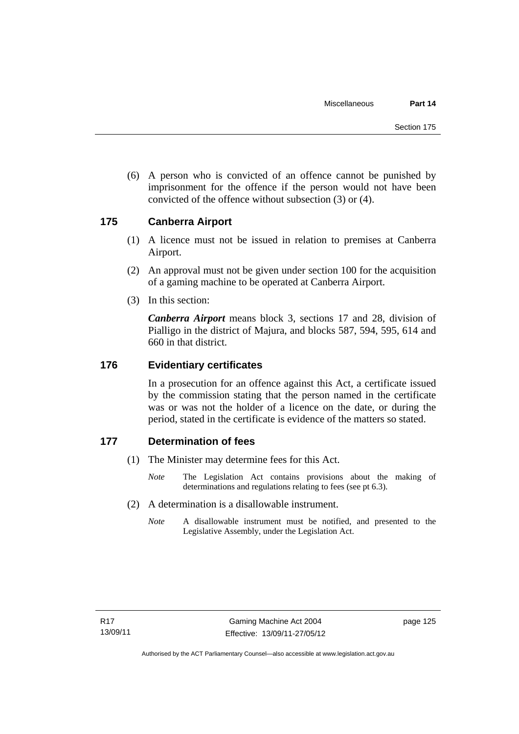(6) A person who is convicted of an offence cannot be punished by imprisonment for the offence if the person would not have been convicted of the offence without subsection (3) or (4).

#### **175 Canberra Airport**

- (1) A licence must not be issued in relation to premises at Canberra Airport.
- (2) An approval must not be given under section 100 for the acquisition of a gaming machine to be operated at Canberra Airport.
- (3) In this section:

*Canberra Airport* means block 3, sections 17 and 28, division of Pialligo in the district of Majura, and blocks 587, 594, 595, 614 and 660 in that district.

#### **176 Evidentiary certificates**

In a prosecution for an offence against this Act, a certificate issued by the commission stating that the person named in the certificate was or was not the holder of a licence on the date, or during the period, stated in the certificate is evidence of the matters so stated.

#### **177 Determination of fees**

- (1) The Minister may determine fees for this Act.
	- *Note* The Legislation Act contains provisions about the making of determinations and regulations relating to fees (see pt 6.3).
- (2) A determination is a disallowable instrument.
	- *Note* A disallowable instrument must be notified, and presented to the Legislative Assembly, under the Legislation Act.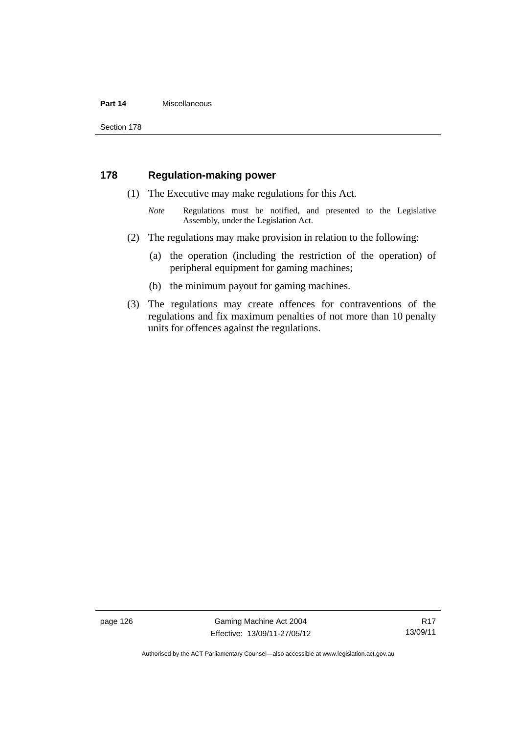#### **Part 14** Miscellaneous

Section 178

#### **178 Regulation-making power**

- (1) The Executive may make regulations for this Act.
	- *Note* **Regulations** must be notified, and presented to the Legislative Assembly, under the Legislation Act.
- (2) The regulations may make provision in relation to the following:
	- (a) the operation (including the restriction of the operation) of peripheral equipment for gaming machines;
	- (b) the minimum payout for gaming machines.
- (3) The regulations may create offences for contraventions of the regulations and fix maximum penalties of not more than 10 penalty units for offences against the regulations.

page 126 Gaming Machine Act 2004 Effective: 13/09/11-27/05/12

R17 13/09/11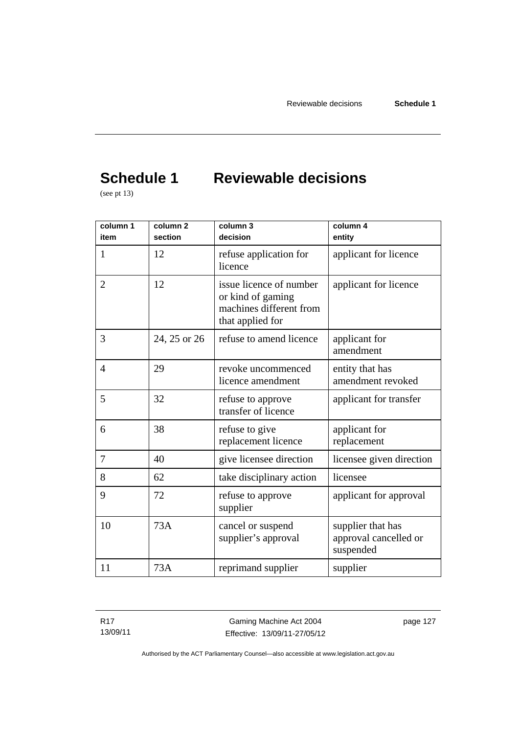# **Schedule 1 Reviewable decisions**

(see pt 13)

| column 1<br>item | column <sub>2</sub><br>section | column 3<br>decision                                                                        | column 4<br>entity                                      |
|------------------|--------------------------------|---------------------------------------------------------------------------------------------|---------------------------------------------------------|
| 1                | 12                             | refuse application for<br>licence                                                           | applicant for licence                                   |
| $\overline{2}$   | 12                             | issue licence of number<br>or kind of gaming<br>machines different from<br>that applied for | applicant for licence                                   |
| 3                | 24, 25 or 26                   | refuse to amend licence                                                                     | applicant for<br>amendment                              |
| $\overline{4}$   | 29                             | revoke uncommenced<br>licence amendment                                                     | entity that has<br>amendment revoked                    |
| 5                | 32                             | refuse to approve<br>transfer of licence                                                    | applicant for transfer                                  |
| 6                | 38                             | refuse to give<br>replacement licence                                                       | applicant for<br>replacement                            |
| 7                | 40                             | give licensee direction                                                                     | licensee given direction                                |
| 8                | 62                             | take disciplinary action                                                                    | licensee                                                |
| 9                | 72                             | refuse to approve<br>supplier                                                               | applicant for approval                                  |
| 10               | 73A                            | cancel or suspend<br>supplier's approval                                                    | supplier that has<br>approval cancelled or<br>suspended |
| 11               | 73A                            | reprimand supplier                                                                          | supplier                                                |

R17 13/09/11

Gaming Machine Act 2004 Effective: 13/09/11-27/05/12 page 127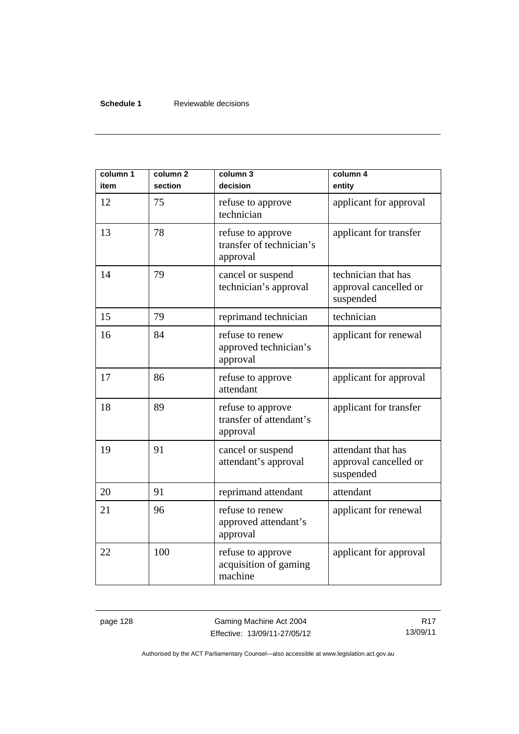#### **Schedule 1** Reviewable decisions

| column 1<br>item | column <sub>2</sub><br>section | column 3<br>decision                                      | column 4<br>entity                                        |
|------------------|--------------------------------|-----------------------------------------------------------|-----------------------------------------------------------|
| 12               | 75                             | refuse to approve<br>technician                           | applicant for approval                                    |
| 13               | 78                             | refuse to approve<br>transfer of technician's<br>approval | applicant for transfer                                    |
| 14               | 79                             | cancel or suspend<br>technician's approval                | technician that has<br>approval cancelled or<br>suspended |
| 15               | 79                             | reprimand technician                                      | technician                                                |
| 16               | 84                             | refuse to renew<br>approved technician's<br>approval      | applicant for renewal                                     |
| 17               | 86                             | refuse to approve<br>attendant                            | applicant for approval                                    |
| 18               | 89                             | refuse to approve<br>transfer of attendant's<br>approval  | applicant for transfer                                    |
| 19               | 91                             | cancel or suspend<br>attendant's approval                 | attendant that has<br>approval cancelled or<br>suspended  |
| 20               | 91                             | reprimand attendant                                       | attendant                                                 |
| 21               | 96                             | refuse to renew<br>approved attendant's<br>approval       | applicant for renewal                                     |
| 22               | 100                            | refuse to approve<br>acquisition of gaming<br>machine     | applicant for approval                                    |

page 128 Gaming Machine Act 2004 Effective: 13/09/11-27/05/12

R17 13/09/11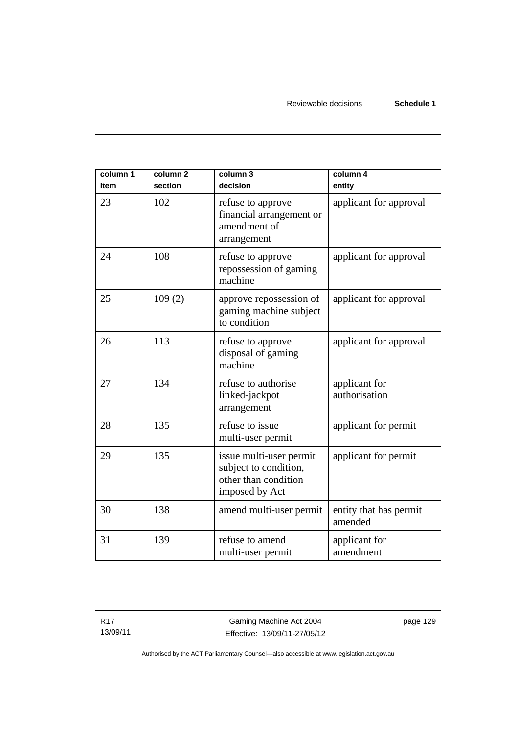| column 1<br>item | column <sub>2</sub><br>section | column 3<br>decision                                                                       | column 4<br>entity                |
|------------------|--------------------------------|--------------------------------------------------------------------------------------------|-----------------------------------|
| 23               | 102                            | refuse to approve<br>financial arrangement or<br>amendment of<br>arrangement               | applicant for approval            |
| 24               | 108                            | refuse to approve<br>repossession of gaming<br>machine                                     | applicant for approval            |
| 25               | 109(2)                         | approve repossession of<br>gaming machine subject<br>to condition                          | applicant for approval            |
| 26               | 113                            | refuse to approve<br>disposal of gaming<br>machine                                         | applicant for approval            |
| 27               | 134                            | refuse to authorise<br>linked-jackpot<br>arrangement                                       | applicant for<br>authorisation    |
| 28               | 135                            | refuse to issue<br>multi-user permit                                                       | applicant for permit              |
| 29               | 135                            | issue multi-user permit<br>subject to condition,<br>other than condition<br>imposed by Act | applicant for permit              |
| 30               | 138                            | amend multi-user permit                                                                    | entity that has permit<br>amended |
| 31               | 139                            | refuse to amend<br>multi-user permit                                                       | applicant for<br>amendment        |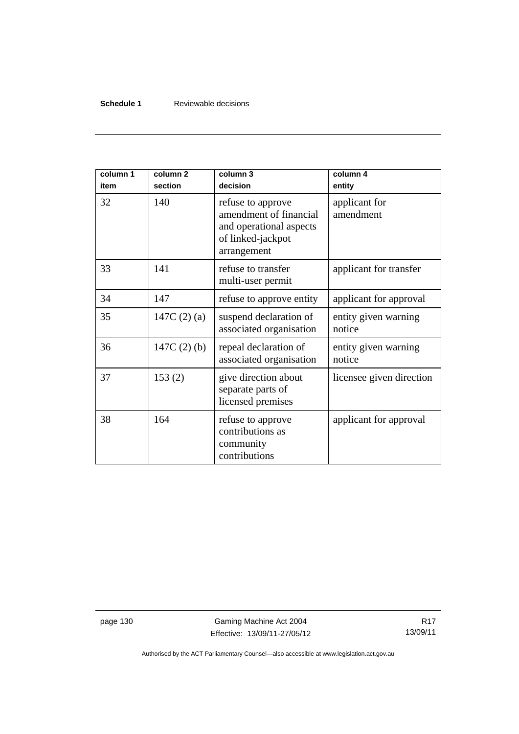#### **Schedule 1** Reviewable decisions

| column 1<br>item | column <sub>2</sub><br>section | column 3<br>decision                                                                                       | column 4<br>entity             |
|------------------|--------------------------------|------------------------------------------------------------------------------------------------------------|--------------------------------|
| 32               | 140                            | refuse to approve<br>amendment of financial<br>and operational aspects<br>of linked-jackpot<br>arrangement | applicant for<br>amendment     |
| 33               | 141                            | refuse to transfer<br>multi-user permit                                                                    | applicant for transfer         |
| 34               | 147                            | refuse to approve entity                                                                                   | applicant for approval         |
| 35               | 147C $(2)$ $(a)$               | suspend declaration of<br>associated organisation                                                          | entity given warning<br>notice |
| 36               | 147C $(2)$ $(b)$               | repeal declaration of<br>associated organisation                                                           | entity given warning<br>notice |
| 37               | 153(2)                         | give direction about<br>separate parts of<br>licensed premises                                             | licensee given direction       |
| 38               | 164                            | refuse to approve<br>contributions as<br>community<br>contributions                                        | applicant for approval         |

page 130 Gaming Machine Act 2004 Effective: 13/09/11-27/05/12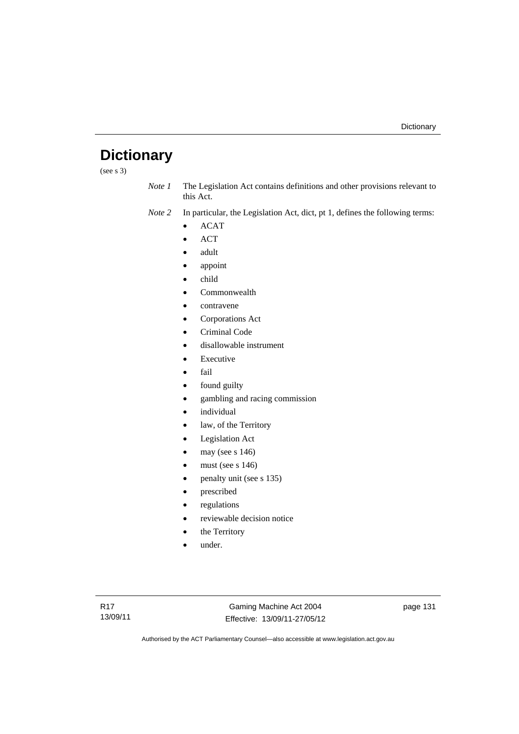# **Dictionary**

(see s 3)

*Note 1* The Legislation Act contains definitions and other provisions relevant to this Act.

*Note 2* In particular, the Legislation Act, dict, pt 1, defines the following terms:

- ACAT
- ACT
- adult
- appoint
- child
- Commonwealth
- contravene
- Corporations Act
- Criminal Code
- disallowable instrument
- Executive
- fail
- found guilty
- gambling and racing commission
- individual
- law, of the Territory
- Legislation Act
- may (see s 146)
- must (see s 146)
- penalty unit (see s 135)
- prescribed
- regulations
- reviewable decision notice
- the Territory
- under.

Gaming Machine Act 2004 Effective: 13/09/11-27/05/12 page 131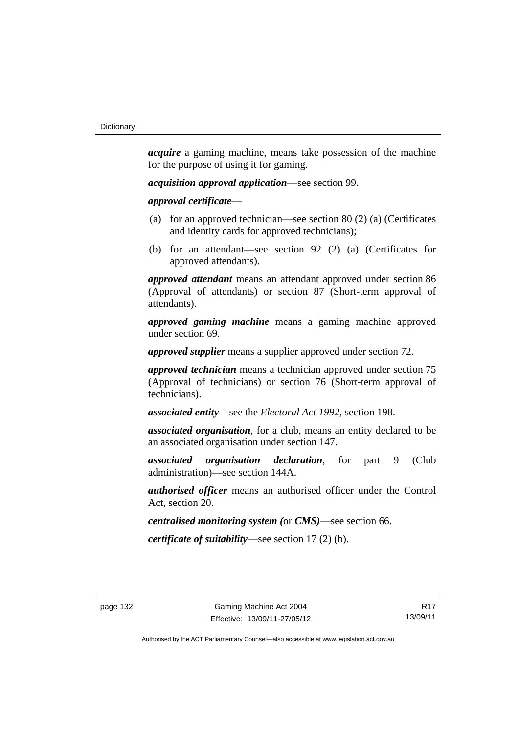*acquire* a gaming machine, means take possession of the machine for the purpose of using it for gaming.

*acquisition approval application*—see section 99.

*approval certificate*—

- (a) for an approved technician—see section 80 (2) (a) (Certificates and identity cards for approved technicians);
- (b) for an attendant—see section 92 (2) (a) (Certificates for approved attendants).

*approved attendant* means an attendant approved under section 86 (Approval of attendants) or section 87 (Short-term approval of attendants).

*approved gaming machine* means a gaming machine approved under section 69.

*approved supplier* means a supplier approved under section 72.

*approved technician* means a technician approved under section 75 (Approval of technicians) or section 76 (Short-term approval of technicians).

*associated entity*—see the *Electoral Act 1992*, section 198.

*associated organisation*, for a club, means an entity declared to be an associated organisation under section 147.

*associated organisation declaration*, for part 9 (Club administration)—see section 144A.

*authorised officer* means an authorised officer under the Control Act, section 20.

*centralised monitoring system (*or *CMS)*—see section 66.

*certificate of suitability*—see section 17 (2) (b).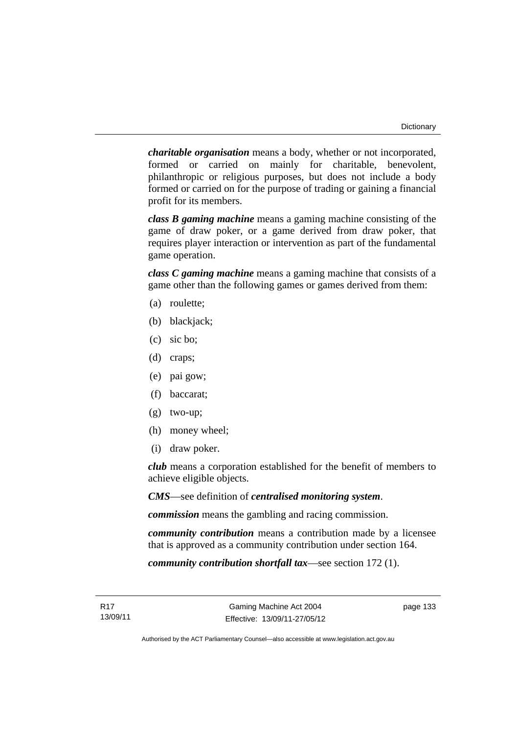*charitable organisation* means a body, whether or not incorporated, formed or carried on mainly for charitable, benevolent, philanthropic or religious purposes, but does not include a body formed or carried on for the purpose of trading or gaining a financial profit for its members.

*class B gaming machine* means a gaming machine consisting of the game of draw poker, or a game derived from draw poker, that requires player interaction or intervention as part of the fundamental game operation.

*class C gaming machine* means a gaming machine that consists of a game other than the following games or games derived from them:

- (a) roulette;
- (b) blackjack;
- (c) sic bo;
- (d) craps;
- (e) pai gow;
- (f) baccarat;
- (g) two-up;
- (h) money wheel;
- (i) draw poker.

*club* means a corporation established for the benefit of members to achieve eligible objects.

*CMS*—see definition of *centralised monitoring system*.

*commission* means the gambling and racing commission.

*community contribution* means a contribution made by a licensee that is approved as a community contribution under section 164.

*community contribution shortfall tax*—see section 172 (1).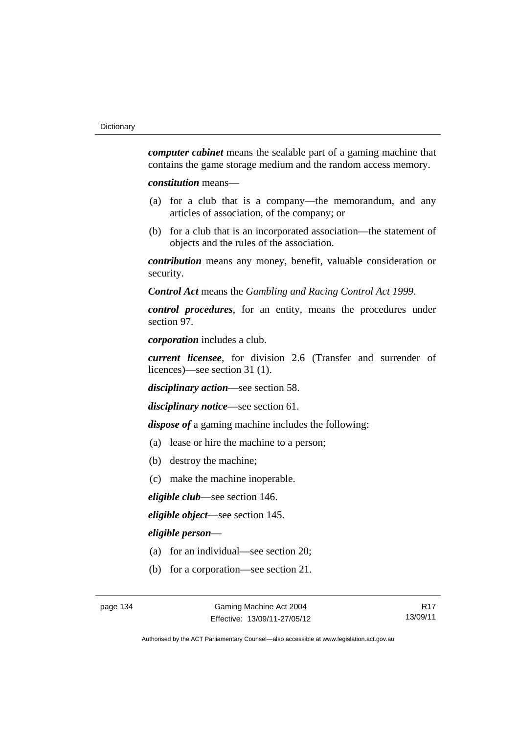*computer cabinet* means the sealable part of a gaming machine that contains the game storage medium and the random access memory.

*constitution* means—

- (a) for a club that is a company—the memorandum, and any articles of association, of the company; or
- (b) for a club that is an incorporated association—the statement of objects and the rules of the association.

*contribution* means any money, benefit, valuable consideration or security.

*Control Act* means the *Gambling and Racing Control Act 1999*.

*control procedures*, for an entity, means the procedures under section 97.

*corporation* includes a club.

*current licensee*, for division 2.6 (Transfer and surrender of licences)—see section 31 (1).

*disciplinary action*—see section 58.

*disciplinary notice*—see section 61.

*dispose of* a gaming machine includes the following:

- (a) lease or hire the machine to a person;
- (b) destroy the machine;
- (c) make the machine inoperable.

*eligible club*—see section 146.

*eligible object*—see section 145.

*eligible person*—

- (a) for an individual—see section 20;
- (b) for a corporation—see section 21.

R17 13/09/11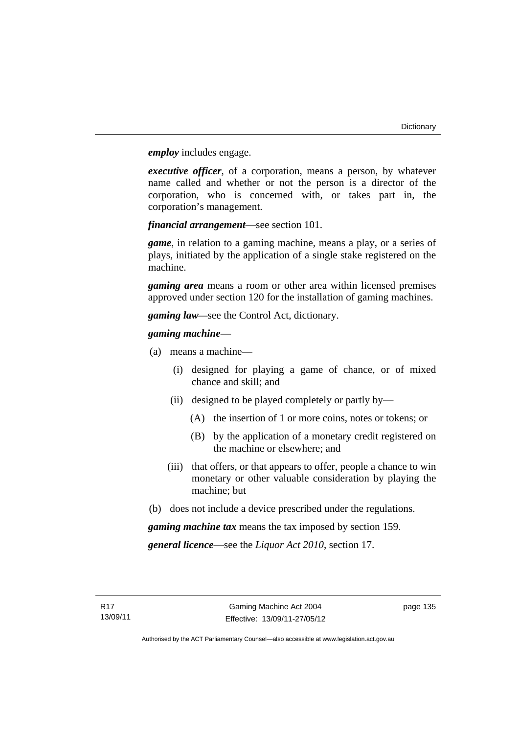*employ* includes engage.

*executive officer*, of a corporation, means a person, by whatever name called and whether or not the person is a director of the corporation, who is concerned with, or takes part in, the corporation's management.

*financial arrangement*—see section 101.

*game*, in relation to a gaming machine, means a play, or a series of plays, initiated by the application of a single stake registered on the machine.

*gaming area* means a room or other area within licensed premises approved under section 120 for the installation of gaming machines.

*gaming law—*see the Control Act, dictionary.

# *gaming machine*—

- (a) means a machine—
	- (i) designed for playing a game of chance, or of mixed chance and skill; and
	- (ii) designed to be played completely or partly by—
		- (A) the insertion of 1 or more coins, notes or tokens; or
		- (B) by the application of a monetary credit registered on the machine or elsewhere; and
	- (iii) that offers, or that appears to offer, people a chance to win monetary or other valuable consideration by playing the machine; but
- (b) does not include a device prescribed under the regulations.

*gaming machine tax* means the tax imposed by section 159.

*general licence*—see the *Liquor Act 2010*, section 17.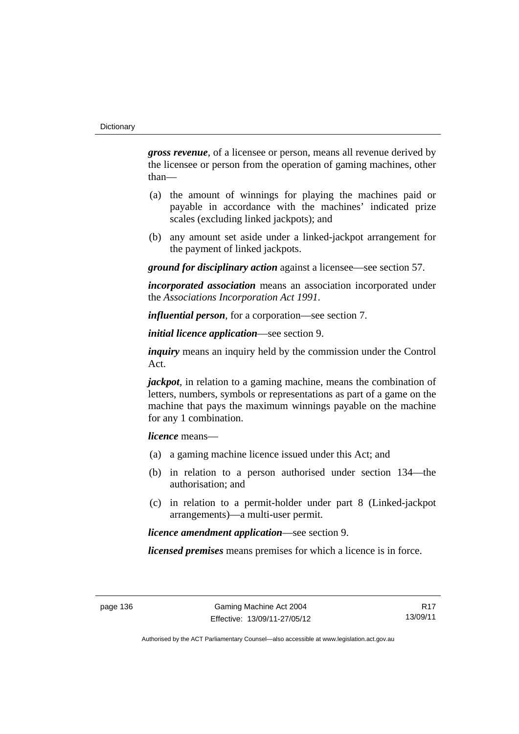*gross revenue*, of a licensee or person, means all revenue derived by the licensee or person from the operation of gaming machines, other than—

- (a) the amount of winnings for playing the machines paid or payable in accordance with the machines' indicated prize scales (excluding linked jackpots); and
- (b) any amount set aside under a linked-jackpot arrangement for the payment of linked jackpots.

*ground for disciplinary action* against a licensee—see section 57.

*incorporated association* means an association incorporated under the *Associations Incorporation Act 1991*.

*influential person*, for a corporation—see section 7.

*initial licence application*—see section 9.

*inquiry* means an inquiry held by the commission under the Control Act.

*jackpot*, in relation to a gaming machine, means the combination of letters, numbers, symbols or representations as part of a game on the machine that pays the maximum winnings payable on the machine for any 1 combination.

*licence* means—

- (a) a gaming machine licence issued under this Act; and
- (b) in relation to a person authorised under section 134—the authorisation; and
- (c) in relation to a permit-holder under part 8 (Linked-jackpot arrangements)—a multi-user permit.

*licence amendment application*—see section 9.

*licensed premises* means premises for which a licence is in force.

R17 13/09/11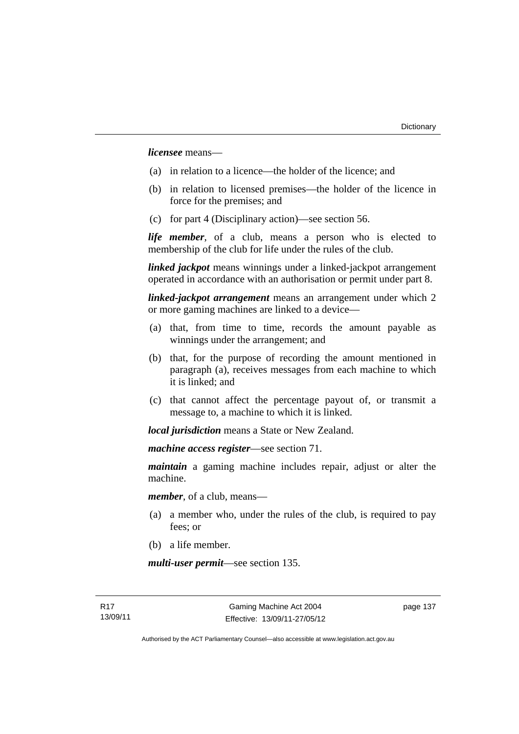*licensee* means—

- (a) in relation to a licence—the holder of the licence; and
- (b) in relation to licensed premises—the holder of the licence in force for the premises; and
- (c) for part 4 (Disciplinary action)—see section 56.

*life member*, of a club, means a person who is elected to membership of the club for life under the rules of the club.

*linked jackpot* means winnings under a linked-jackpot arrangement operated in accordance with an authorisation or permit under part 8.

*linked-jackpot arrangement* means an arrangement under which 2 or more gaming machines are linked to a device—

- (a) that, from time to time, records the amount payable as winnings under the arrangement; and
- (b) that, for the purpose of recording the amount mentioned in paragraph (a), receives messages from each machine to which it is linked; and
- (c) that cannot affect the percentage payout of, or transmit a message to, a machine to which it is linked.

*local jurisdiction* means a State or New Zealand.

*machine access register*—see section 71.

*maintain* a gaming machine includes repair, adjust or alter the machine.

*member*, of a club, means—

- (a) a member who, under the rules of the club, is required to pay fees; or
- (b) a life member.

*multi-user permit*—see section 135.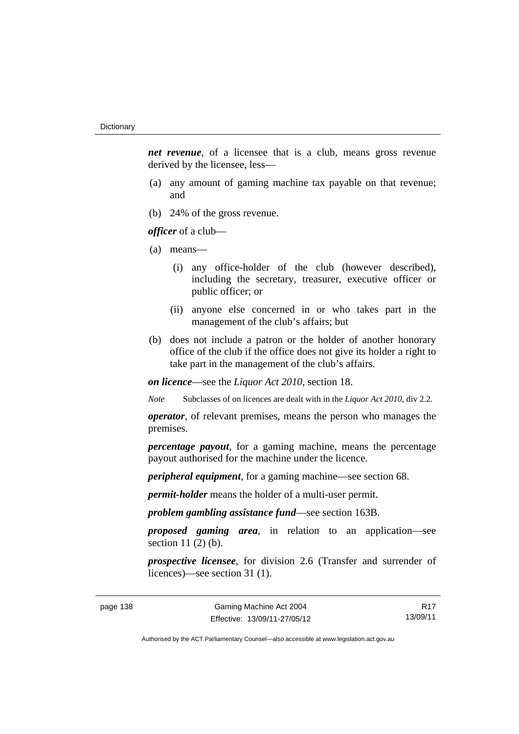*net revenue*, of a licensee that is a club, means gross revenue derived by the licensee, less—

- (a) any amount of gaming machine tax payable on that revenue; and
- (b) 24% of the gross revenue.

*officer* of a club—

- (a) means—
	- (i) any office-holder of the club (however described), including the secretary, treasurer, executive officer or public officer; or
	- (ii) anyone else concerned in or who takes part in the management of the club's affairs; but
- (b) does not include a patron or the holder of another honorary office of the club if the office does not give its holder a right to take part in the management of the club's affairs.

*on licence*—see the *Liquor Act 2010*, section 18.

*Note* Subclasses of on licences are dealt with in the *Liquor Act 2010*, div 2.2.

*operator*, of relevant premises, means the person who manages the premises.

*percentage payout*, for a gaming machine, means the percentage payout authorised for the machine under the licence.

*peripheral equipment*, for a gaming machine—see section 68.

*permit-holder* means the holder of a multi-user permit.

*problem gambling assistance fund*—see section 163B.

*proposed gaming area*, in relation to an application—see section 11 (2) (b).

*prospective licensee*, for division 2.6 (Transfer and surrender of licences)—see section 31 (1).

R17 13/09/11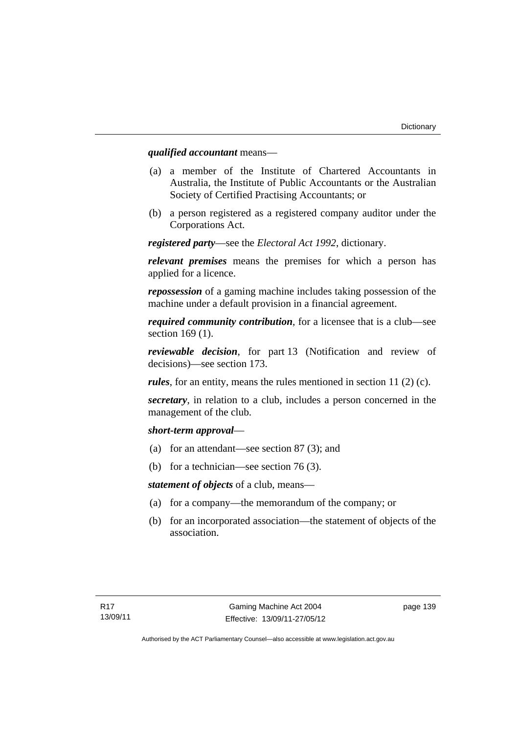# *qualified accountant* means—

- (a) a member of the Institute of Chartered Accountants in Australia, the Institute of Public Accountants or the Australian Society of Certified Practising Accountants; or
- (b) a person registered as a registered company auditor under the Corporations Act.

*registered party*—see the *Electoral Act 1992*, dictionary.

*relevant premises* means the premises for which a person has applied for a licence.

*repossession* of a gaming machine includes taking possession of the machine under a default provision in a financial agreement.

*required community contribution*, for a licensee that is a club—see section 169 (1).

*reviewable decision*, for part 13 (Notification and review of decisions)—see section 173.

*rules*, for an entity, means the rules mentioned in section 11 (2) (c).

*secretary*, in relation to a club, includes a person concerned in the management of the club.

### *short-term approval*—

- (a) for an attendant—see section 87 (3); and
- (b) for a technician—see section 76 (3).

*statement of objects* of a club, means—

- (a) for a company—the memorandum of the company; or
- (b) for an incorporated association—the statement of objects of the association.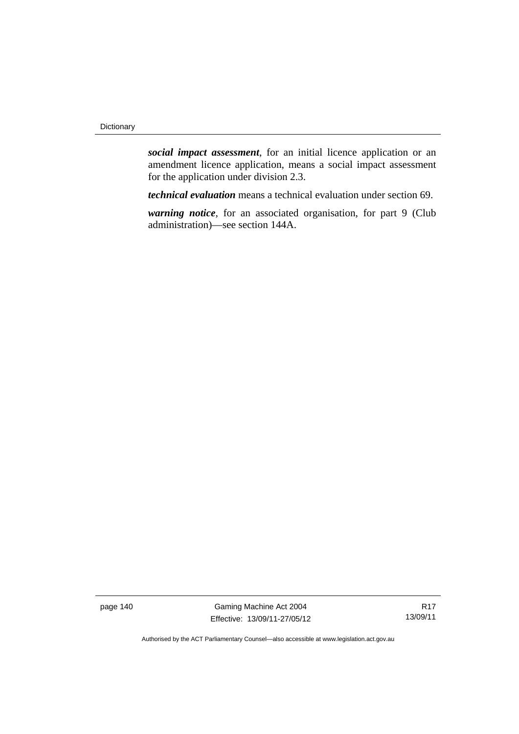*social impact assessment*, for an initial licence application or an amendment licence application, means a social impact assessment for the application under division 2.3.

*technical evaluation* means a technical evaluation under section 69.

*warning notice*, for an associated organisation, for part 9 (Club administration)—see section 144A.

page 140 Gaming Machine Act 2004 Effective: 13/09/11-27/05/12

R17 13/09/11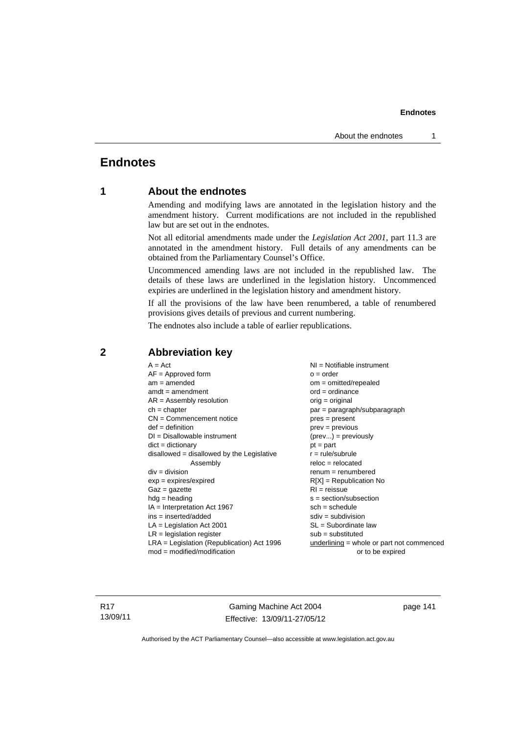# **Endnotes**

# **1 About the endnotes**

Amending and modifying laws are annotated in the legislation history and the amendment history. Current modifications are not included in the republished law but are set out in the endnotes.

Not all editorial amendments made under the *Legislation Act 2001*, part 11.3 are annotated in the amendment history. Full details of any amendments can be obtained from the Parliamentary Counsel's Office.

Uncommenced amending laws are not included in the republished law. The details of these laws are underlined in the legislation history. Uncommenced expiries are underlined in the legislation history and amendment history.

If all the provisions of the law have been renumbered, a table of renumbered provisions gives details of previous and current numbering.

The endnotes also include a table of earlier republications.

| $A = Act$                                    | NI = Notifiable instrument                  |
|----------------------------------------------|---------------------------------------------|
| $AF =$ Approved form                         | $o = order$                                 |
| $am = amended$                               | $om = omitted/repealed$                     |
| $amdt = amendment$                           | $ord = ordinance$                           |
| $AR = Assembly$ resolution                   | $orig = original$                           |
| $ch = chapter$                               | par = paragraph/subparagraph                |
| $CN =$ Commencement notice                   | $pres = present$                            |
| $def = definition$                           | $prev = previous$                           |
| $DI = Disallowable instrument$               | $(\text{prev}) = \text{previously}$         |
| $dict = dictionary$                          | $pt = part$                                 |
| $disallowed = disallowed by the Legislative$ | $r = rule/subrule$                          |
| Assembly                                     | $reloc = relocated$                         |
| $div = division$                             | $renum = renumbered$                        |
| $exp = expires/expired$                      | $R[X]$ = Republication No                   |
| $Gaz = gazette$                              | $RI = reissue$                              |
| $hdg = heading$                              | $s = section/subsection$                    |
| $IA = Interpretation Act 1967$               | $sch = schedule$                            |
| $ins = inserted/added$                       | $sdiv = subdivision$                        |
| $LA =$ Legislation Act 2001                  | $SL = Subordinate$ law                      |
| $LR =$ legislation register                  | $sub =$ substituted                         |
| LRA = Legislation (Republication) Act 1996   | $underlining = whole or part not commenced$ |
| $mod = modified/modification$                | or to be expired                            |
|                                              |                                             |

# **2 Abbreviation key**

R17 13/09/11

Gaming Machine Act 2004 Effective: 13/09/11-27/05/12 page 141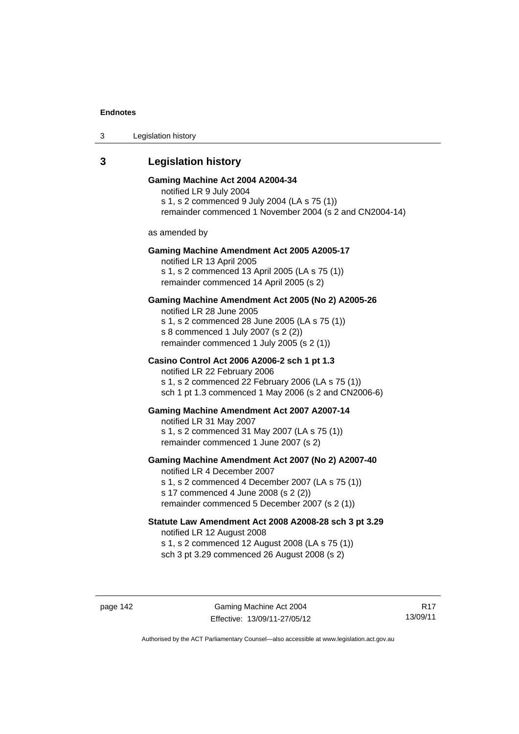3 Legislation history

# **3 Legislation history**

# **Gaming Machine Act 2004 A2004-34**  notified LR 9 July 2004 s 1, s 2 commenced 9 July 2004 (LA s 75 (1)) remainder commenced 1 November 2004 (s 2 and CN2004-14) as amended by **Gaming Machine Amendment Act 2005 A2005-17**  notified LR 13 April 2005 s 1, s 2 commenced 13 April 2005 (LA s 75 (1)) remainder commenced 14 April 2005 (s 2) **Gaming Machine Amendment Act 2005 (No 2) A2005-26**  notified LR 28 June 2005 s 1, s 2 commenced 28 June 2005 (LA s 75 (1)) s 8 commenced 1 July 2007 (s 2 (2)) remainder commenced 1 July 2005 (s 2 (1)) **Casino Control Act 2006 A2006-2 sch 1 pt 1.3**  notified LR 22 February 2006 s 1, s 2 commenced 22 February 2006 (LA s 75 (1)) sch 1 pt 1.3 commenced 1 May 2006 (s 2 and CN2006-6) **Gaming Machine Amendment Act 2007 A2007-14**  notified LR 31 May 2007 s 1, s 2 commenced 31 May 2007 (LA s 75 (1)) remainder commenced 1 June 2007 (s 2) **Gaming Machine Amendment Act 2007 (No 2) A2007-40**  notified LR 4 December 2007 s 1, s 2 commenced 4 December 2007 (LA s 75 (1)) s 17 commenced 4 June 2008 (s 2 (2)) remainder commenced 5 December 2007 (s 2 (1)) **Statute Law Amendment Act 2008 A2008-28 sch 3 pt 3.29**  notified LR 12 August 2008

s 1, s 2 commenced 12 August 2008 (LA s 75 (1)) sch 3 pt 3.29 commenced 26 August 2008 (s 2)

R17 13/09/11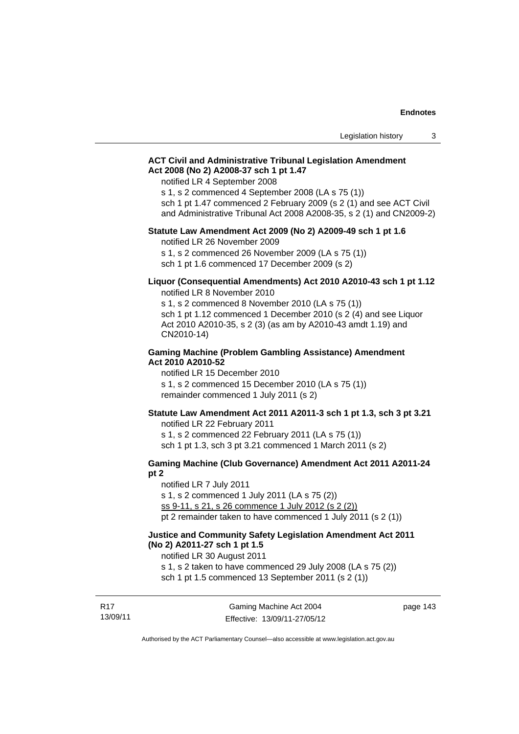## **ACT Civil and Administrative Tribunal Legislation Amendment Act 2008 (No 2) A2008-37 sch 1 pt 1.47**

notified LR 4 September 2008

s 1, s 2 commenced 4 September 2008 (LA s 75 (1))

sch 1 pt 1.47 commenced 2 February 2009 (s 2 (1) and see ACT Civil and Administrative Tribunal Act 2008 A2008-35, s 2 (1) and CN2009-2)

#### **Statute Law Amendment Act 2009 (No 2) A2009-49 sch 1 pt 1.6**

notified LR 26 November 2009

s 1, s 2 commenced 26 November 2009 (LA s 75 (1))

sch 1 pt 1.6 commenced 17 December 2009 (s 2)

#### **Liquor (Consequential Amendments) Act 2010 A2010-43 sch 1 pt 1.12**  notified LR 8 November 2010

s 1, s 2 commenced 8 November 2010 (LA s 75 (1)) sch 1 pt 1.12 commenced 1 December 2010 (s 2 (4) and see Liquor Act 2010 A2010-35, s 2 (3) (as am by A2010-43 amdt 1.19) and CN2010-14)

#### **Gaming Machine (Problem Gambling Assistance) Amendment Act 2010 A2010-52**

notified LR 15 December 2010 s 1, s 2 commenced 15 December 2010 (LA s 75 (1)) remainder commenced 1 July 2011 (s 2)

#### **Statute Law Amendment Act 2011 A2011-3 sch 1 pt 1.3, sch 3 pt 3.21**

notified LR 22 February 2011 s 1, s 2 commenced 22 February 2011 (LA s 75 (1)) sch 1 pt 1.3, sch 3 pt 3.21 commenced 1 March 2011 (s 2)

# **Gaming Machine (Club Governance) Amendment Act 2011 A2011-24**

#### **pt 2**

notified LR 7 July 2011 s 1, s 2 commenced 1 July 2011 (LA s 75 (2)) ss 9-11, s 21, s 26 commence 1 July 2012 (s 2 (2)) pt 2 remainder taken to have commenced 1 July 2011 (s 2 (1))

## **Justice and Community Safety Legislation Amendment Act 2011 (No 2) A2011-27 sch 1 pt 1.5**

notified LR 30 August 2011

s 1, s 2 taken to have commenced 29 July 2008 (LA s 75 (2))

sch 1 pt 1.5 commenced 13 September 2011 (s 2 (1))

| r. 17    |  |
|----------|--|
| 13/09/11 |  |

 $B47$ 

page 143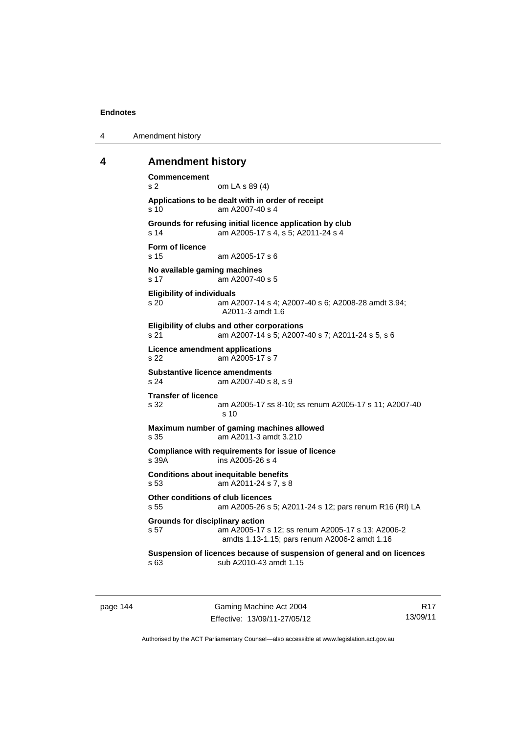4 Amendment history

#### **4 Amendment history**

```
Commencement 
s 2 om LA s 89 (4) 
Applications to be dealt with in order of receipt 
s 10 am A2007-40 s 4 
Grounds for refusing initial licence application by club 
s 14 am A2005-17 s 4, s 5; A2011-24 s 4 
Form of licence 
s 15 am A2005-17 s 6 
No available gaming machines 
s 17 am A2007-40 s 5 
Eligibility of individuals 
s 20 am A2007-14 s 4; A2007-40 s 6; A2008-28 amdt 3.94; 
                A2011-3 amdt 1.6 
Eligibility of clubs and other corporations 
s 21 am A2007-14 s 5; A2007-40 s 7; A2011-24 s 5, s 6 
Licence amendment applications 
s 22 am A2005-17 s 7 
Substantive licence amendments 
s 24 am A2007-40 s 8, s 9 
Transfer of licence 
s 32 am A2005-17 ss 8-10; ss renum A2005-17 s 11; A2007-40 
                 s 10 
Maximum number of gaming machines allowed 
s 35 am A2011-3 amdt 3.210 
Compliance with requirements for issue of licence 
s 39A ins A2005-26 s 4 
Conditions about inequitable benefits 
s 53 am A2011-24 s 7, s 8 
Other conditions of club licences 
s 55 am A2005-26 s 5; A2011-24 s 12; pars renum R16 (RI) LA 
Grounds for disciplinary action 
s 57 am A2005-17 s 12; ss renum A2005-17 s 13; A2006-2 
                amdts 1.13-1.15; pars renum A2006-2 amdt 1.16 
Suspension of licences because of suspension of general and on licences 
s 63 sub A2010-43 amdt 1.15
```
page 144 Gaming Machine Act 2004 Effective: 13/09/11-27/05/12

R17 13/09/11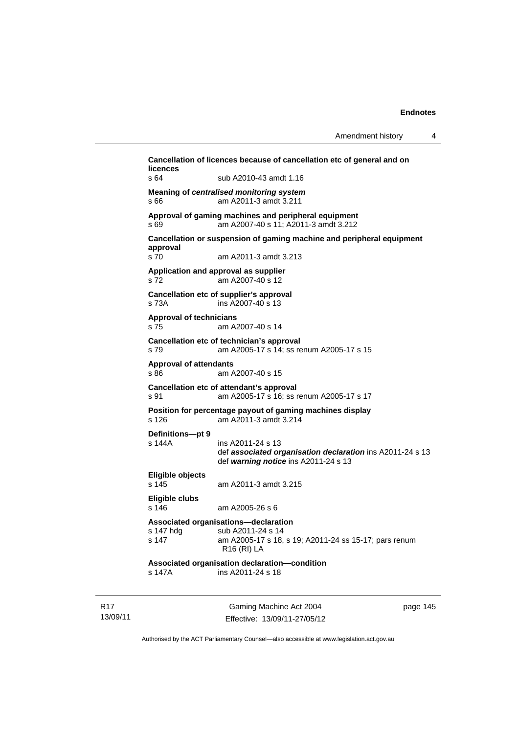| Cancellation of licences because of cancellation etc of general and on<br>licences |                                                                                                                                   |  |  |
|------------------------------------------------------------------------------------|-----------------------------------------------------------------------------------------------------------------------------------|--|--|
| s 64                                                                               | sub A2010-43 amdt 1.16                                                                                                            |  |  |
| s 66                                                                               | Meaning of centralised monitoring system<br>am A2011-3 amdt 3.211                                                                 |  |  |
| s 69                                                                               | Approval of gaming machines and peripheral equipment<br>am A2007-40 s 11; A2011-3 amdt 3.212                                      |  |  |
| Cancellation or suspension of gaming machine and peripheral equipment<br>approval  |                                                                                                                                   |  |  |
| s 70                                                                               | am A2011-3 amdt 3.213                                                                                                             |  |  |
| s 72                                                                               | Application and approval as supplier<br>am A2007-40 s 12                                                                          |  |  |
| s 73A                                                                              | Cancellation etc of supplier's approval<br>ins A2007-40 s 13                                                                      |  |  |
| <b>Approval of technicians</b><br>s 75                                             | am A2007-40 s 14                                                                                                                  |  |  |
| s 79                                                                               | Cancellation etc of technician's approval<br>am A2005-17 s 14; ss renum A2005-17 s 15                                             |  |  |
| <b>Approval of attendants</b><br>s 86                                              | am A2007-40 s 15                                                                                                                  |  |  |
| s 91                                                                               | Cancellation etc of attendant's approval<br>am A2005-17 s 16; ss renum A2005-17 s 17                                              |  |  |
| s 126                                                                              | Position for percentage payout of gaming machines display<br>am A2011-3 amdt 3.214                                                |  |  |
| Definitions-pt 9                                                                   |                                                                                                                                   |  |  |
| s 144A                                                                             | ins A2011-24 s 13<br>def associated organisation declaration ins A2011-24 s 13<br>def warning notice ins A2011-24 s 13            |  |  |
| Eligible objects<br>s 145                                                          | am A2011-3 amdt 3.215                                                                                                             |  |  |
| <b>Eligible clubs</b><br>s 146                                                     | am A2005-26 s 6                                                                                                                   |  |  |
| s 147 hdg<br>s 147                                                                 | Associated organisations-declaration<br>sub A2011-24 s 14<br>am A2005-17 s 18, s 19; A2011-24 ss 15-17; pars renum<br>R16 (RI) LA |  |  |
| s 147A                                                                             | Associated organisation declaration-condition<br>ins A2011-24 s 18                                                                |  |  |

R17 13/09/11

Gaming Machine Act 2004 Effective: 13/09/11-27/05/12 page 145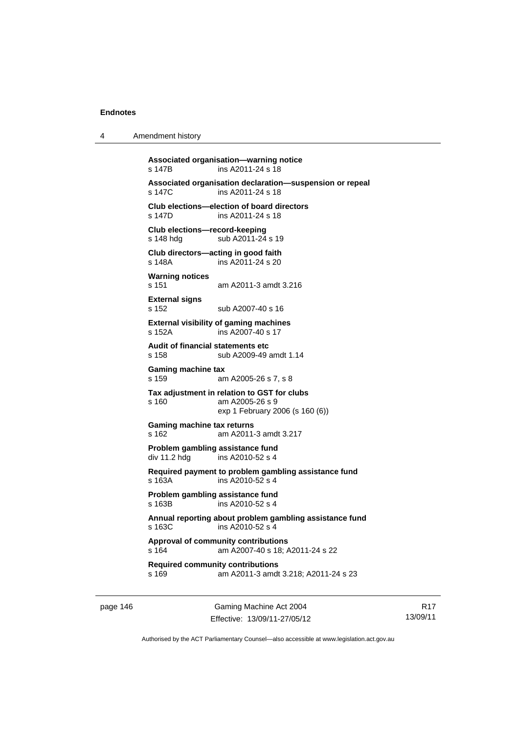4 Amendment history

```
Associated organisation—warning notice 
s 147B ins A2011-24 s 18 
Associated organisation declaration—suspension or repeal 
                ins A2011-24 s 18
Club elections—election of board directors 
s 147D ins A2011-24 s 18 
Club elections—record-keeping 
s 148 hdg sub A2011-24 s 19
Club directors—acting in good faith 
                ins A2011-24 s 20Warning notices 
s 151 am A2011-3 amdt 3.216 
External signs 
s 152 sub A2007-40 s 16 
External visibility of gaming machines 
s 152A ins A2007-40 s 17 
Audit of financial statements etc 
s 158 sub A2009-49 amdt 1.14 
Gaming machine tax 
s 159 am A2005-26 s 7, s 8 
Tax adjustment in relation to GST for clubs 
s 160 am A2005-26 s 9 
                 exp 1 February 2006 (s 160 (6)) 
Gaming machine tax returns 
s 162 am A2011-3 amdt 3.217 
Problem gambling assistance fund 
div 11.2 hdg ins A2010-52 s 4 
Required payment to problem gambling assistance fund 
s 163A ins A2010-52 s 4 
Problem gambling assistance fund 
s 163B ins A2010-52 s 4 
Annual reporting about problem gambling assistance fund 
s 163C ins A2010-52 s 4 
Approval of community contributions 
s 164 am A2007-40 s 18; A2011-24 s 22 
Required community contributions 
s 169 am A2011-3 amdt 3.218; A2011-24 s 23
```
page 146 Gaming Machine Act 2004 Effective: 13/09/11-27/05/12

R17 13/09/11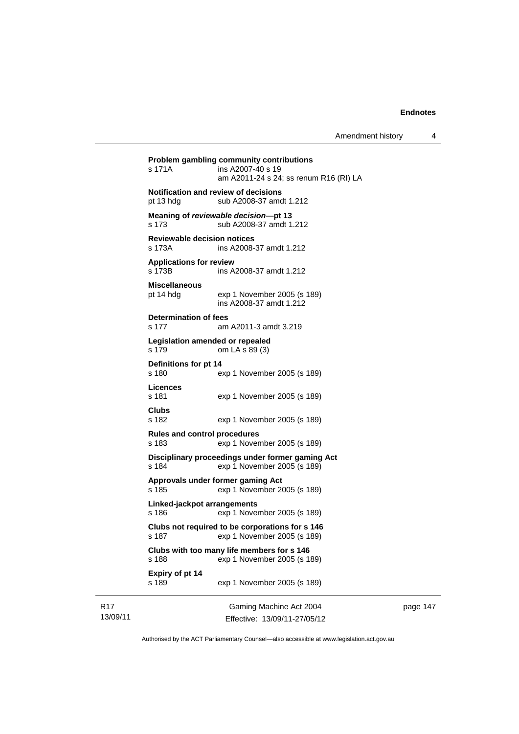| s 171A                                                   | Problem gambling community contributions<br>ins A2007-40 s 19<br>am A2011-24 s 24; ss renum R16 (RI) LA |
|----------------------------------------------------------|---------------------------------------------------------------------------------------------------------|
| <b>Notification and review of decisions</b><br>pt 13 hdg | sub A2008-37 amdt 1.212                                                                                 |
| s 173                                                    | Meaning of reviewable decision--pt 13<br>sub A2008-37 amdt 1.212                                        |
| <b>Reviewable decision notices</b><br>s 173A             | ins A2008-37 amdt 1.212                                                                                 |
| <b>Applications for review</b><br>s 173B                 | ins A2008-37 amdt 1.212                                                                                 |
| <b>Miscellaneous</b><br>pt 14 hdg                        | exp 1 November 2005 (s 189)<br>ins A2008-37 amdt 1.212                                                  |
| <b>Determination of fees</b><br>s 177                    | am A2011-3 amdt 3.219                                                                                   |
| Legislation amended or repealed<br>s 179                 | om LA s 89 (3)                                                                                          |
| Definitions for pt 14<br>s 180                           | exp 1 November 2005 (s 189)                                                                             |
| Licences<br>s 181                                        | exp 1 November 2005 (s 189)                                                                             |
| Clubs<br>s 182                                           | exp 1 November 2005 (s 189)                                                                             |
| <b>Rules and control procedures</b><br>s 183             | exp 1 November 2005 (s 189)                                                                             |
| s 184                                                    | Disciplinary proceedings under former gaming Act<br>exp 1 November 2005 (s 189)                         |
| Approvals under former gaming Act<br>s 185               | exp 1 November 2005 (s 189)                                                                             |
| Linked-jackpot arrangements<br>s 186                     | exp 1 November 2005 (s 189)                                                                             |
| s 187                                                    | Clubs not required to be corporations for s 146<br>exp 1 November 2005 (s 189)                          |
| s 188                                                    | Clubs with too many life members for s 146<br>exp 1 November 2005 (s 189)                               |
| Expiry of pt 14<br>s 189                                 | exp 1 November 2005 (s 189)                                                                             |
|                                                          | Coming Moobing Ast 2004                                                                                 |

13/09/11

R17

Gaming Machine Act 2004 Effective: 13/09/11-27/05/12 page 147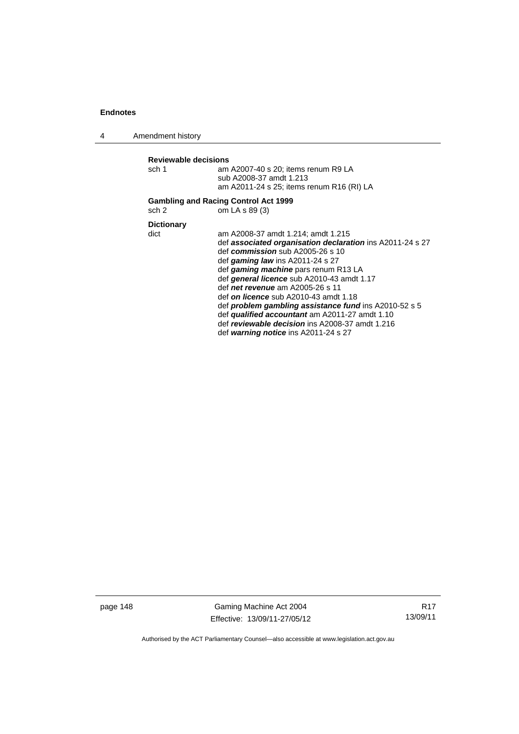4 Amendment history

| Reviewable decisions |                                                                |
|----------------------|----------------------------------------------------------------|
| sch 1                | am A2007-40 s 20; items renum R9 LA<br>sub A2008-37 amdt 1.213 |
|                      | am A2011-24 s 25; items renum R16 (RI) LA                      |
| sch 2                | <b>Gambling and Racing Control Act 1999</b><br>om LA s 89 (3)  |
| <b>Dictionary</b>    |                                                                |
| dict                 | am A2008-37 amdt 1.214; amdt 1.215                             |
|                      | def associated organisation declaration ins A2011-24 s 27      |
|                      | def commission sub $A2005-26$ s 10                             |
|                      | def gaming law ins $A2011-24$ s 27                             |
|                      | def gaming machine pars renum R13 LA                           |
|                      | def general licence sub A2010-43 amdt 1.17                     |
|                      | def <i>net revenue</i> am A2005-26 s 11                        |
|                      | def on licence sub A2010-43 amdt 1.18                          |
|                      | def problem gambling assistance fund ins A2010-52 s 5          |
|                      | def qualified accountant am A2011-27 amdt 1.10                 |
|                      | def reviewable decision ins A2008-37 amdt 1.216                |
|                      | def warning notice ins A2011-24 s 27                           |

page 148 Gaming Machine Act 2004 Effective: 13/09/11-27/05/12

R17 13/09/11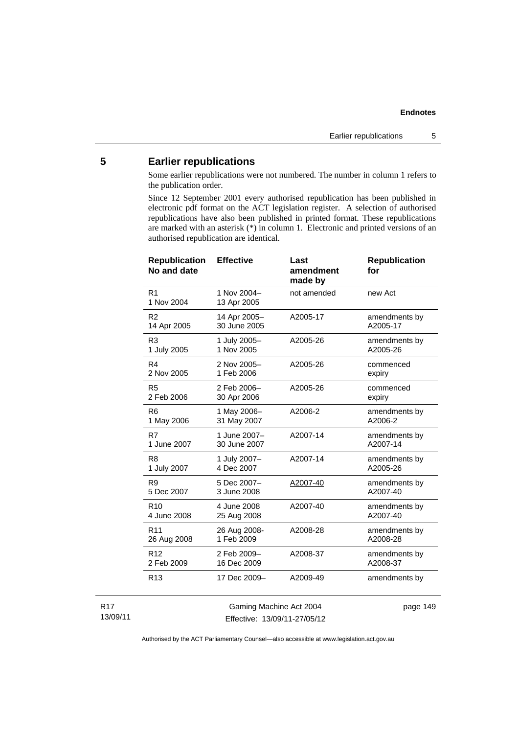# **5 Earlier republications**

Some earlier republications were not numbered. The number in column 1 refers to the publication order.

Since 12 September 2001 every authorised republication has been published in electronic pdf format on the ACT legislation register. A selection of authorised republications have also been published in printed format. These republications are marked with an asterisk (\*) in column 1. Electronic and printed versions of an authorised republication are identical.

| <b>Republication</b><br>No and date | <b>Effective</b>           | Last<br>amendment<br>made by | <b>Republication</b><br>for |
|-------------------------------------|----------------------------|------------------------------|-----------------------------|
| R <sub>1</sub><br>1 Nov 2004        | 1 Nov 2004-<br>13 Apr 2005 | not amended                  | new Act                     |
| R <sub>2</sub>                      | 14 Apr 2005-               | A2005-17                     | amendments by               |
| 14 Apr 2005                         | 30 June 2005               |                              | A2005-17                    |
| R <sub>3</sub>                      | 1 July 2005-               | A2005-26                     | amendments by               |
| 1 July 2005                         | 1 Nov 2005                 |                              | A2005-26                    |
| R4                                  | 2 Nov 2005-                | A2005-26                     | commenced                   |
| 2 Nov 2005                          | 1 Feb 2006                 |                              | expiry                      |
| R <sub>5</sub>                      | 2 Feb 2006-                | A2005-26                     | commenced                   |
| 2 Feb 2006                          | 30 Apr 2006                |                              | expiry                      |
| R <sub>6</sub>                      | 1 May 2006-                | A2006-2                      | amendments by               |
| 1 May 2006                          | 31 May 2007                |                              | A2006-2                     |
| R7                                  | 1 June 2007-               | A2007-14                     | amendments by               |
| 1 June 2007                         | 30 June 2007               |                              | A2007-14                    |
| R <sub>8</sub>                      | 1 July 2007-               | A2007-14                     | amendments by               |
| 1 July 2007                         | 4 Dec 2007                 |                              | A2005-26                    |
| R <sub>9</sub>                      | 5 Dec 2007-                | A2007-40                     | amendments by               |
| 5 Dec 2007                          | 3 June 2008                |                              | A2007-40                    |
| R <sub>10</sub>                     | 4 June 2008                | A2007-40                     | amendments by               |
| 4 June 2008                         | 25 Aug 2008                |                              | A2007-40                    |
| R <sub>11</sub>                     | 26 Aug 2008-               | A2008-28                     | amendments by               |
| 26 Aug 2008                         | 1 Feb 2009                 |                              | A2008-28                    |
| R <sub>12</sub>                     | 2 Feb 2009-                | A2008-37                     | amendments by               |
| 2 Feb 2009                          | 16 Dec 2009                |                              | A2008-37                    |
| R <sub>13</sub>                     | 17 Dec 2009-               | A2009-49                     | amendments by               |
|                                     |                            |                              |                             |

R17 13/09/11

Gaming Machine Act 2004 Effective: 13/09/11-27/05/12 page 149